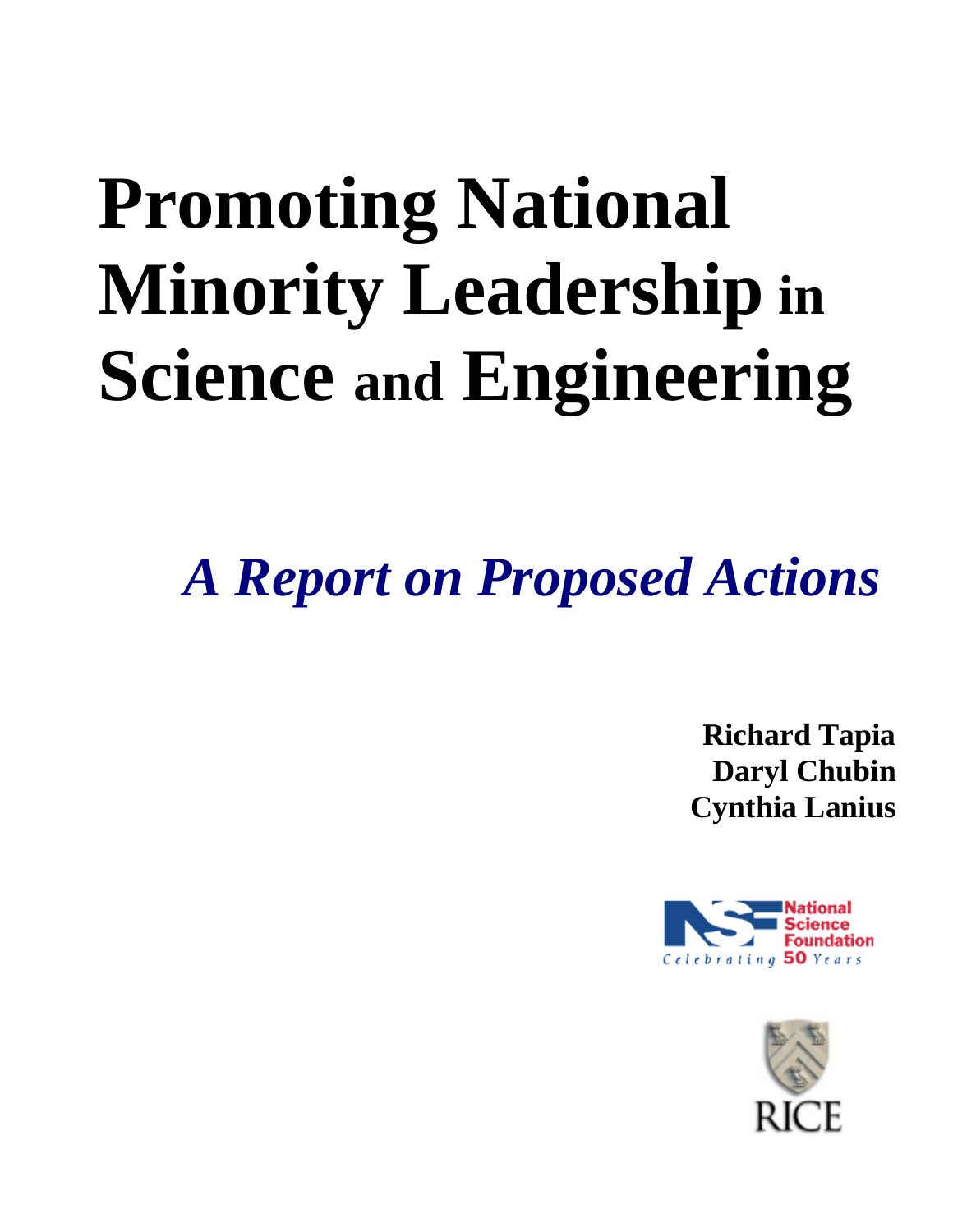# **Promoting National Minority Leadership in Science and Engineering**

*A Report on Proposed Actions*

**Richard Tapia Daryl Chubin Cynthia Lanius**



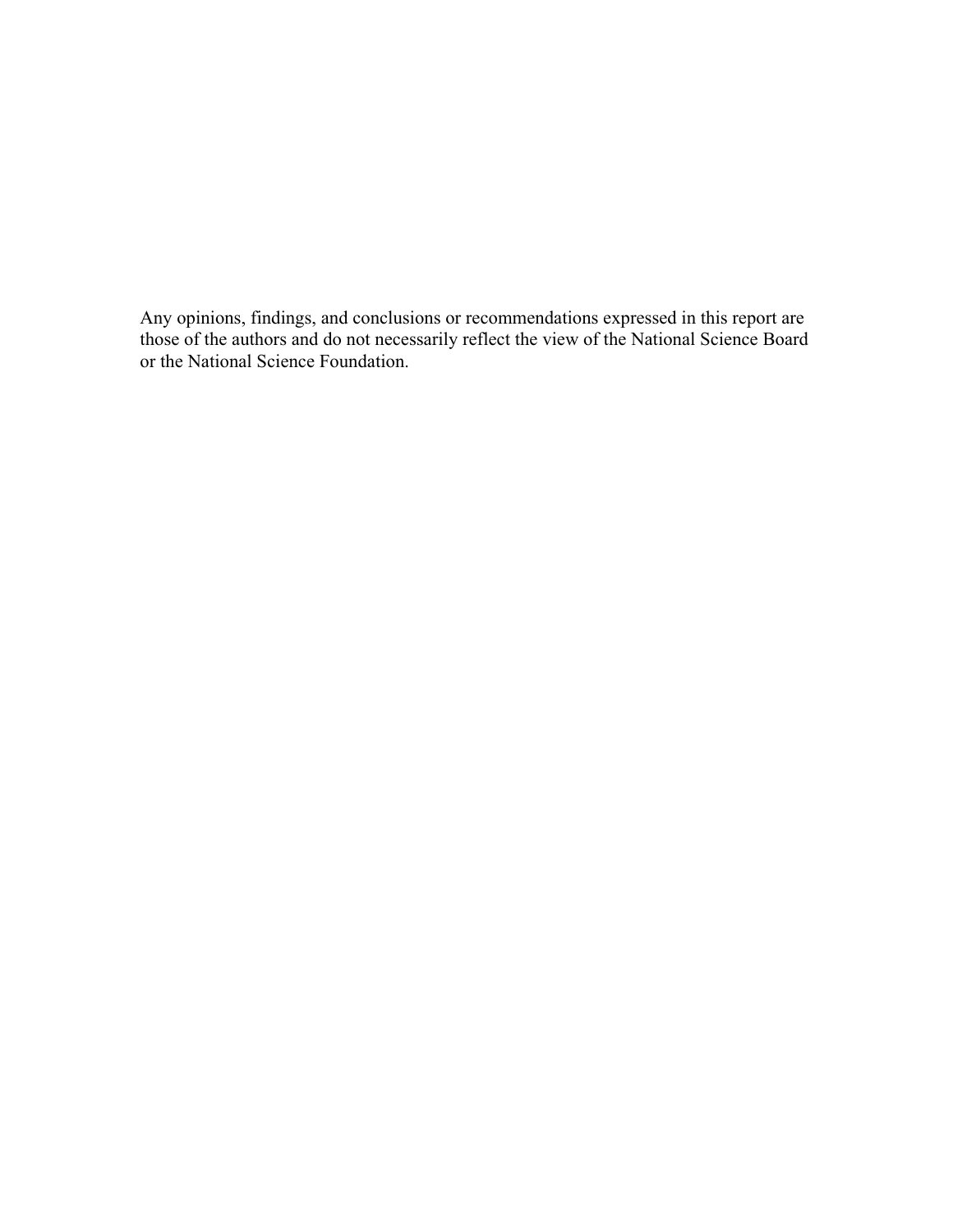Any opinions, findings, and conclusions or recommendations expressed in this report are those of the authors and do not necessarily reflect the view of the National Science Board or the National Science Foundation.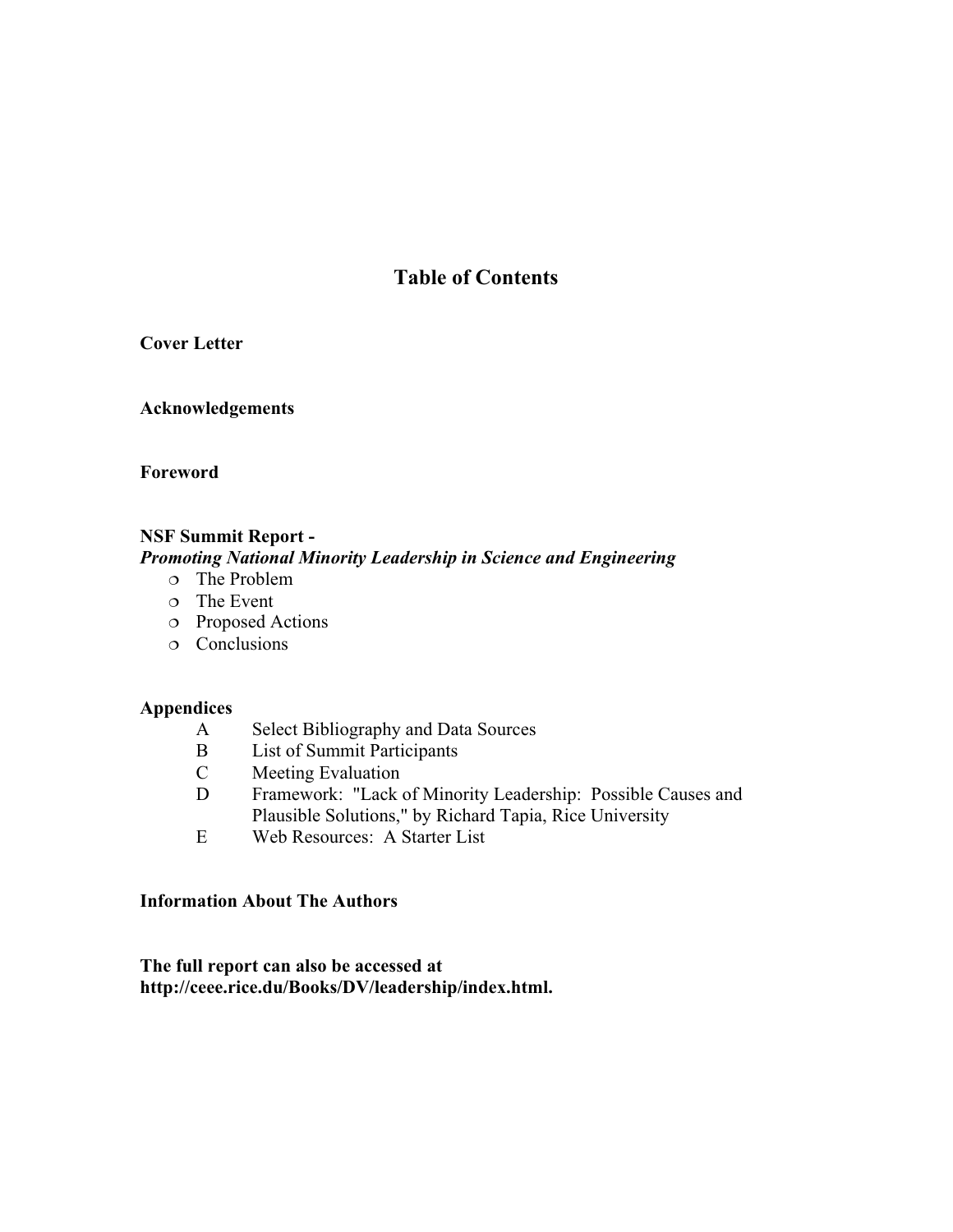# **Table of Contents**

# **Cover Letter**

# **Acknowledgements**

# **Foreword**

# **NSF Summit Report -**

# *Promoting National Minority Leadership in Science and Engineering*

- The Problem
- The Event
- Proposed Actions
- Conclusions

# **Appendices**

- A Select Bibliography and Data Sources
- B List of Summit Participants<br>C Meeting Evaluation
- Meeting Evaluation
- D Framework: "Lack of Minority Leadership: Possible Causes and Plausible Solutions," by Richard Tapia, Rice University
- E Web Resources: A Starter List

# **Information About The Authors**

**The full report can also be accessed at http://ceee.rice.du/Books/DV/leadership/index.html.**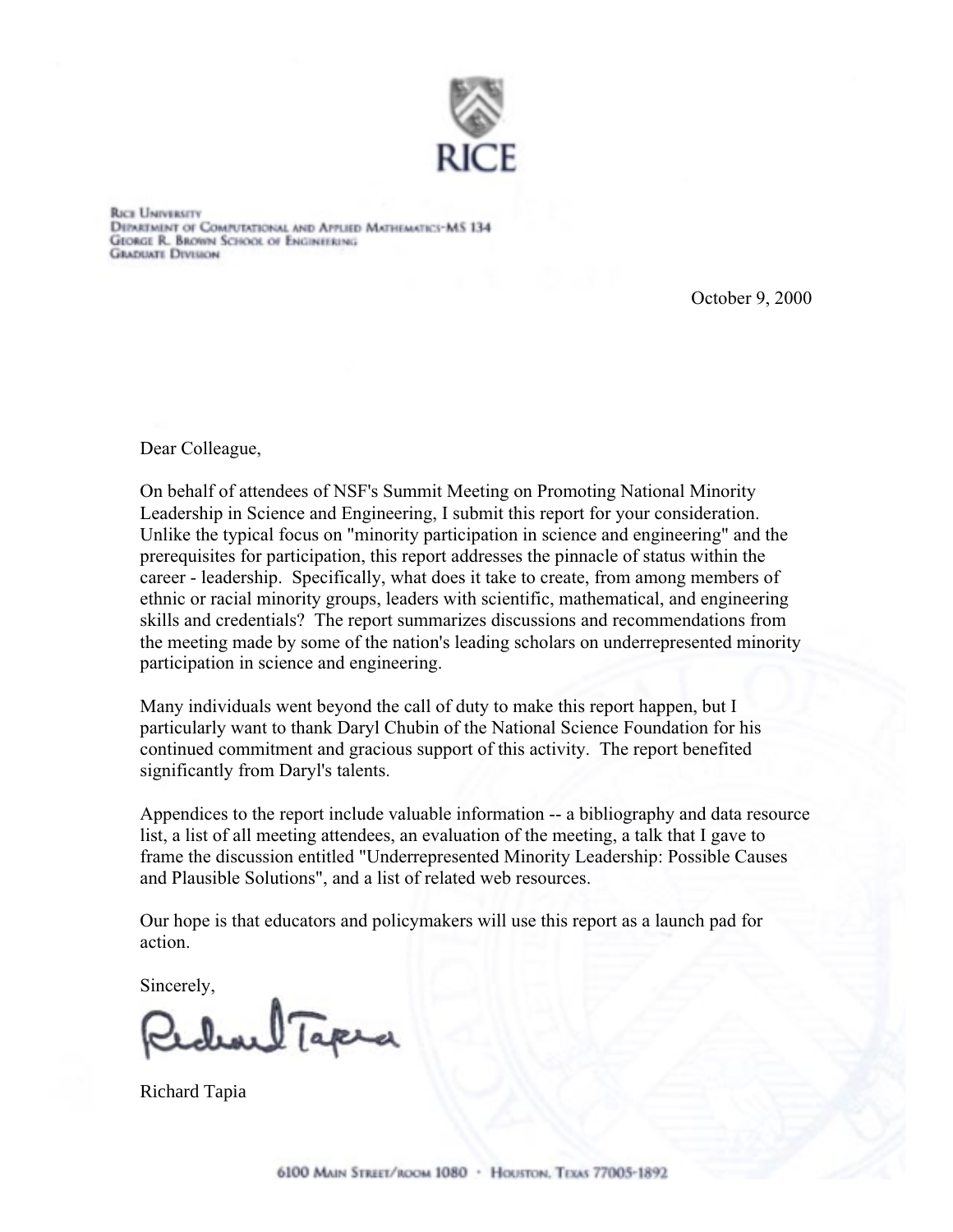

**RICE UNIVERSITY** DEPARTMENT OF COMPUTATIONAL AND APPLIED MATHEMATICS-MS 134 **GEORGE R. BROWN SCHOOL OF ENGINEERING GRADUATE DIVISION** 

October 9, 2000

Dear Colleague,

On behalf of attendees of NSF's Summit Meeting on Promoting National Minority Leadership in Science and Engineering, I submit this report for your consideration. Unlike the typical focus on "minority participation in science and engineering" and the prerequisites for participation, this report addresses the pinnacle of status within the career - leadership. Specifically, what does it take to create, from among members of ethnic or racial minority groups, leaders with scientific, mathematical, and engineering skills and credentials? The report summarizes discussions and recommendations from the meeting made by some of the nation's leading scholars on underrepresented minority participation in science and engineering.

Many individuals went beyond the call of duty to make this report happen, but I particularly want to thank Daryl Chubin of the National Science Foundation for his continued commitment and gracious support of this activity. The report benefited significantly from Daryl's talents.

Appendices to the report include valuable information -- a bibliography and data resource list, a list of all meeting attendees, an evaluation of the meeting, a talk that I gave to frame the discussion entitled "Underrepresented Minority Leadership: Possible Causes and Plausible Solutions", and a list of related web resources.

Our hope is that educators and policymakers will use this report as a launch pad for action.

Sincerely,

har Tapea

Richard Tapia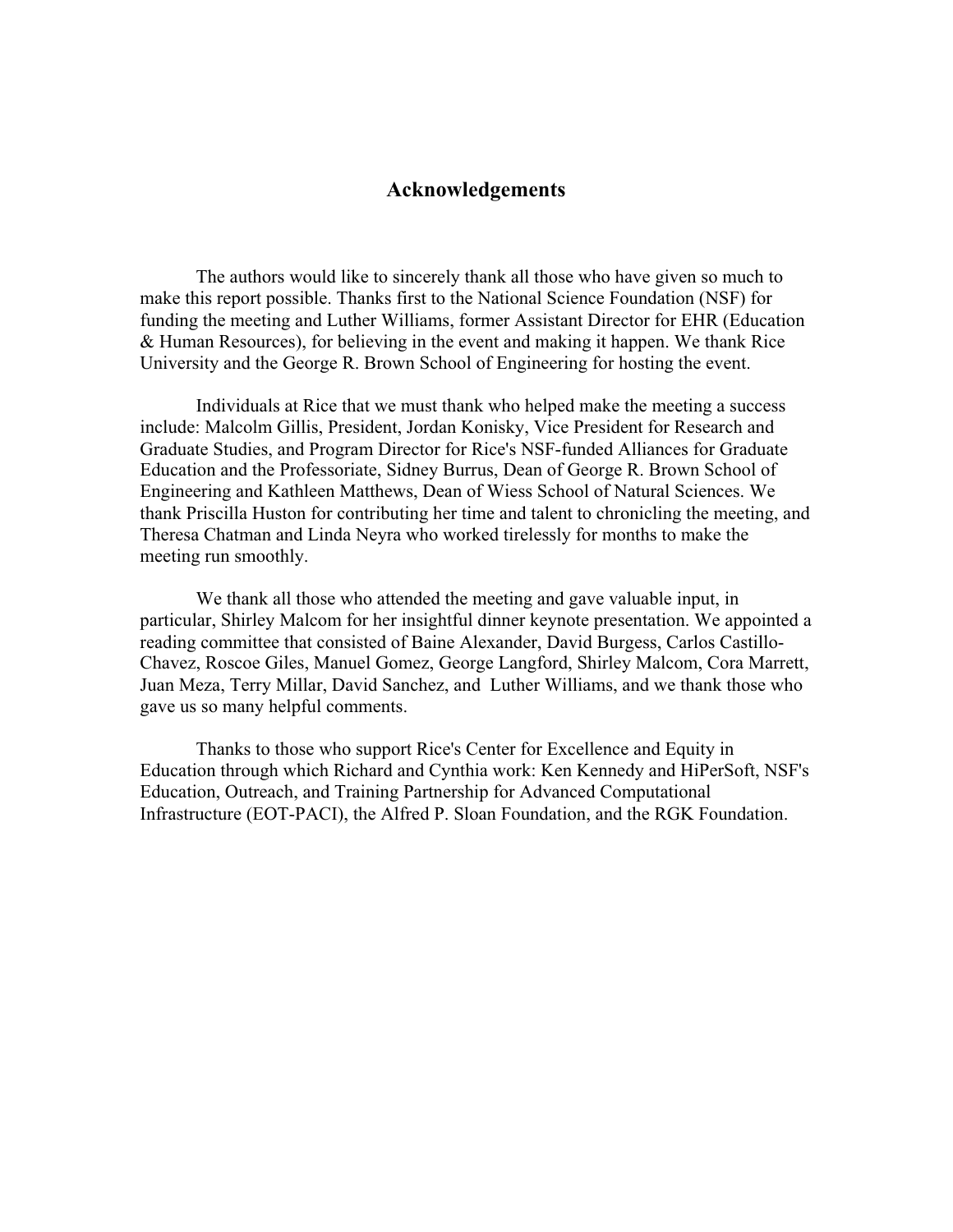# **Acknowledgements**

The authors would like to sincerely thank all those who have given so much to make this report possible. Thanks first to the National Science Foundation (NSF) for funding the meeting and Luther Williams, former Assistant Director for EHR (Education & Human Resources), for believing in the event and making it happen. We thank Rice University and the George R. Brown School of Engineering for hosting the event.

Individuals at Rice that we must thank who helped make the meeting a success include: Malcolm Gillis, President, Jordan Konisky, Vice President for Research and Graduate Studies, and Program Director for Rice's NSF-funded Alliances for Graduate Education and the Professoriate, Sidney Burrus, Dean of George R. Brown School of Engineering and Kathleen Matthews, Dean of Wiess School of Natural Sciences. We thank Priscilla Huston for contributing her time and talent to chronicling the meeting, and Theresa Chatman and Linda Neyra who worked tirelessly for months to make the meeting run smoothly.

We thank all those who attended the meeting and gave valuable input, in particular, Shirley Malcom for her insightful dinner keynote presentation. We appointed a reading committee that consisted of Baine Alexander, David Burgess, Carlos Castillo-Chavez, Roscoe Giles, Manuel Gomez, George Langford, Shirley Malcom, Cora Marrett, Juan Meza, Terry Millar, David Sanchez, and Luther Williams, and we thank those who gave us so many helpful comments.

Thanks to those who support Rice's Center for Excellence and Equity in Education through which Richard and Cynthia work: Ken Kennedy and HiPerSoft, NSF's Education, Outreach, and Training Partnership for Advanced Computational Infrastructure (EOT-PACI), the Alfred P. Sloan Foundation, and the RGK Foundation.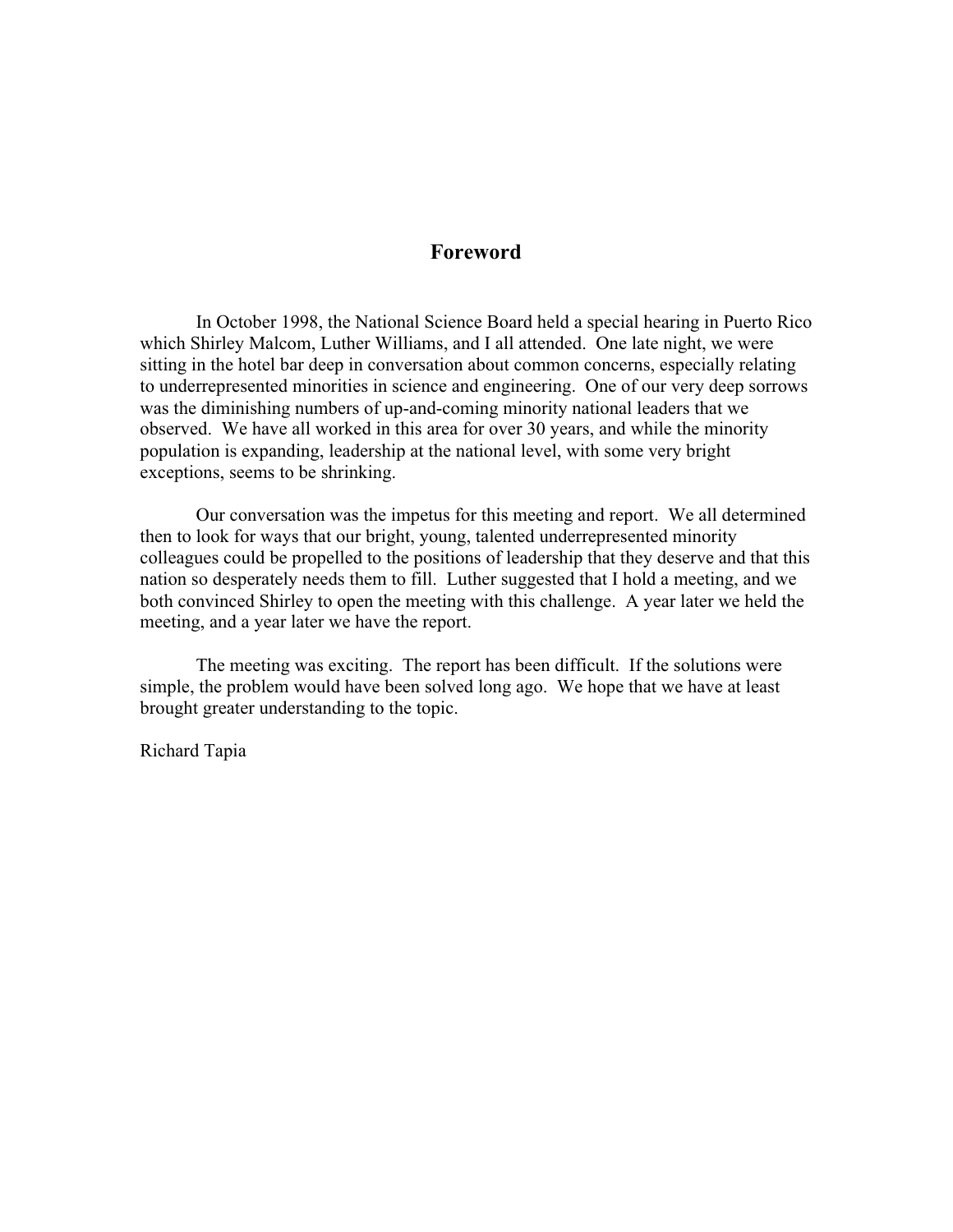# **Foreword**

In October 1998, the National Science Board held a special hearing in Puerto Rico which Shirley Malcom, Luther Williams, and I all attended. One late night, we were sitting in the hotel bar deep in conversation about common concerns, especially relating to underrepresented minorities in science and engineering. One of our very deep sorrows was the diminishing numbers of up-and-coming minority national leaders that we observed. We have all worked in this area for over 30 years, and while the minority population is expanding, leadership at the national level, with some very bright exceptions, seems to be shrinking.

Our conversation was the impetus for this meeting and report. We all determined then to look for ways that our bright, young, talented underrepresented minority colleagues could be propelled to the positions of leadership that they deserve and that this nation so desperately needs them to fill. Luther suggested that I hold a meeting, and we both convinced Shirley to open the meeting with this challenge. A year later we held the meeting, and a year later we have the report.

The meeting was exciting. The report has been difficult. If the solutions were simple, the problem would have been solved long ago. We hope that we have at least brought greater understanding to the topic.

Richard Tapia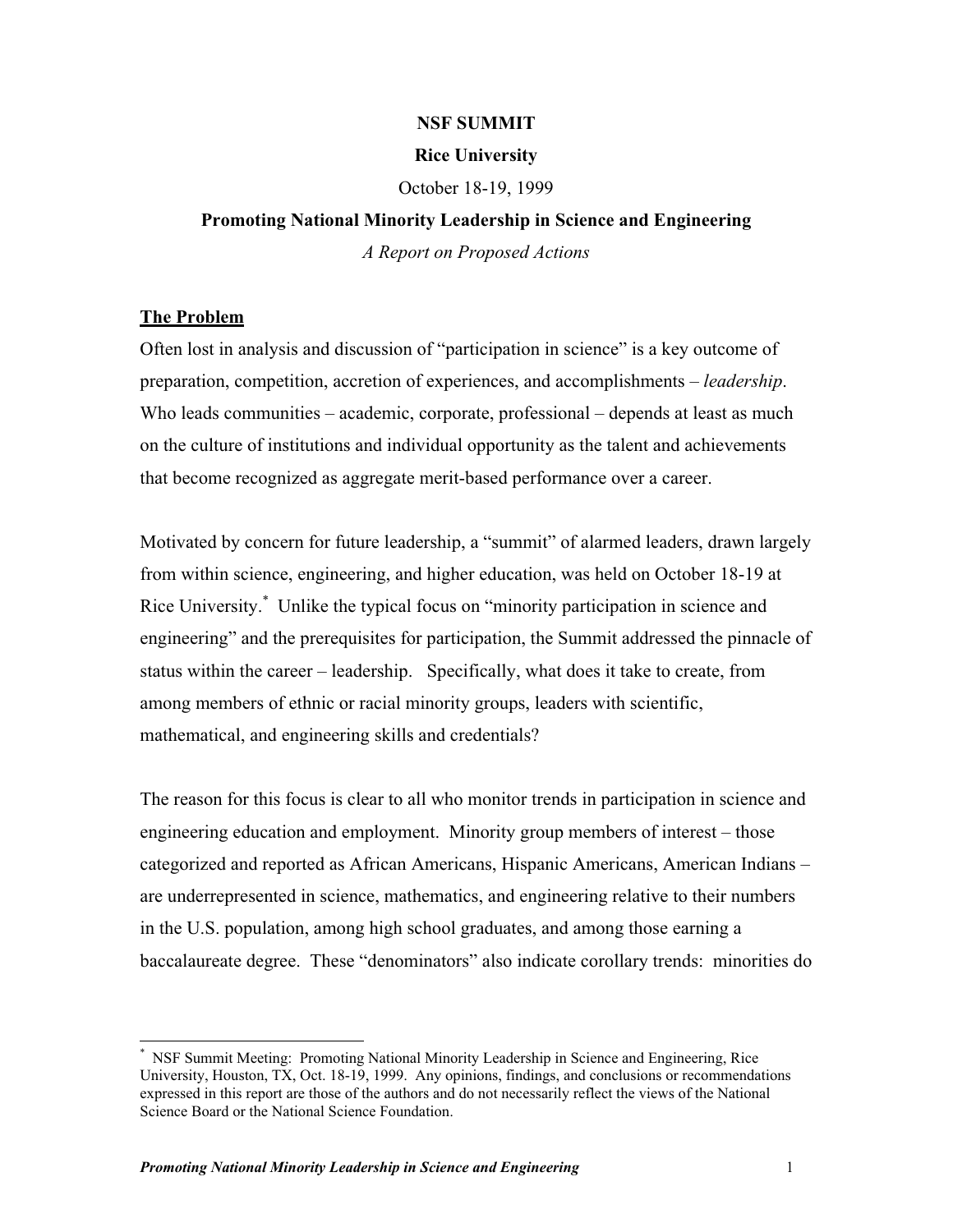# **NSF SUMMIT**

# **Rice University**

October 18-19, 1999

# **Promoting National Minority Leadership in Science and Engineering** *A Report on Proposed Actions*

# **The Problem**

 $\overline{a}$ 

Often lost in analysis and discussion of "participation in science" is a key outcome of preparation, competition, accretion of experiences, and accomplishments – *leadership*. Who leads communities – academic, corporate, professional – depends at least as much on the culture of institutions and individual opportunity as the talent and achievements that become recognized as aggregate merit-based performance over a career.

Motivated by concern for future leadership, a "summit" of alarmed leaders, drawn largely from within science, engineering, and higher education, was held on October 18-19 at Rice University.<sup>\*</sup> Unlike the typical focus on "minority participation in science and engineering" and the prerequisites for participation, the Summit addressed the pinnacle of status within the career – leadership. Specifically, what does it take to create, from among members of ethnic or racial minority groups, leaders with scientific, mathematical, and engineering skills and credentials?

The reason for this focus is clear to all who monitor trends in participation in science and engineering education and employment. Minority group members of interest – those categorized and reported as African Americans, Hispanic Americans, American Indians – are underrepresented in science, mathematics, and engineering relative to their numbers in the U.S. population, among high school graduates, and among those earning a baccalaureate degree. These "denominators" also indicate corollary trends: minorities do

<sup>\*</sup> NSF Summit Meeting: Promoting National Minority Leadership in Science and Engineering, Rice University, Houston, TX, Oct. 18-19, 1999. Any opinions, findings, and conclusions or recommendations expressed in this report are those of the authors and do not necessarily reflect the views of the National Science Board or the National Science Foundation.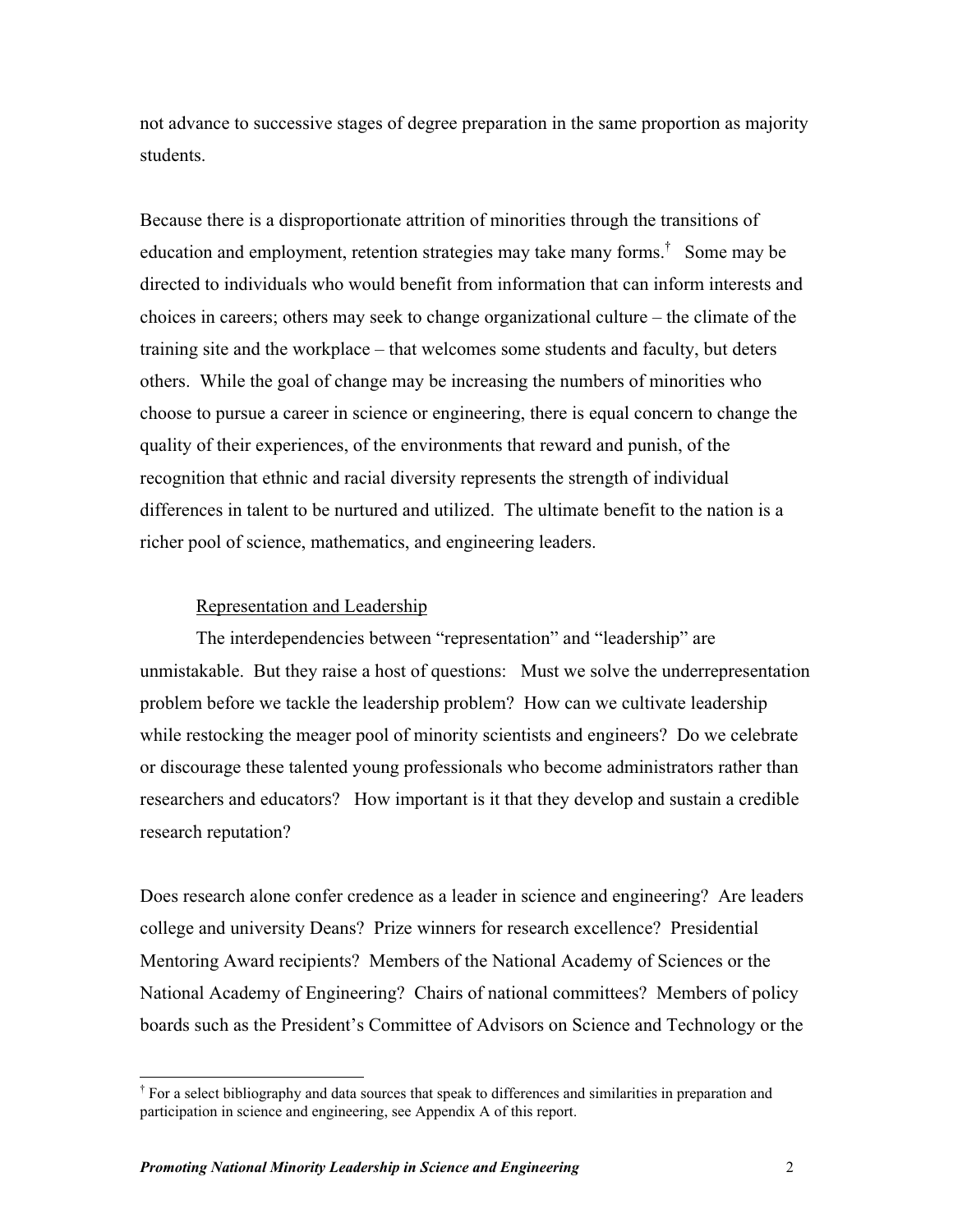not advance to successive stages of degree preparation in the same proportion as majority students.

Because there is a disproportionate attrition of minorities through the transitions of education and employment, retention strategies may take many forms.<sup>†</sup> Some may be directed to individuals who would benefit from information that can inform interests and choices in careers; others may seek to change organizational culture – the climate of the training site and the workplace – that welcomes some students and faculty, but deters others. While the goal of change may be increasing the numbers of minorities who choose to pursue a career in science or engineering, there is equal concern to change the quality of their experiences, of the environments that reward and punish, of the recognition that ethnic and racial diversity represents the strength of individual differences in talent to be nurtured and utilized. The ultimate benefit to the nation is a richer pool of science, mathematics, and engineering leaders.

# Representation and Leadership

The interdependencies between "representation" and "leadership" are unmistakable. But they raise a host of questions: Must we solve the underrepresentation problem before we tackle the leadership problem? How can we cultivate leadership while restocking the meager pool of minority scientists and engineers? Do we celebrate or discourage these talented young professionals who become administrators rather than researchers and educators? How important is it that they develop and sustain a credible research reputation?

Does research alone confer credence as a leader in science and engineering? Are leaders college and university Deans? Prize winners for research excellence? Presidential Mentoring Award recipients? Members of the National Academy of Sciences or the National Academy of Engineering? Chairs of national committees? Members of policy boards such as the President's Committee of Advisors on Science and Technology or the

<sup>&</sup>lt;sup>†</sup> For a select bibliography and data sources that speak to differences and similarities in preparation and participation in science and engineering, see Appendix A of this report.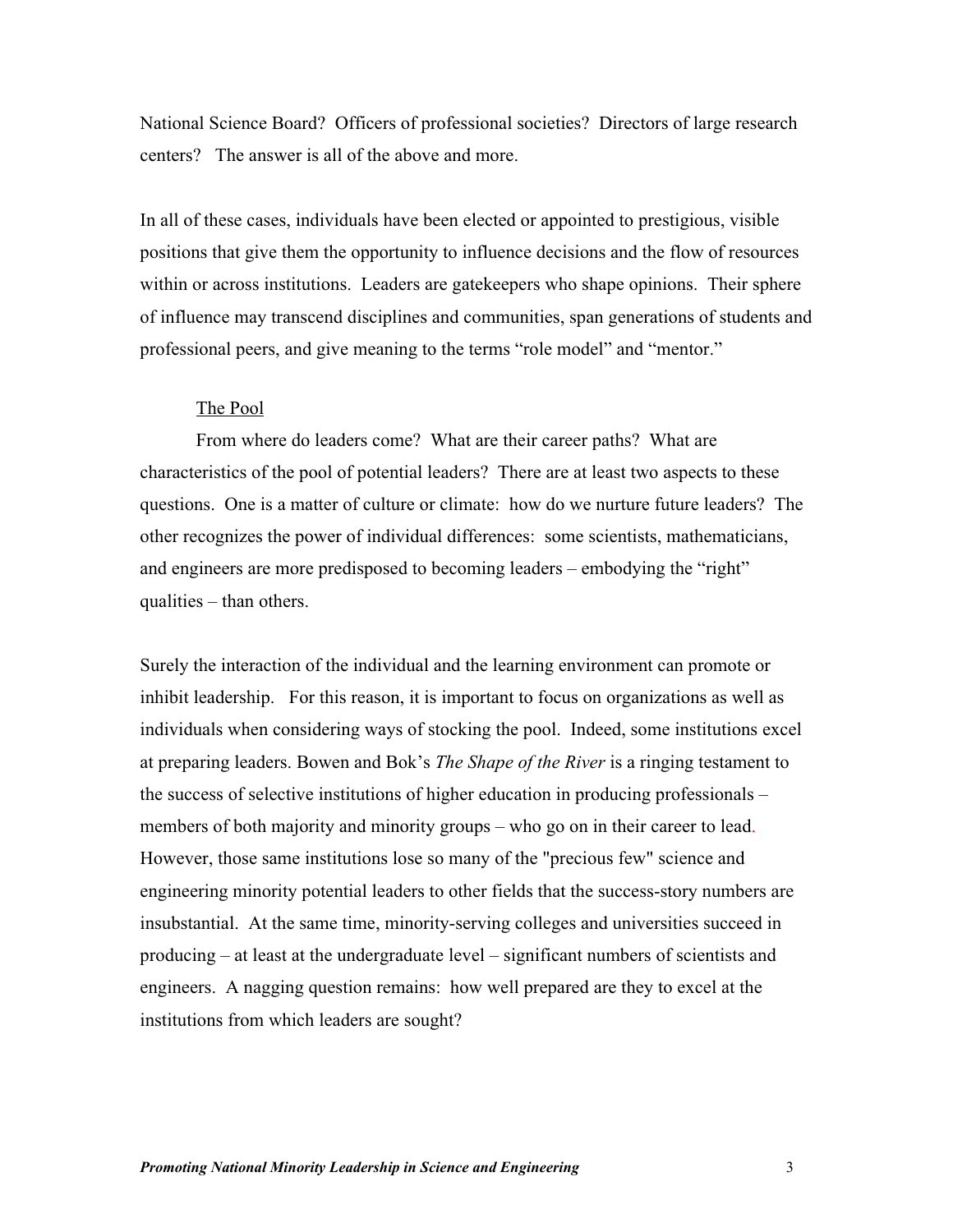National Science Board? Officers of professional societies? Directors of large research centers? The answer is all of the above and more.

In all of these cases, individuals have been elected or appointed to prestigious, visible positions that give them the opportunity to influence decisions and the flow of resources within or across institutions. Leaders are gatekeepers who shape opinions. Their sphere of influence may transcend disciplines and communities, span generations of students and professional peers, and give meaning to the terms "role model" and "mentor."

# The Pool

From where do leaders come? What are their career paths? What are characteristics of the pool of potential leaders? There are at least two aspects to these questions. One is a matter of culture or climate: how do we nurture future leaders? The other recognizes the power of individual differences: some scientists, mathematicians, and engineers are more predisposed to becoming leaders – embodying the "right" qualities – than others.

Surely the interaction of the individual and the learning environment can promote or inhibit leadership. For this reason, it is important to focus on organizations as well as individuals when considering ways of stocking the pool. Indeed, some institutions excel at preparing leaders. Bowen and Bok's *The Shape of the River* is a ringing testament to the success of selective institutions of higher education in producing professionals – members of both majority and minority groups – who go on in their career to lead. However, those same institutions lose so many of the "precious few" science and engineering minority potential leaders to other fields that the success-story numbers are insubstantial. At the same time, minority-serving colleges and universities succeed in producing – at least at the undergraduate level – significant numbers of scientists and engineers. A nagging question remains: how well prepared are they to excel at the institutions from which leaders are sought?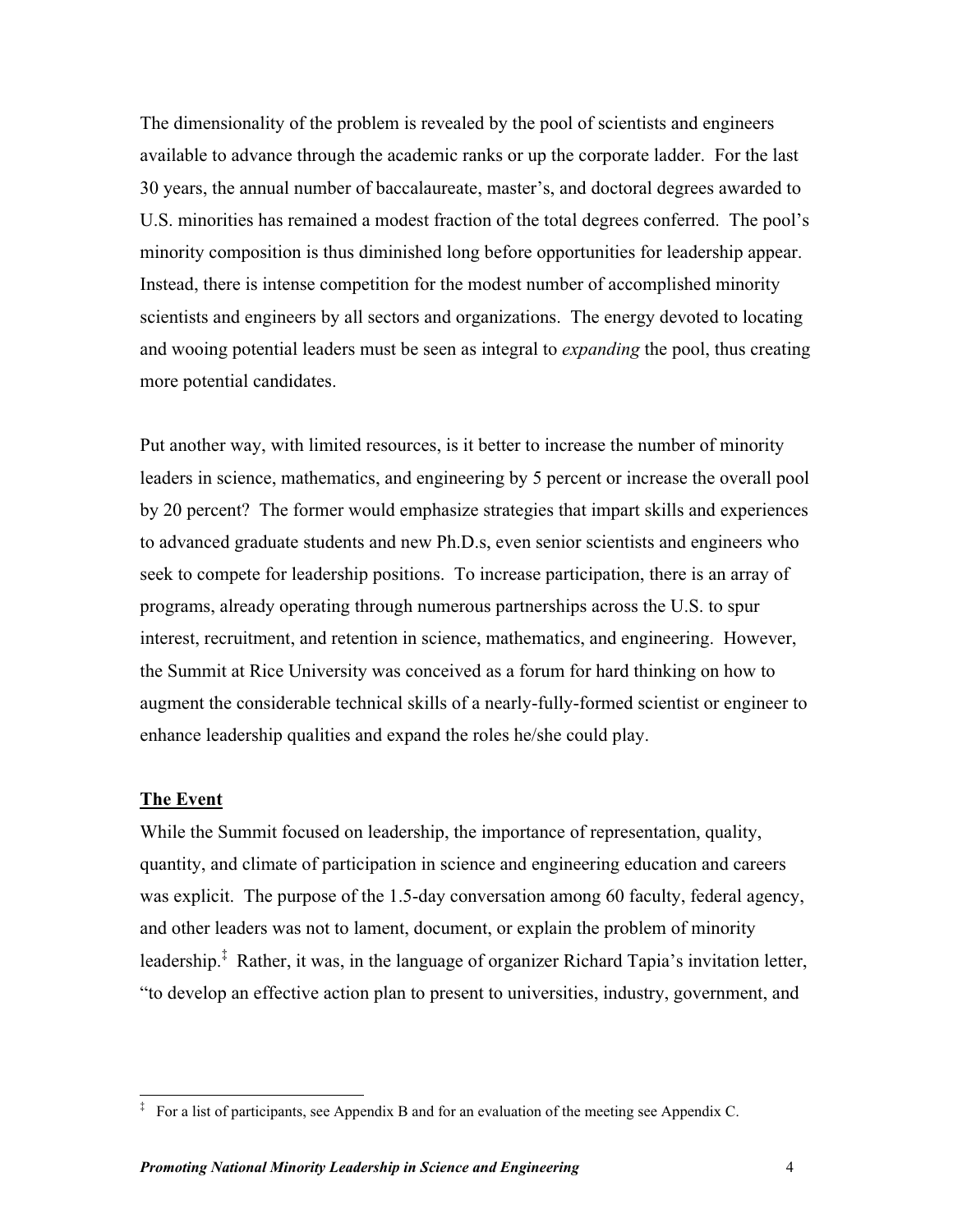The dimensionality of the problem is revealed by the pool of scientists and engineers available to advance through the academic ranks or up the corporate ladder. For the last 30 years, the annual number of baccalaureate, master's, and doctoral degrees awarded to U.S. minorities has remained a modest fraction of the total degrees conferred. The pool's minority composition is thus diminished long before opportunities for leadership appear. Instead, there is intense competition for the modest number of accomplished minority scientists and engineers by all sectors and organizations. The energy devoted to locating and wooing potential leaders must be seen as integral to *expanding* the pool, thus creating more potential candidates.

Put another way, with limited resources, is it better to increase the number of minority leaders in science, mathematics, and engineering by 5 percent or increase the overall pool by 20 percent? The former would emphasize strategies that impart skills and experiences to advanced graduate students and new Ph.D.s, even senior scientists and engineers who seek to compete for leadership positions. To increase participation, there is an array of programs, already operating through numerous partnerships across the U.S. to spur interest, recruitment, and retention in science, mathematics, and engineering. However, the Summit at Rice University was conceived as a forum for hard thinking on how to augment the considerable technical skills of a nearly-fully-formed scientist or engineer to enhance leadership qualities and expand the roles he/she could play.

# **The Event**

 $\overline{a}$ 

While the Summit focused on leadership, the importance of representation, quality, quantity, and climate of participation in science and engineering education and careers was explicit. The purpose of the 1.5-day conversation among 60 faculty, federal agency, and other leaders was not to lament, document, or explain the problem of minority leadership.<sup>‡</sup> Rather, it was, in the language of organizer Richard Tapia's invitation letter, "to develop an effective action plan to present to universities, industry, government, and

<sup>&</sup>lt;sup>‡</sup> For a list of participants, see Appendix B and for an evaluation of the meeting see Appendix C.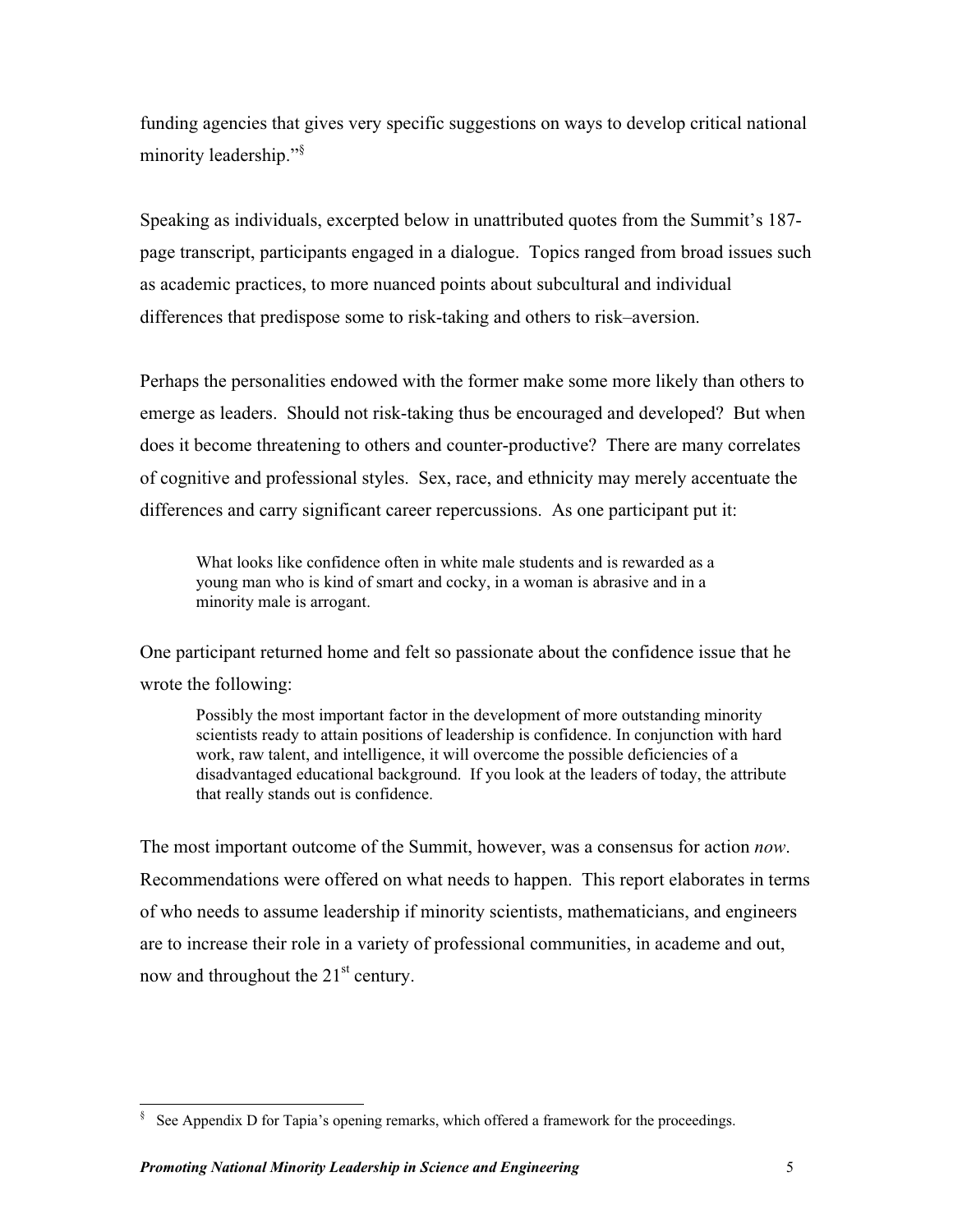funding agencies that gives very specific suggestions on ways to develop critical national minority leadership."§

Speaking as individuals, excerpted below in unattributed quotes from the Summit's 187 page transcript, participants engaged in a dialogue. Topics ranged from broad issues such as academic practices, to more nuanced points about subcultural and individual differences that predispose some to risk-taking and others to risk–aversion.

Perhaps the personalities endowed with the former make some more likely than others to emerge as leaders. Should not risk-taking thus be encouraged and developed? But when does it become threatening to others and counter-productive? There are many correlates of cognitive and professional styles. Sex, race, and ethnicity may merely accentuate the differences and carry significant career repercussions. As one participant put it:

What looks like confidence often in white male students and is rewarded as a young man who is kind of smart and cocky, in a woman is abrasive and in a minority male is arrogant.

One participant returned home and felt so passionate about the confidence issue that he wrote the following:

Possibly the most important factor in the development of more outstanding minority scientists ready to attain positions of leadership is confidence. In conjunction with hard work, raw talent, and intelligence, it will overcome the possible deficiencies of a disadvantaged educational background. If you look at the leaders of today, the attribute that really stands out is confidence.

The most important outcome of the Summit, however, was a consensus for action *now*. Recommendations were offered on what needs to happen. This report elaborates in terms of who needs to assume leadership if minority scientists, mathematicians, and engineers are to increase their role in a variety of professional communities, in academe and out, now and throughout the  $21<sup>st</sup>$  century.

<sup>&</sup>lt;sup>§</sup> See Appendix D for Tapia's opening remarks, which offered a framework for the proceedings.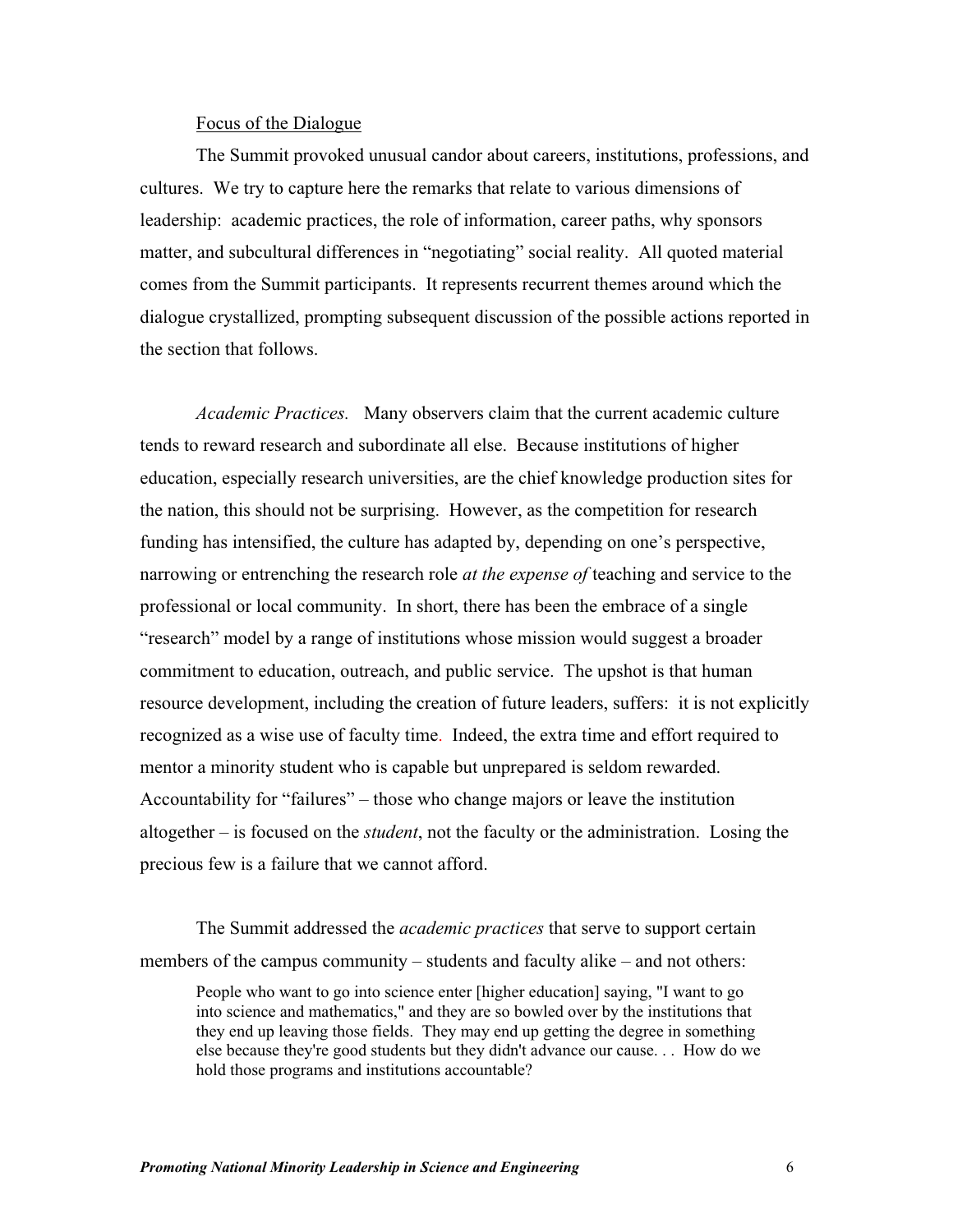# Focus of the Dialogue

The Summit provoked unusual candor about careers, institutions, professions, and cultures. We try to capture here the remarks that relate to various dimensions of leadership: academic practices, the role of information, career paths, why sponsors matter, and subcultural differences in "negotiating" social reality. All quoted material comes from the Summit participants. It represents recurrent themes around which the dialogue crystallized, prompting subsequent discussion of the possible actions reported in the section that follows.

*Academic Practices.* Many observers claim that the current academic culture tends to reward research and subordinate all else. Because institutions of higher education, especially research universities, are the chief knowledge production sites for the nation, this should not be surprising. However, as the competition for research funding has intensified, the culture has adapted by, depending on one's perspective, narrowing or entrenching the research role *at the expense of* teaching and service to the professional or local community. In short, there has been the embrace of a single "research" model by a range of institutions whose mission would suggest a broader commitment to education, outreach, and public service. The upshot is that human resource development, including the creation of future leaders, suffers: it is not explicitly recognized as a wise use of faculty time. Indeed, the extra time and effort required to mentor a minority student who is capable but unprepared is seldom rewarded. Accountability for "failures" – those who change majors or leave the institution altogether – is focused on the *student*, not the faculty or the administration. Losing the precious few is a failure that we cannot afford.

The Summit addressed the *academic practices* that serve to support certain members of the campus community – students and faculty alike – and not others:

People who want to go into science enter [higher education] saying, "I want to go into science and mathematics," and they are so bowled over by the institutions that they end up leaving those fields. They may end up getting the degree in something else because they're good students but they didn't advance our cause. . . How do we hold those programs and institutions accountable?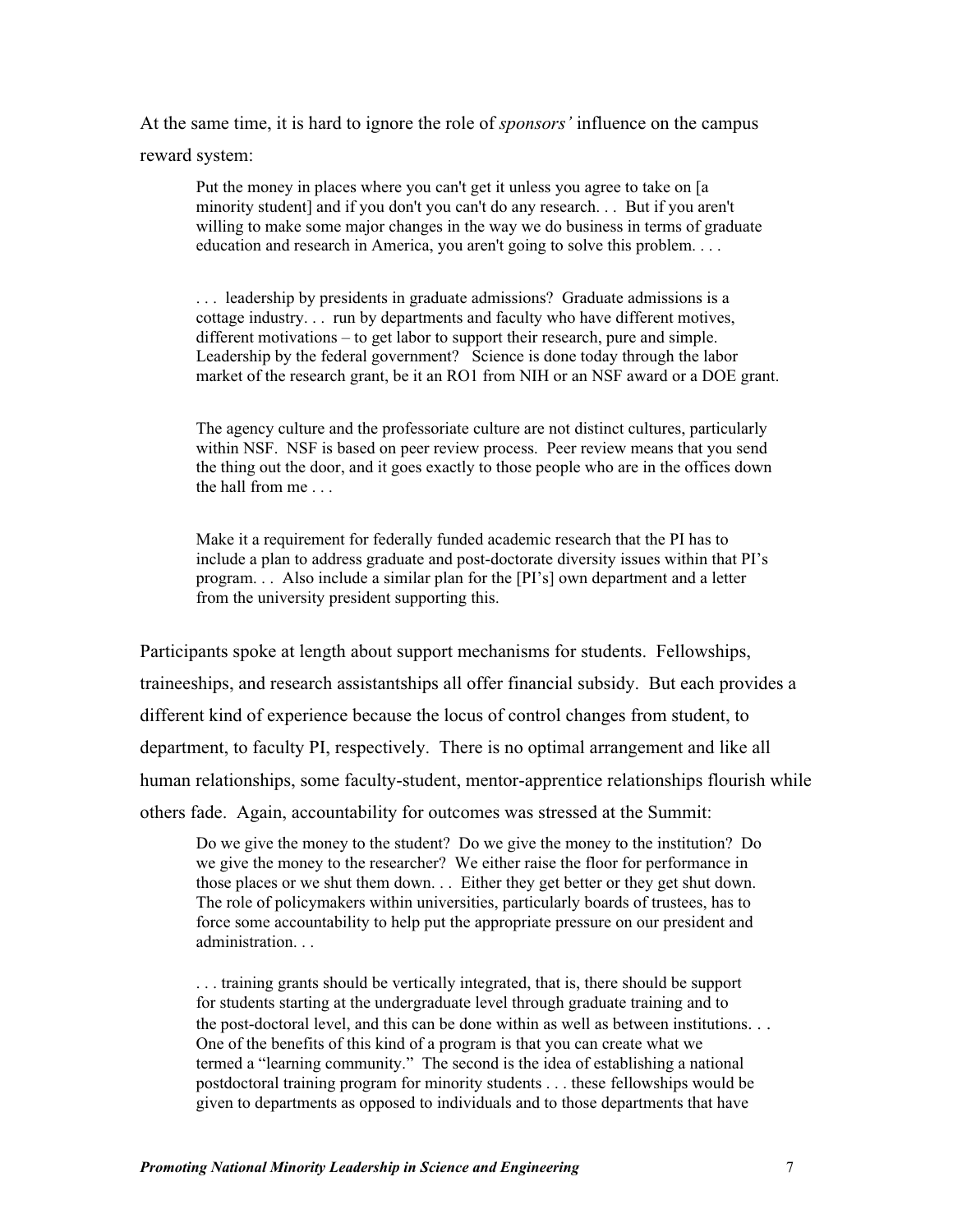At the same time, it is hard to ignore the role of *sponsors'* influence on the campus reward system:

Put the money in places where you can't get it unless you agree to take on [a minority student] and if you don't you can't do any research. . . But if you aren't willing to make some major changes in the way we do business in terms of graduate education and research in America, you aren't going to solve this problem. . . .

. . . leadership by presidents in graduate admissions? Graduate admissions is a cottage industry. . . run by departments and faculty who have different motives, different motivations – to get labor to support their research, pure and simple. Leadership by the federal government? Science is done today through the labor market of the research grant, be it an RO1 from NIH or an NSF award or a DOE grant.

The agency culture and the professoriate culture are not distinct cultures, particularly within NSF. NSF is based on peer review process. Peer review means that you send the thing out the door, and it goes exactly to those people who are in the offices down the hall from me . . .

Make it a requirement for federally funded academic research that the PI has to include a plan to address graduate and post-doctorate diversity issues within that PI's program. . . Also include a similar plan for the [PI's] own department and a letter from the university president supporting this.

Participants spoke at length about support mechanisms for students. Fellowships, traineeships, and research assistantships all offer financial subsidy. But each provides a different kind of experience because the locus of control changes from student, to department, to faculty PI, respectively. There is no optimal arrangement and like all human relationships, some faculty-student, mentor-apprentice relationships flourish while others fade. Again, accountability for outcomes was stressed at the Summit:

Do we give the money to the student? Do we give the money to the institution? Do we give the money to the researcher? We either raise the floor for performance in those places or we shut them down. . . Either they get better or they get shut down. The role of policymakers within universities, particularly boards of trustees, has to force some accountability to help put the appropriate pressure on our president and administration. . .

. . . training grants should be vertically integrated, that is, there should be support for students starting at the undergraduate level through graduate training and to the post-doctoral level, and this can be done within as well as between institutions. . . One of the benefits of this kind of a program is that you can create what we termed a "learning community." The second is the idea of establishing a national postdoctoral training program for minority students . . . these fellowships would be given to departments as opposed to individuals and to those departments that have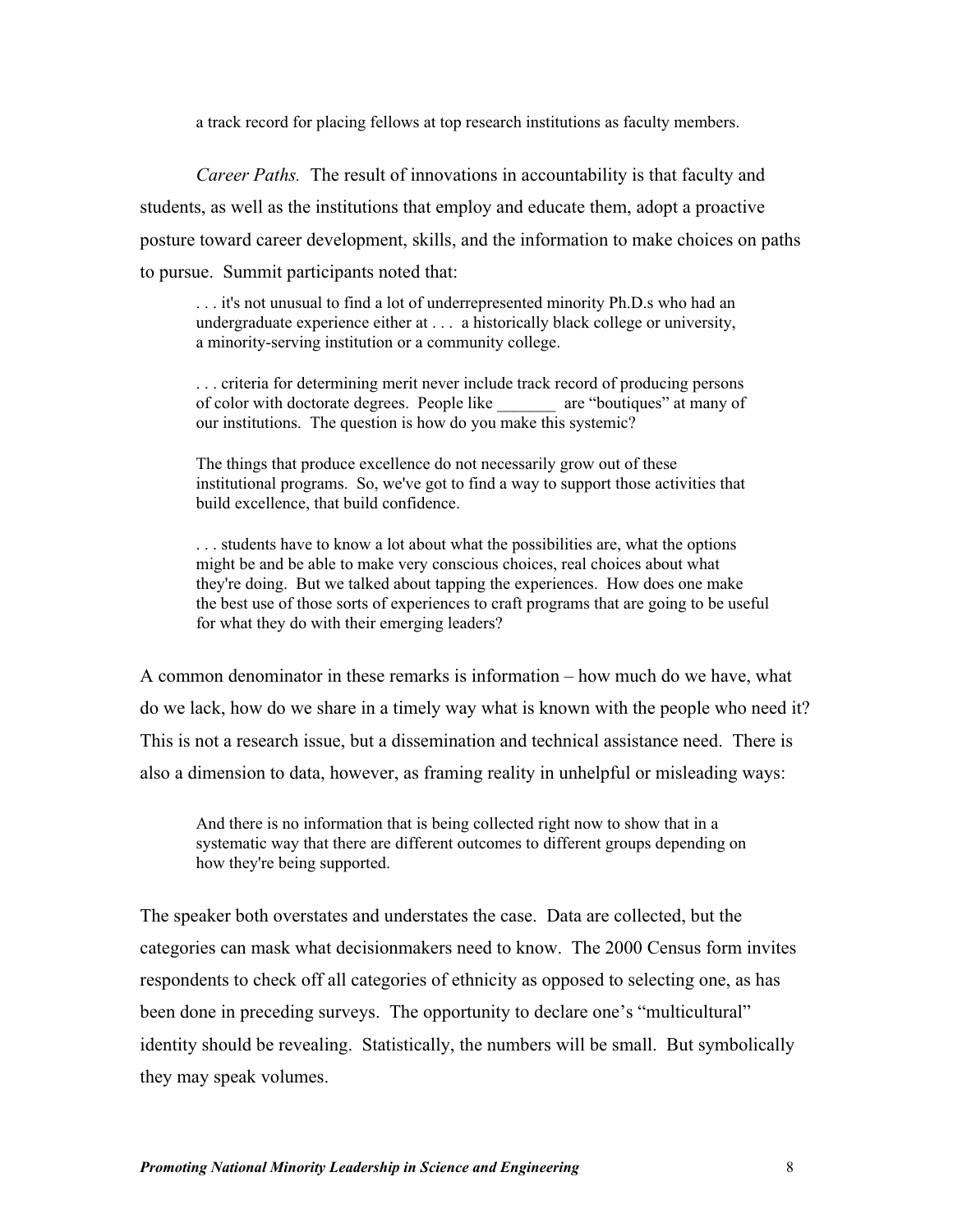a track record for placing fellows at top research institutions as faculty members.

*Career Paths.* The result of innovations in accountability is that faculty and students, as well as the institutions that employ and educate them, adopt a proactive posture toward career development, skills, and the information to make choices on paths to pursue. Summit participants noted that:

. . . it's not unusual to find a lot of underrepresented minority Ph.D.s who had an undergraduate experience either at . . . a historically black college or university, a minority-serving institution or a community college.

. . . criteria for determining merit never include track record of producing persons of color with doctorate degrees. People like \_\_\_\_\_\_\_ are "boutiques" at many of our institutions. The question is how do you make this systemic?

The things that produce excellence do not necessarily grow out of these institutional programs. So, we've got to find a way to support those activities that build excellence, that build confidence.

. . . students have to know a lot about what the possibilities are, what the options might be and be able to make very conscious choices, real choices about what they're doing. But we talked about tapping the experiences. How does one make the best use of those sorts of experiences to craft programs that are going to be useful for what they do with their emerging leaders?

A common denominator in these remarks is information – how much do we have, what do we lack, how do we share in a timely way what is known with the people who need it? This is not a research issue, but a dissemination and technical assistance need. There is also a dimension to data, however, as framing reality in unhelpful or misleading ways:

And there is no information that is being collected right now to show that in a systematic way that there are different outcomes to different groups depending on how they're being supported.

The speaker both overstates and understates the case. Data are collected, but the categories can mask what decisionmakers need to know. The 2000 Census form invites respondents to check off all categories of ethnicity as opposed to selecting one, as has been done in preceding surveys. The opportunity to declare one's "multicultural" identity should be revealing. Statistically, the numbers will be small. But symbolically they may speak volumes.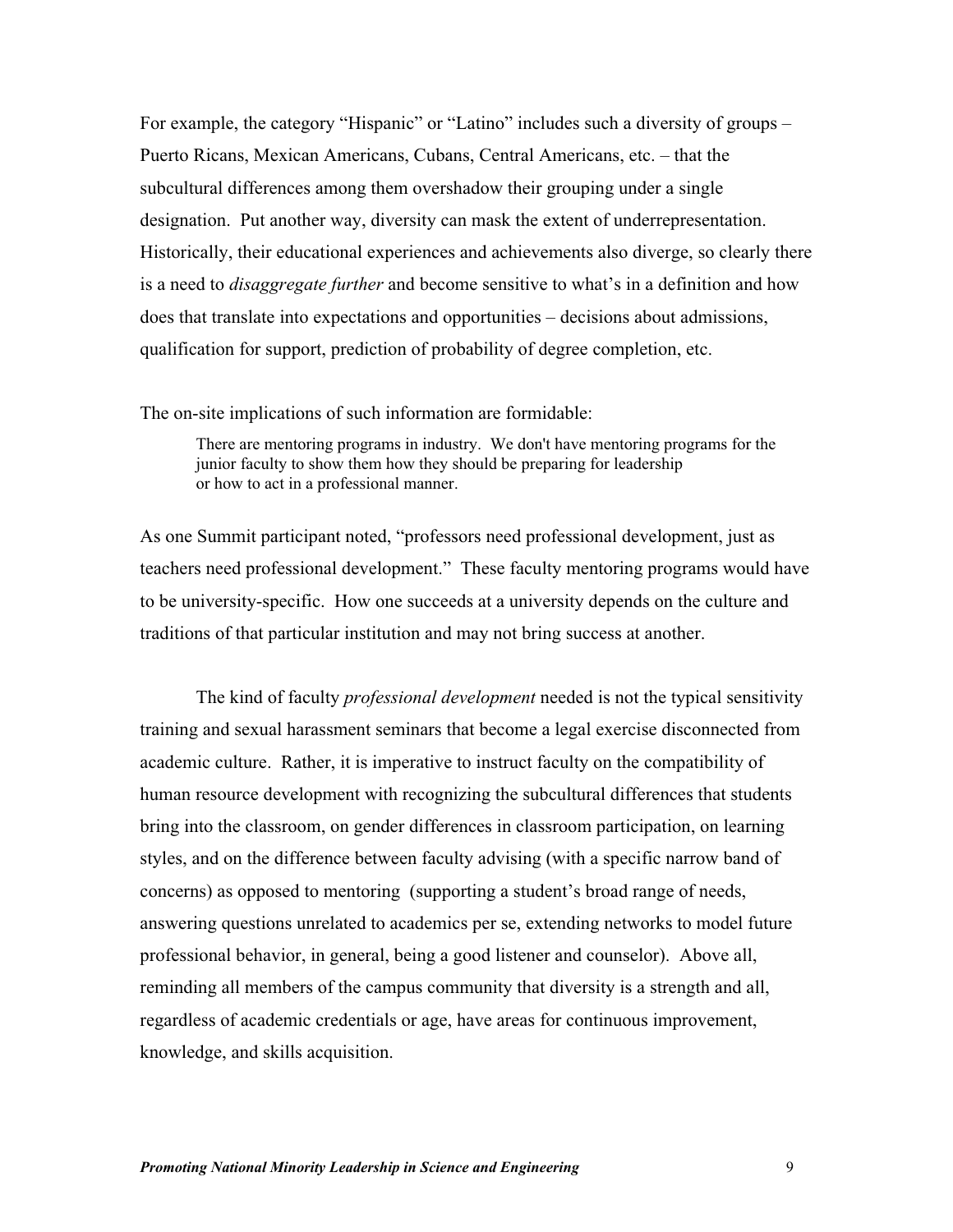For example, the category "Hispanic" or "Latino" includes such a diversity of groups – Puerto Ricans, Mexican Americans, Cubans, Central Americans, etc. – that the subcultural differences among them overshadow their grouping under a single designation. Put another way, diversity can mask the extent of underrepresentation. Historically, their educational experiences and achievements also diverge, so clearly there is a need to *disaggregate further* and become sensitive to what's in a definition and how does that translate into expectations and opportunities – decisions about admissions, qualification for support, prediction of probability of degree completion, etc.

The on-site implications of such information are formidable:

There are mentoring programs in industry. We don't have mentoring programs for the junior faculty to show them how they should be preparing for leadership or how to act in a professional manner.

As one Summit participant noted, "professors need professional development, just as teachers need professional development." These faculty mentoring programs would have to be university-specific. How one succeeds at a university depends on the culture and traditions of that particular institution and may not bring success at another.

The kind of faculty *professional development* needed is not the typical sensitivity training and sexual harassment seminars that become a legal exercise disconnected from academic culture. Rather, it is imperative to instruct faculty on the compatibility of human resource development with recognizing the subcultural differences that students bring into the classroom, on gender differences in classroom participation, on learning styles, and on the difference between faculty advising (with a specific narrow band of concerns) as opposed to mentoring (supporting a student's broad range of needs, answering questions unrelated to academics per se, extending networks to model future professional behavior, in general, being a good listener and counselor). Above all, reminding all members of the campus community that diversity is a strength and all, regardless of academic credentials or age, have areas for continuous improvement, knowledge, and skills acquisition.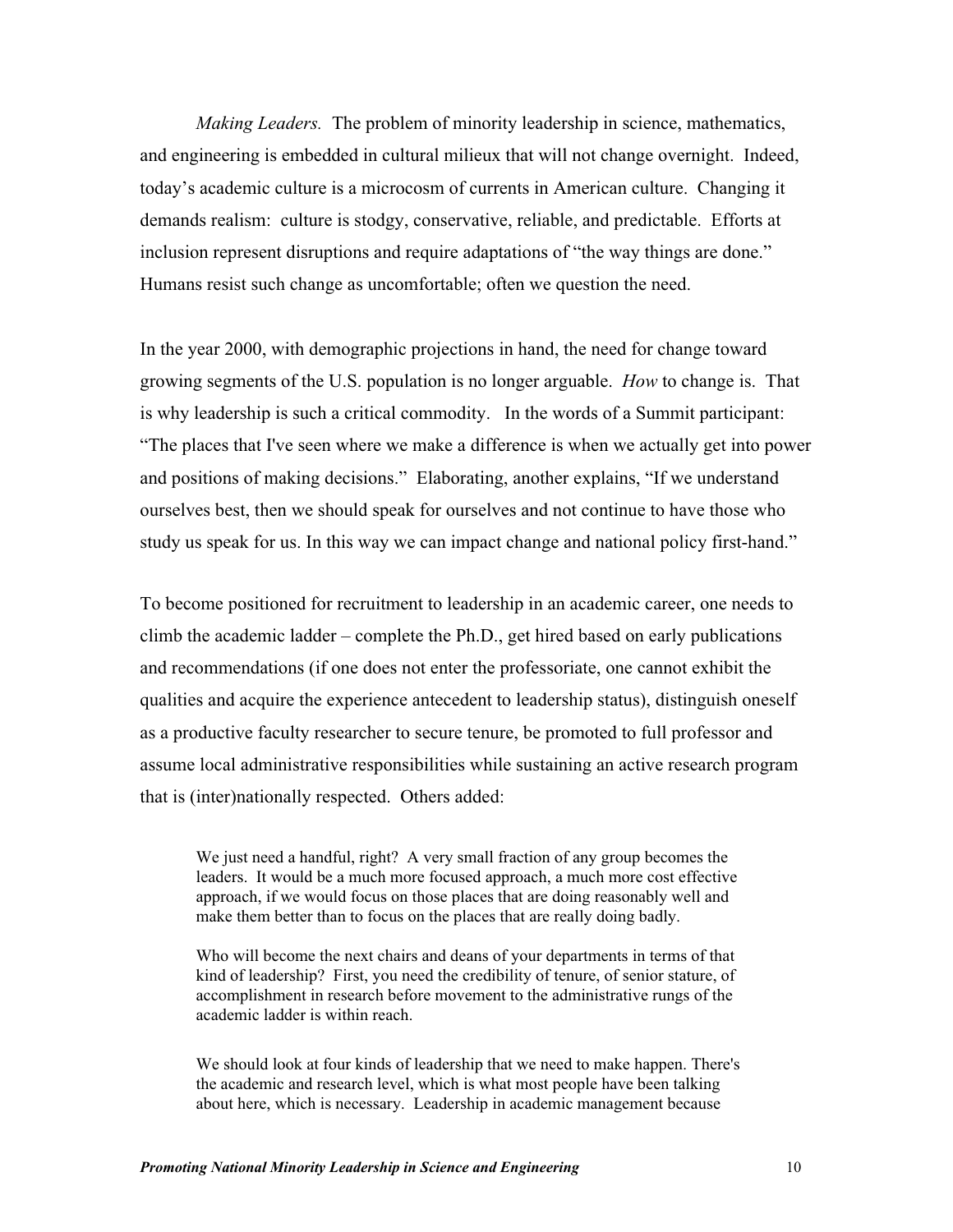*Making Leaders.* The problem of minority leadership in science, mathematics, and engineering is embedded in cultural milieux that will not change overnight. Indeed, today's academic culture is a microcosm of currents in American culture. Changing it demands realism: culture is stodgy, conservative, reliable, and predictable. Efforts at inclusion represent disruptions and require adaptations of "the way things are done." Humans resist such change as uncomfortable; often we question the need.

In the year 2000, with demographic projections in hand, the need for change toward growing segments of the U.S. population is no longer arguable. *How* to change is. That is why leadership is such a critical commodity. In the words of a Summit participant: "The places that I've seen where we make a difference is when we actually get into power and positions of making decisions." Elaborating, another explains, "If we understand ourselves best, then we should speak for ourselves and not continue to have those who study us speak for us. In this way we can impact change and national policy first-hand."

To become positioned for recruitment to leadership in an academic career, one needs to climb the academic ladder – complete the Ph.D., get hired based on early publications and recommendations (if one does not enter the professoriate, one cannot exhibit the qualities and acquire the experience antecedent to leadership status), distinguish oneself as a productive faculty researcher to secure tenure, be promoted to full professor and assume local administrative responsibilities while sustaining an active research program that is (inter)nationally respected. Others added:

We just need a handful, right? A very small fraction of any group becomes the leaders. It would be a much more focused approach, a much more cost effective approach, if we would focus on those places that are doing reasonably well and make them better than to focus on the places that are really doing badly.

Who will become the next chairs and deans of your departments in terms of that kind of leadership? First, you need the credibility of tenure, of senior stature, of accomplishment in research before movement to the administrative rungs of the academic ladder is within reach.

We should look at four kinds of leadership that we need to make happen. There's the academic and research level, which is what most people have been talking about here, which is necessary. Leadership in academic management because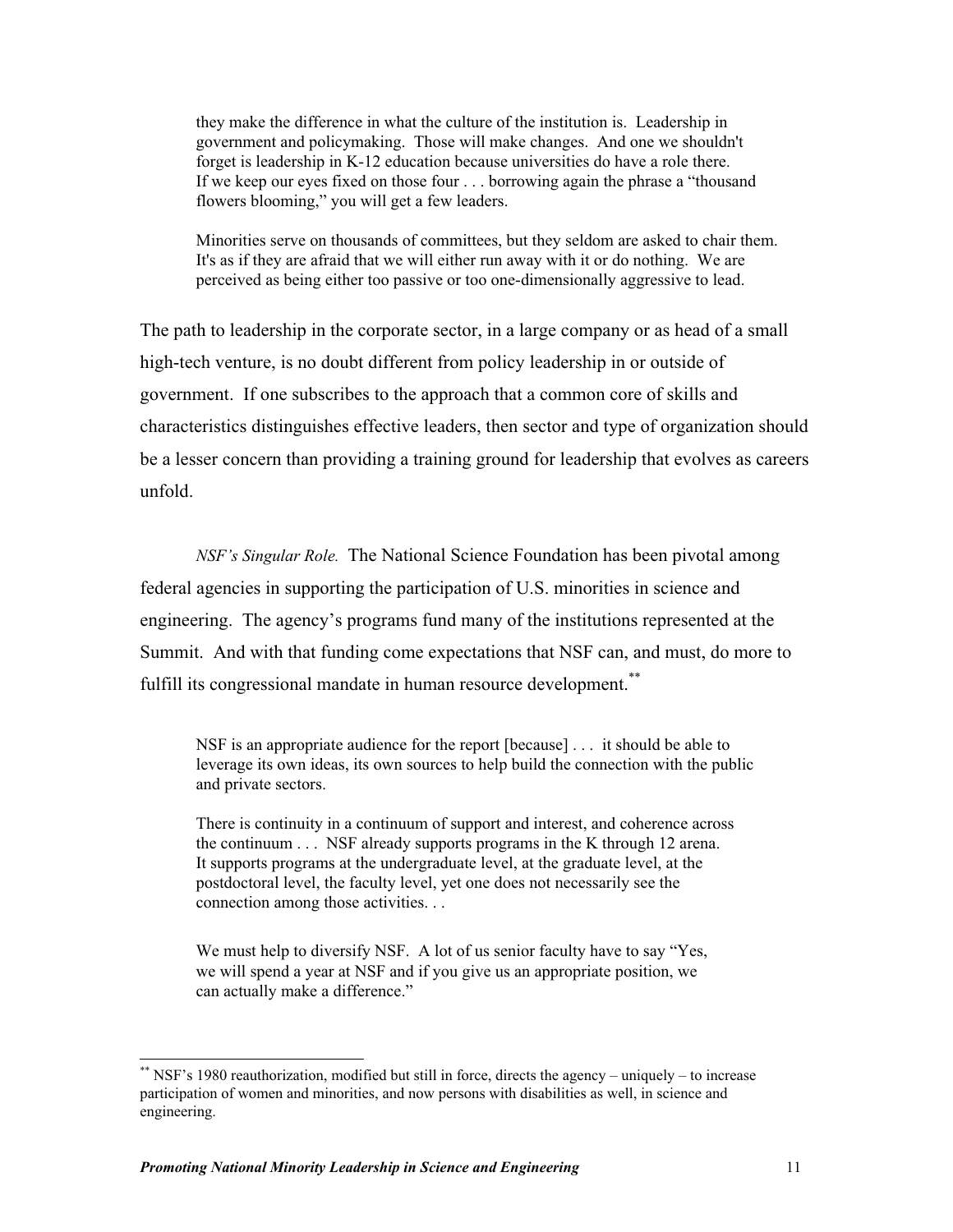they make the difference in what the culture of the institution is. Leadership in government and policymaking. Those will make changes. And one we shouldn't forget is leadership in K-12 education because universities do have a role there. If we keep our eyes fixed on those four . . . borrowing again the phrase a "thousand flowers blooming," you will get a few leaders.

Minorities serve on thousands of committees, but they seldom are asked to chair them. It's as if they are afraid that we will either run away with it or do nothing. We are perceived as being either too passive or too one-dimensionally aggressive to lead.

The path to leadership in the corporate sector, in a large company or as head of a small high-tech venture, is no doubt different from policy leadership in or outside of government. If one subscribes to the approach that a common core of skills and characteristics distinguishes effective leaders, then sector and type of organization should be a lesser concern than providing a training ground for leadership that evolves as careers unfold.

*NSF's Singular Role.* The National Science Foundation has been pivotal among federal agencies in supporting the participation of U.S. minorities in science and engineering. The agency's programs fund many of the institutions represented at the Summit. And with that funding come expectations that NSF can, and must, do more to fulfill its congressional mandate in human resource development.<sup>\*\*</sup>

NSF is an appropriate audience for the report [because] . . . it should be able to leverage its own ideas, its own sources to help build the connection with the public and private sectors.

There is continuity in a continuum of support and interest, and coherence across the continuum . . . NSF already supports programs in the K through 12 arena. It supports programs at the undergraduate level, at the graduate level, at the postdoctoral level, the faculty level, yet one does not necessarily see the connection among those activities. . .

We must help to diversify NSF. A lot of us senior faculty have to say "Yes, we will spend a year at NSF and if you give us an appropriate position, we can actually make a difference."

<sup>\*\*</sup> NSF's 1980 reauthorization, modified but still in force, directs the agency – uniquely – to increase participation of women and minorities, and now persons with disabilities as well, in science and engineering.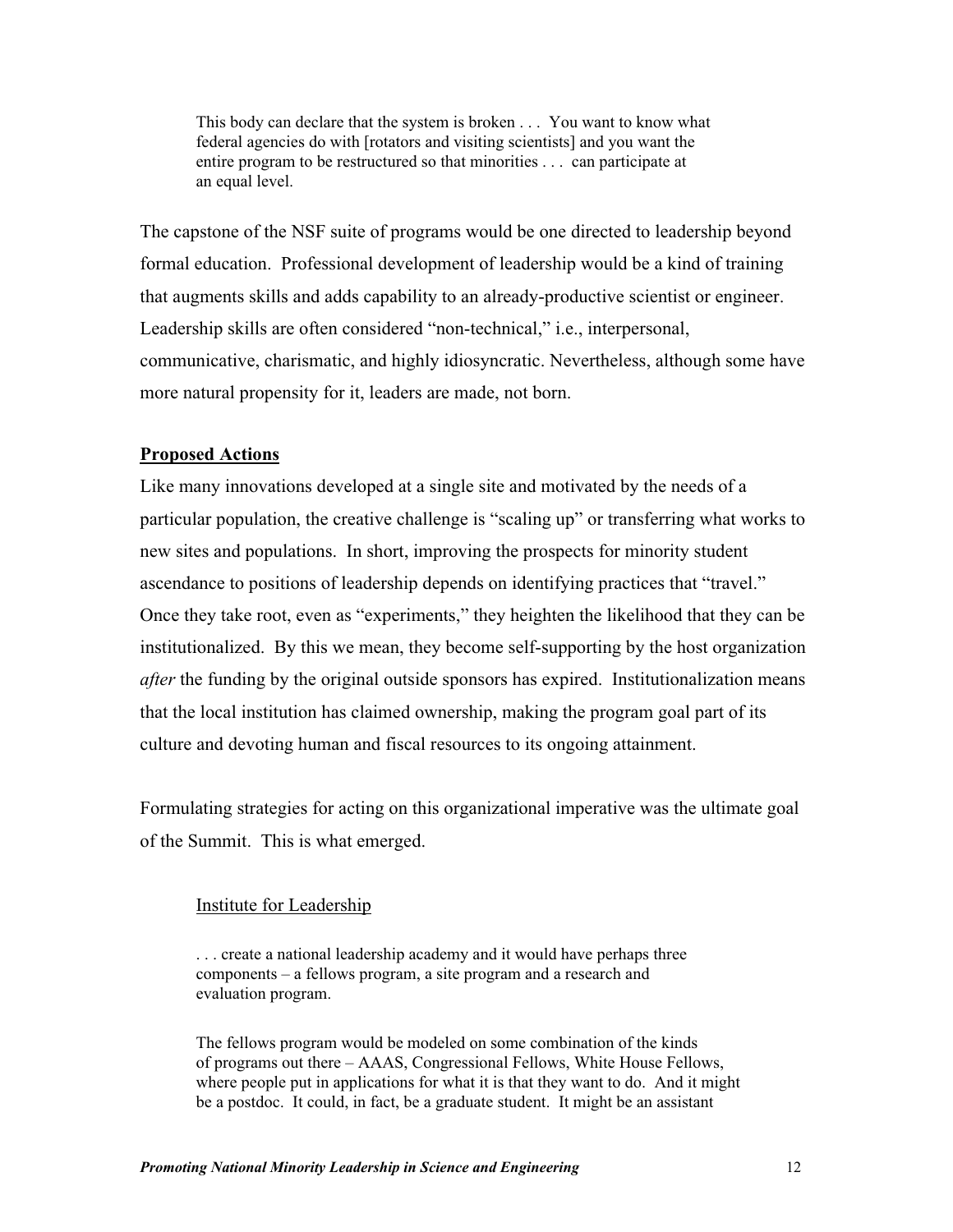This body can declare that the system is broken . . . You want to know what federal agencies do with [rotators and visiting scientists] and you want the entire program to be restructured so that minorities . . . can participate at an equal level.

The capstone of the NSF suite of programs would be one directed to leadership beyond formal education. Professional development of leadership would be a kind of training that augments skills and adds capability to an already-productive scientist or engineer. Leadership skills are often considered "non-technical," i.e., interpersonal, communicative, charismatic, and highly idiosyncratic. Nevertheless, although some have more natural propensity for it, leaders are made, not born.

# **Proposed Actions**

Like many innovations developed at a single site and motivated by the needs of a particular population, the creative challenge is "scaling up" or transferring what works to new sites and populations. In short, improving the prospects for minority student ascendance to positions of leadership depends on identifying practices that "travel." Once they take root, even as "experiments," they heighten the likelihood that they can be institutionalized. By this we mean, they become self-supporting by the host organization *after* the funding by the original outside sponsors has expired. Institutionalization means that the local institution has claimed ownership, making the program goal part of its culture and devoting human and fiscal resources to its ongoing attainment.

Formulating strategies for acting on this organizational imperative was the ultimate goal of the Summit. This is what emerged.

### Institute for Leadership

. . . create a national leadership academy and it would have perhaps three components – a fellows program, a site program and a research and evaluation program.

The fellows program would be modeled on some combination of the kinds of programs out there – AAAS, Congressional Fellows, White House Fellows, where people put in applications for what it is that they want to do. And it might be a postdoc. It could, in fact, be a graduate student. It might be an assistant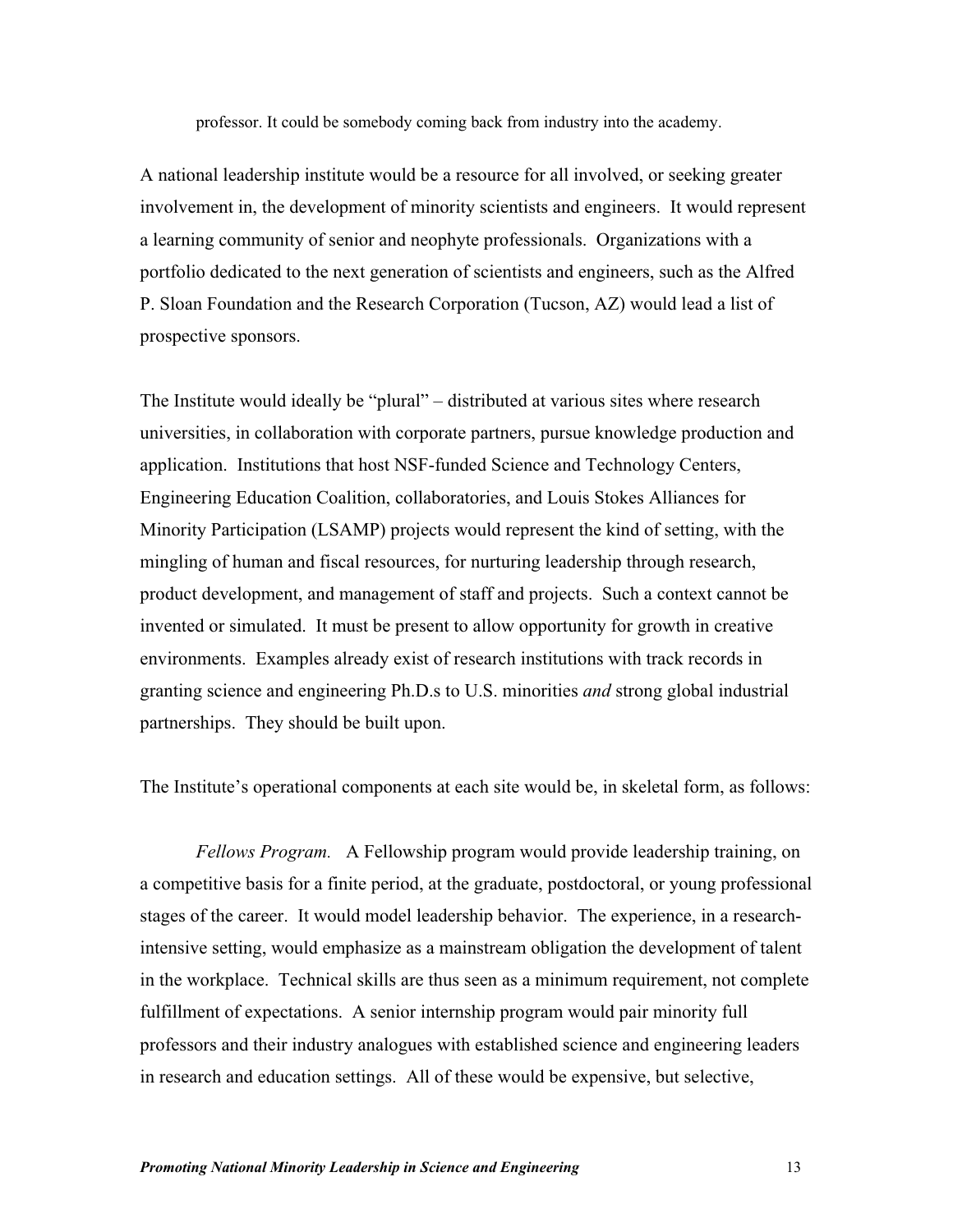professor. It could be somebody coming back from industry into the academy.

A national leadership institute would be a resource for all involved, or seeking greater involvement in, the development of minority scientists and engineers. It would represent a learning community of senior and neophyte professionals. Organizations with a portfolio dedicated to the next generation of scientists and engineers, such as the Alfred P. Sloan Foundation and the Research Corporation (Tucson, AZ) would lead a list of prospective sponsors.

The Institute would ideally be "plural" – distributed at various sites where research universities, in collaboration with corporate partners, pursue knowledge production and application. Institutions that host NSF-funded Science and Technology Centers, Engineering Education Coalition, collaboratories, and Louis Stokes Alliances for Minority Participation (LSAMP) projects would represent the kind of setting, with the mingling of human and fiscal resources, for nurturing leadership through research, product development, and management of staff and projects. Such a context cannot be invented or simulated. It must be present to allow opportunity for growth in creative environments. Examples already exist of research institutions with track records in granting science and engineering Ph.D.s to U.S. minorities *and* strong global industrial partnerships. They should be built upon.

The Institute's operational components at each site would be, in skeletal form, as follows:

*Fellows Program.* A Fellowship program would provide leadership training, on a competitive basis for a finite period, at the graduate, postdoctoral, or young professional stages of the career. It would model leadership behavior. The experience, in a researchintensive setting, would emphasize as a mainstream obligation the development of talent in the workplace. Technical skills are thus seen as a minimum requirement, not complete fulfillment of expectations. A senior internship program would pair minority full professors and their industry analogues with established science and engineering leaders in research and education settings. All of these would be expensive, but selective,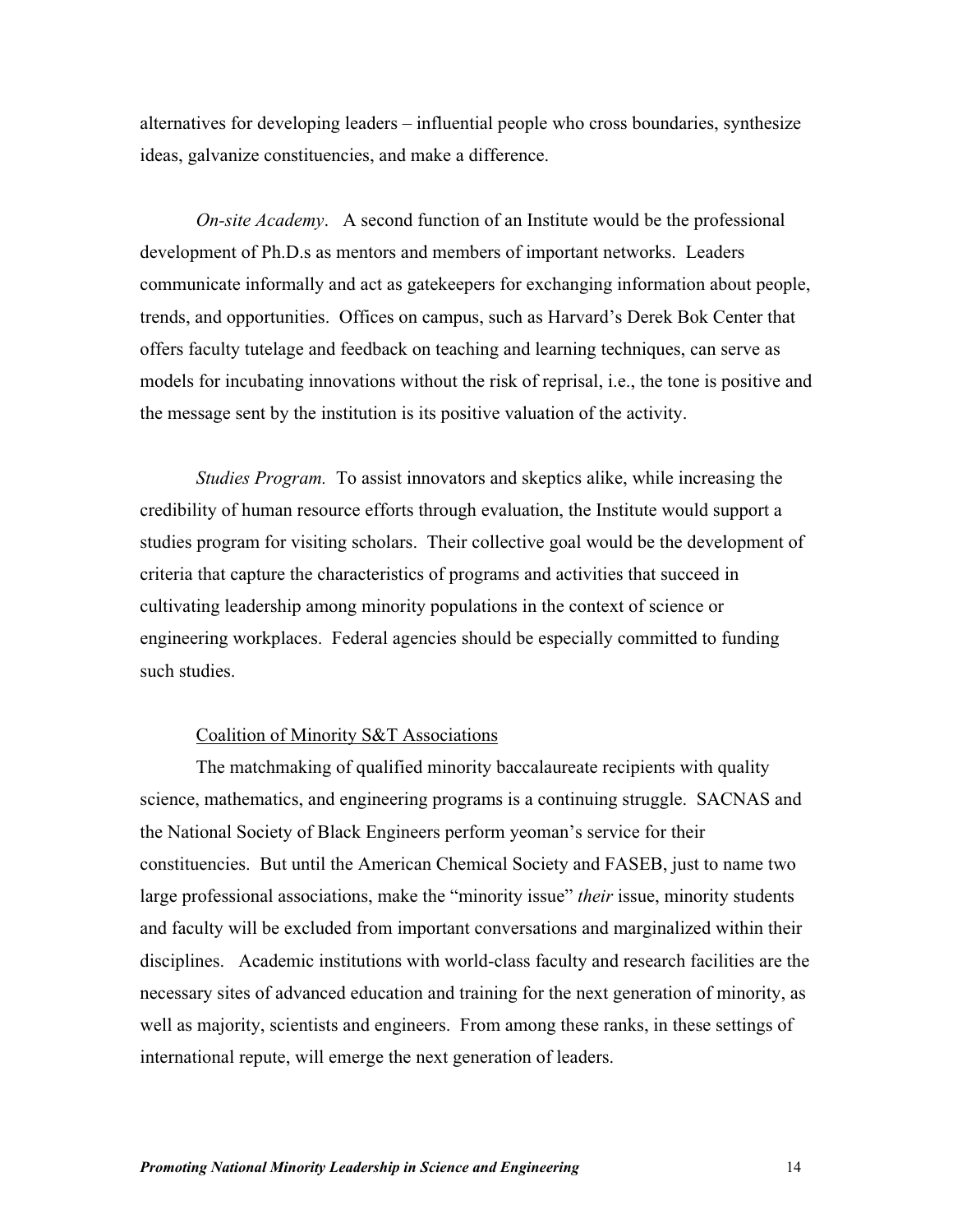alternatives for developing leaders – influential people who cross boundaries, synthesize ideas, galvanize constituencies, and make a difference.

*On-site Academy*. A second function of an Institute would be the professional development of Ph.D.s as mentors and members of important networks. Leaders communicate informally and act as gatekeepers for exchanging information about people, trends, and opportunities. Offices on campus, such as Harvard's Derek Bok Center that offers faculty tutelage and feedback on teaching and learning techniques, can serve as models for incubating innovations without the risk of reprisal, i.e., the tone is positive and the message sent by the institution is its positive valuation of the activity.

*Studies Program.* To assist innovators and skeptics alike, while increasing the credibility of human resource efforts through evaluation, the Institute would support a studies program for visiting scholars. Their collective goal would be the development of criteria that capture the characteristics of programs and activities that succeed in cultivating leadership among minority populations in the context of science or engineering workplaces. Federal agencies should be especially committed to funding such studies.

# Coalition of Minority S&T Associations

The matchmaking of qualified minority baccalaureate recipients with quality science, mathematics, and engineering programs is a continuing struggle. SACNAS and the National Society of Black Engineers perform yeoman's service for their constituencies. But until the American Chemical Society and FASEB, just to name two large professional associations, make the "minority issue" *their* issue, minority students and faculty will be excluded from important conversations and marginalized within their disciplines. Academic institutions with world-class faculty and research facilities are the necessary sites of advanced education and training for the next generation of minority, as well as majority, scientists and engineers. From among these ranks, in these settings of international repute, will emerge the next generation of leaders.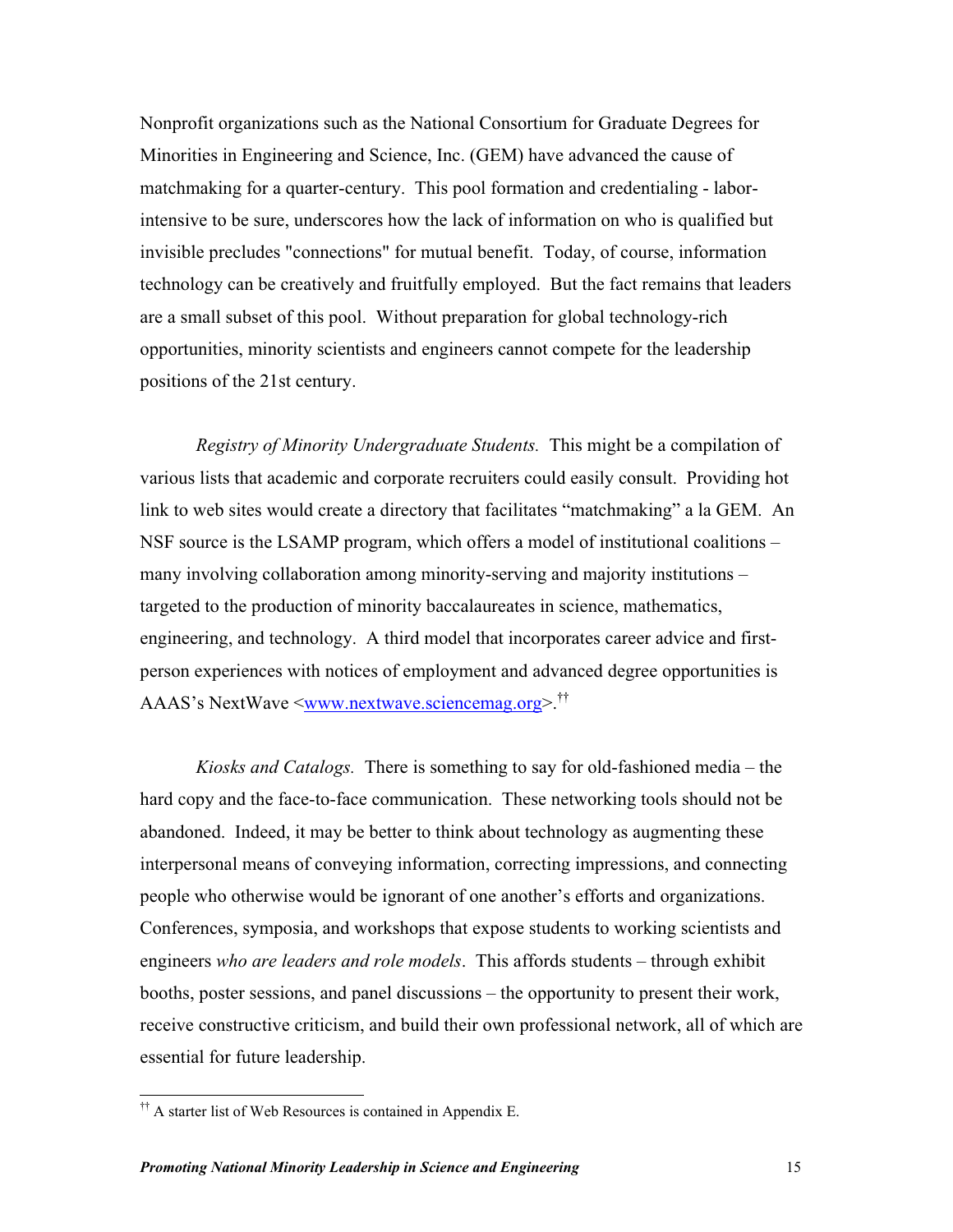Nonprofit organizations such as the National Consortium for Graduate Degrees for Minorities in Engineering and Science, Inc. (GEM) have advanced the cause of matchmaking for a quarter-century. This pool formation and credentialing - laborintensive to be sure, underscores how the lack of information on who is qualified but invisible precludes "connections" for mutual benefit. Today, of course, information technology can be creatively and fruitfully employed. But the fact remains that leaders are a small subset of this pool. Without preparation for global technology-rich opportunities, minority scientists and engineers cannot compete for the leadership positions of the 21st century.

*Registry of Minority Undergraduate Students.* This might be a compilation of various lists that academic and corporate recruiters could easily consult. Providing hot link to web sites would create a directory that facilitates "matchmaking" a la GEM. An NSF source is the LSAMP program, which offers a model of institutional coalitions – many involving collaboration among minority-serving and majority institutions – targeted to the production of minority baccalaureates in science, mathematics, engineering, and technology. A third model that incorporates career advice and firstperson experiences with notices of employment and advanced degree opportunities is AAAS's NextWave <[www.nextwave.sciencemag.org>.](http://www.nextwave.sciencemag.org)††

*Kiosks and Catalogs.* There is something to say for old-fashioned media – the hard copy and the face-to-face communication. These networking tools should not be abandoned. Indeed, it may be better to think about technology as augmenting these interpersonal means of conveying information, correcting impressions, and connecting people who otherwise would be ignorant of one another's efforts and organizations. Conferences, symposia, and workshops that expose students to working scientists and engineers *who are leaders and role models*. This affords students – through exhibit booths, poster sessions, and panel discussions – the opportunity to present their work, receive constructive criticism, and build their own professional network, all of which are essential for future leadership.

<sup>&</sup>lt;sup>††</sup> A starter list of Web Resources is contained in Appendix E.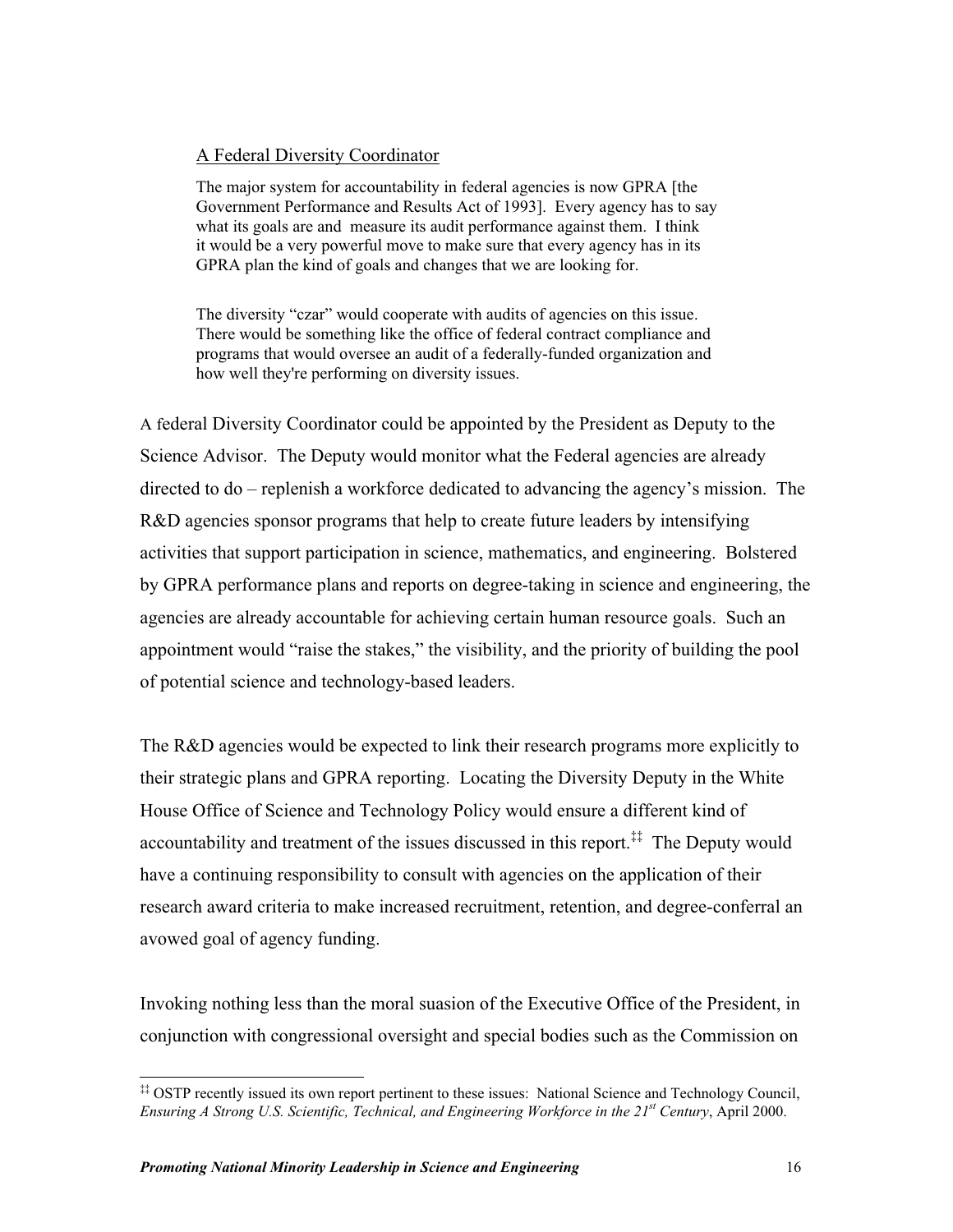# A Federal Diversity Coordinator

The major system for accountability in federal agencies is now GPRA [the Government Performance and Results Act of 1993]. Every agency has to say what its goals are and measure its audit performance against them. I think it would be a very powerful move to make sure that every agency has in its GPRA plan the kind of goals and changes that we are looking for.

The diversity "czar" would cooperate with audits of agencies on this issue. There would be something like the office of federal contract compliance and programs that would oversee an audit of a federally-funded organization and how well they're performing on diversity issues.

A federal Diversity Coordinator could be appointed by the President as Deputy to the Science Advisor. The Deputy would monitor what the Federal agencies are already directed to do – replenish a workforce dedicated to advancing the agency's mission. The R&D agencies sponsor programs that help to create future leaders by intensifying activities that support participation in science, mathematics, and engineering. Bolstered by GPRA performance plans and reports on degree-taking in science and engineering, the agencies are already accountable for achieving certain human resource goals. Such an appointment would "raise the stakes," the visibility, and the priority of building the pool of potential science and technology-based leaders.

The R&D agencies would be expected to link their research programs more explicitly to their strategic plans and GPRA reporting. Locating the Diversity Deputy in the White House Office of Science and Technology Policy would ensure a different kind of accountability and treatment of the issues discussed in this report.<sup>‡‡</sup> The Deputy would have a continuing responsibility to consult with agencies on the application of their research award criteria to make increased recruitment, retention, and degree-conferral an avowed goal of agency funding.

Invoking nothing less than the moral suasion of the Executive Office of the President, in conjunction with congressional oversight and special bodies such as the Commission on

<sup>‡‡</sup> OSTP recently issued its own report pertinent to these issues: National Science and Technology Council, *Ensuring A Strong U.S. Scientific, Technical, and Engineering Workforce in the 21st Century*, April 2000.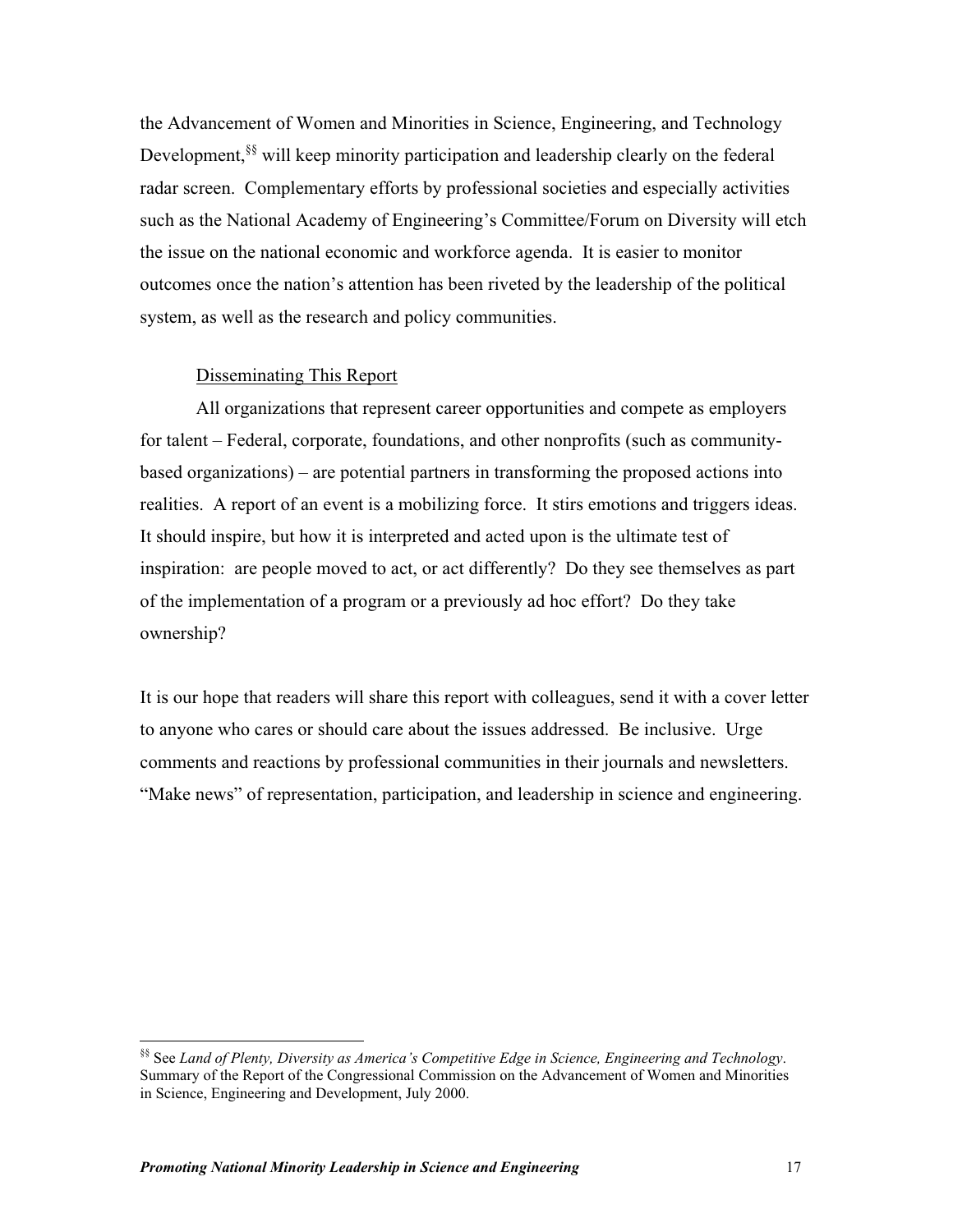the Advancement of Women and Minorities in Science, Engineering, and Technology Development,<sup>§§</sup> will keep minority participation and leadership clearly on the federal radar screen. Complementary efforts by professional societies and especially activities such as the National Academy of Engineering's Committee/Forum on Diversity will etch the issue on the national economic and workforce agenda. It is easier to monitor outcomes once the nation's attention has been riveted by the leadership of the political system, as well as the research and policy communities.

# Disseminating This Report

All organizations that represent career opportunities and compete as employers for talent – Federal, corporate, foundations, and other nonprofits (such as communitybased organizations) – are potential partners in transforming the proposed actions into realities. A report of an event is a mobilizing force. It stirs emotions and triggers ideas. It should inspire, but how it is interpreted and acted upon is the ultimate test of inspiration: are people moved to act, or act differently? Do they see themselves as part of the implementation of a program or a previously ad hoc effort? Do they take ownership?

It is our hope that readers will share this report with colleagues, send it with a cover letter to anyone who cares or should care about the issues addressed. Be inclusive. Urge comments and reactions by professional communities in their journals and newsletters. "Make news" of representation, participation, and leadership in science and engineering.

<sup>§§</sup> See *Land of Plenty, Diversity as America's Competitive Edge in Science, Engineering and Technology*. Summary of the Report of the Congressional Commission on the Advancement of Women and Minorities in Science, Engineering and Development, July 2000.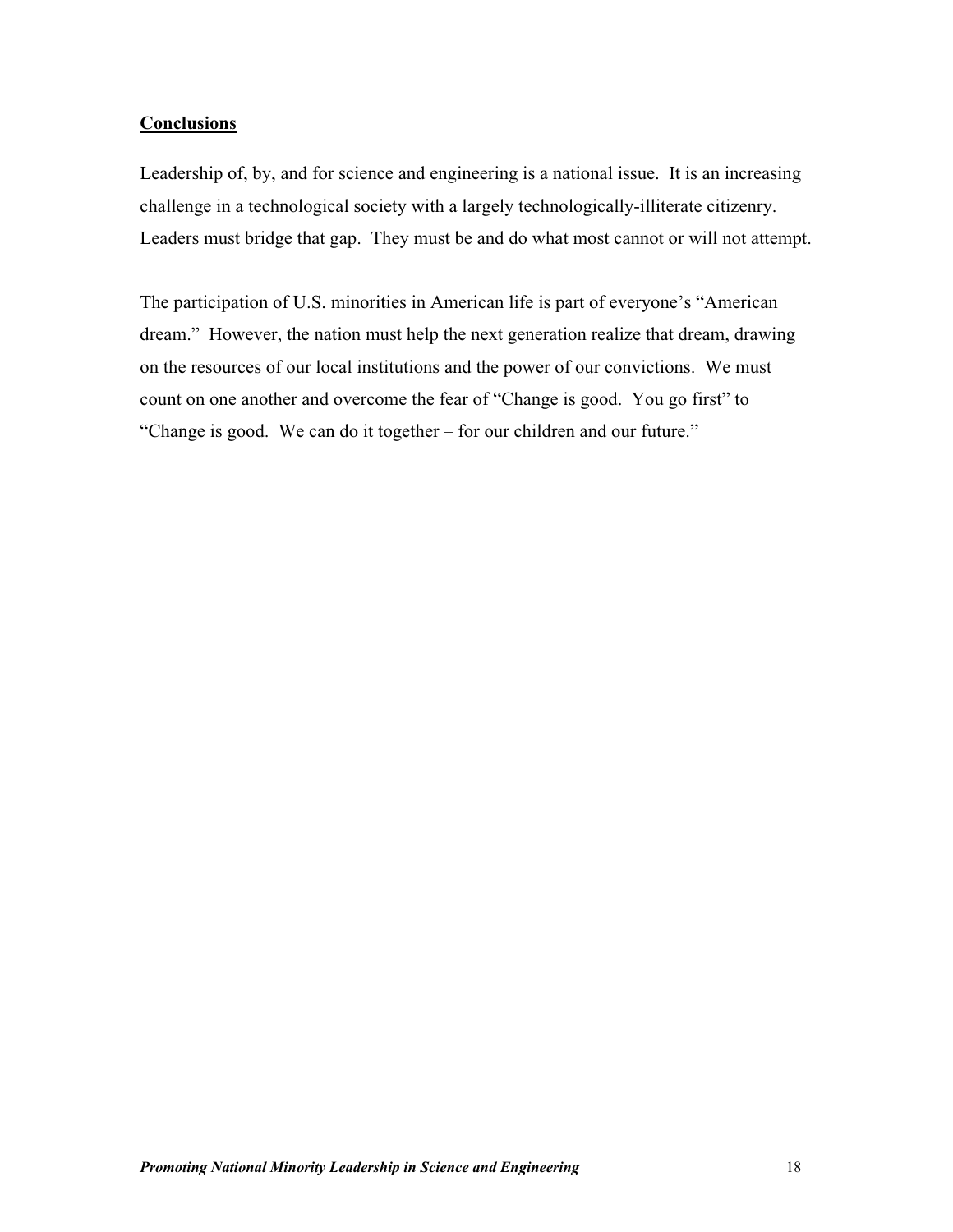# **Conclusions**

Leadership of, by, and for science and engineering is a national issue. It is an increasing challenge in a technological society with a largely technologically-illiterate citizenry. Leaders must bridge that gap. They must be and do what most cannot or will not attempt.

The participation of U.S. minorities in American life is part of everyone's "American dream." However, the nation must help the next generation realize that dream, drawing on the resources of our local institutions and the power of our convictions. We must count on one another and overcome the fear of "Change is good. You go first" to "Change is good. We can do it together – for our children and our future."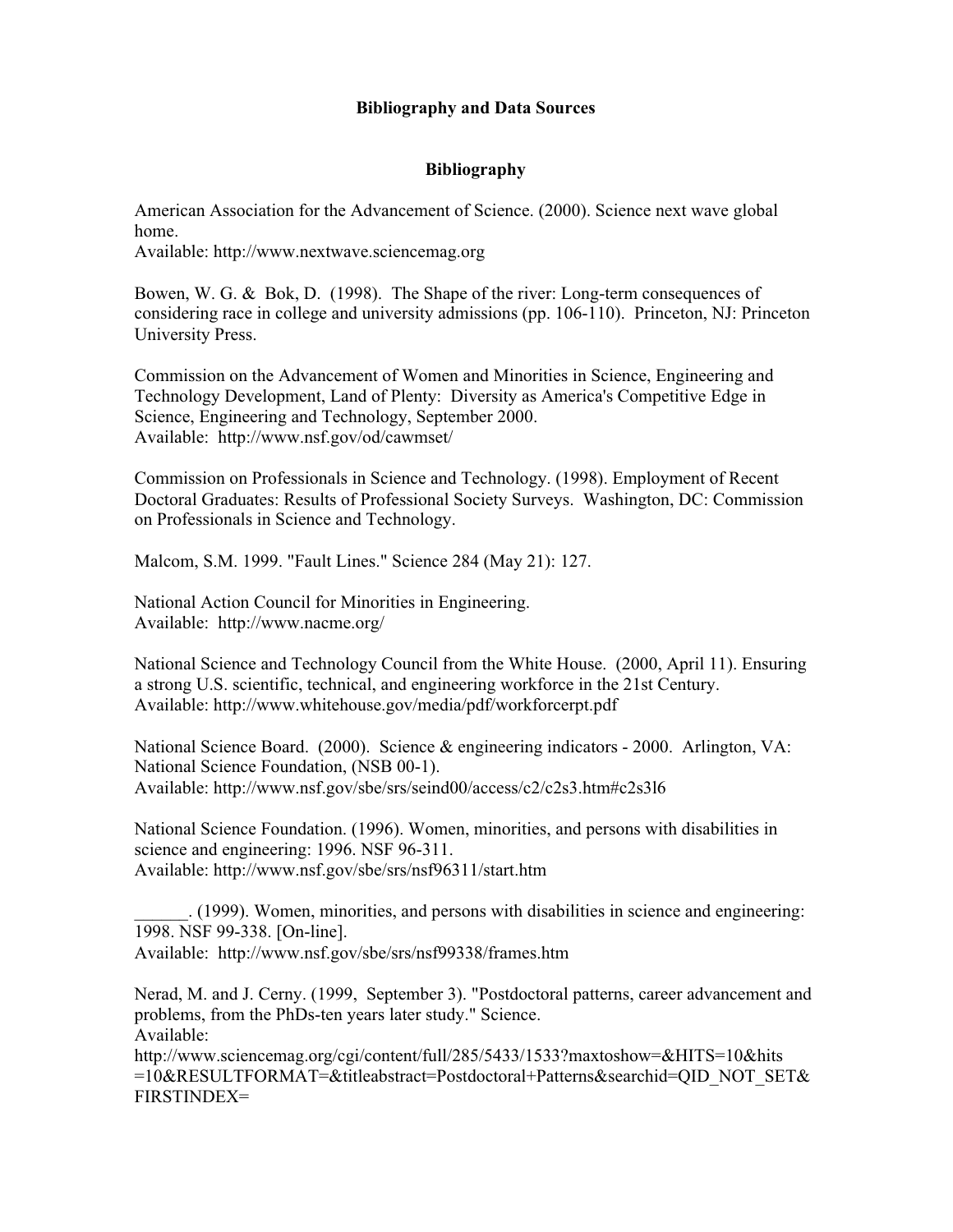# **Bibliography and Data Sources**

# **Bibliography**

American Association for the Advancement of Science. (2000). Science next wave global home.

Available: http://www.nextwave.sciencemag.org

Bowen, W. G. & Bok, D. (1998). The Shape of the river: Long-term consequences of considering race in college and university admissions (pp. 106-110). Princeton, NJ: Princeton University Press.

Commission on the Advancement of Women and Minorities in Science, Engineering and Technology Development, Land of Plenty: Diversity as America's Competitive Edge in Science, Engineering and Technology, September 2000. Available: http://www.nsf.gov/od/cawmset/

Commission on Professionals in Science and Technology. (1998). Employment of Recent Doctoral Graduates: Results of Professional Society Surveys. Washington, DC: Commission on Professionals in Science and Technology.

Malcom, S.M. 1999. "Fault Lines." Science 284 (May 21): 127.

National Action Council for Minorities in Engineering. Available: http://www.nacme.org/

National Science and Technology Council from the White House. (2000, April 11). Ensuring a strong U.S. scientific, technical, and engineering workforce in the 21st Century. Available: http://www.whitehouse.gov/media/pdf/workforcerpt.pdf

National Science Board. (2000). Science & engineering indicators - 2000. Arlington, VA: National Science Foundation, (NSB 00-1). Available: http://www.nsf.gov/sbe/srs/seind00/access/c2/c2s3.htm#c2s3l6

National Science Foundation. (1996). Women, minorities, and persons with disabilities in science and engineering: 1996. NSF 96-311. Available: http://www.nsf.gov/sbe/srs/nsf96311/start.htm

\_\_\_\_\_\_. (1999). Women, minorities, and persons with disabilities in science and engineering: 1998. NSF 99-338. [On-line]. Available: http://www.nsf.gov/sbe/srs/nsf99338/frames.htm

Nerad, M. and J. Cerny. (1999, September 3). "Postdoctoral patterns, career advancement and problems, from the PhDs-ten years later study." Science. Available:

http://www.sciencemag.org/cgi/content/full/285/5433/1533?maxtoshow=&HITS=10&hits =10&RESULTFORMAT=&titleabstract=Postdoctoral+Patterns&searchid=QID\_NOT\_SET& FIRSTINDEX=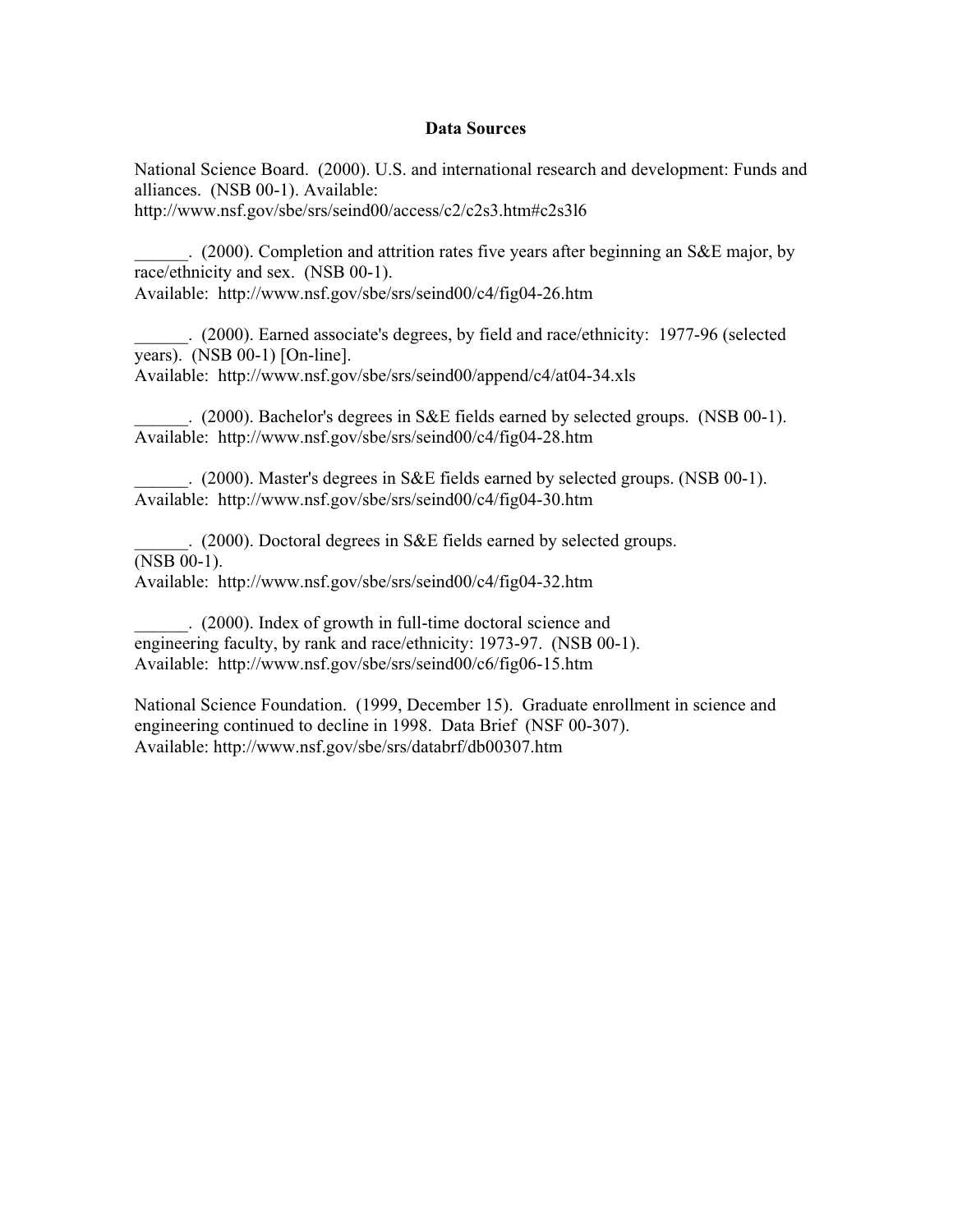### **Data Sources**

National Science Board. (2000). U.S. and international research and development: Funds and alliances. (NSB 00-1). Available:

http://www.nsf.gov/sbe/srs/seind00/access/c2/c2s3.htm#c2s3l6

\_\_\_\_\_\_. (2000). Completion and attrition rates five years after beginning an S&E major, by race/ethnicity and sex. (NSB 00-1). Available: http://www.nsf.gov/sbe/srs/seind00/c4/fig04-26.htm

\_\_\_\_\_\_. (2000). Earned associate's degrees, by field and race/ethnicity: 1977-96 (selected years). (NSB 00-1) [On-line]. Available: http://www.nsf.gov/sbe/srs/seind00/append/c4/at04-34.xls

\_\_\_\_\_\_. (2000). Bachelor's degrees in S&E fields earned by selected groups. (NSB 00-1). Available: http://www.nsf.gov/sbe/srs/seind00/c4/fig04-28.htm

\_\_\_\_\_\_. (2000). Master's degrees in S&E fields earned by selected groups. (NSB 00-1). Available: http://www.nsf.gov/sbe/srs/seind00/c4/fig04-30.htm

\_\_\_\_\_\_. (2000). Doctoral degrees in S&E fields earned by selected groups. (NSB 00-1). Available: http://www.nsf.gov/sbe/srs/seind00/c4/fig04-32.htm

\_\_\_\_\_\_. (2000). Index of growth in full-time doctoral science and engineering faculty, by rank and race/ethnicity: 1973-97. (NSB 00-1). Available: http://www.nsf.gov/sbe/srs/seind00/c6/fig06-15.htm

National Science Foundation. (1999, December 15). Graduate enrollment in science and engineering continued to decline in 1998. Data Brief (NSF 00-307). Available: http://www.nsf.gov/sbe/srs/databrf/db00307.htm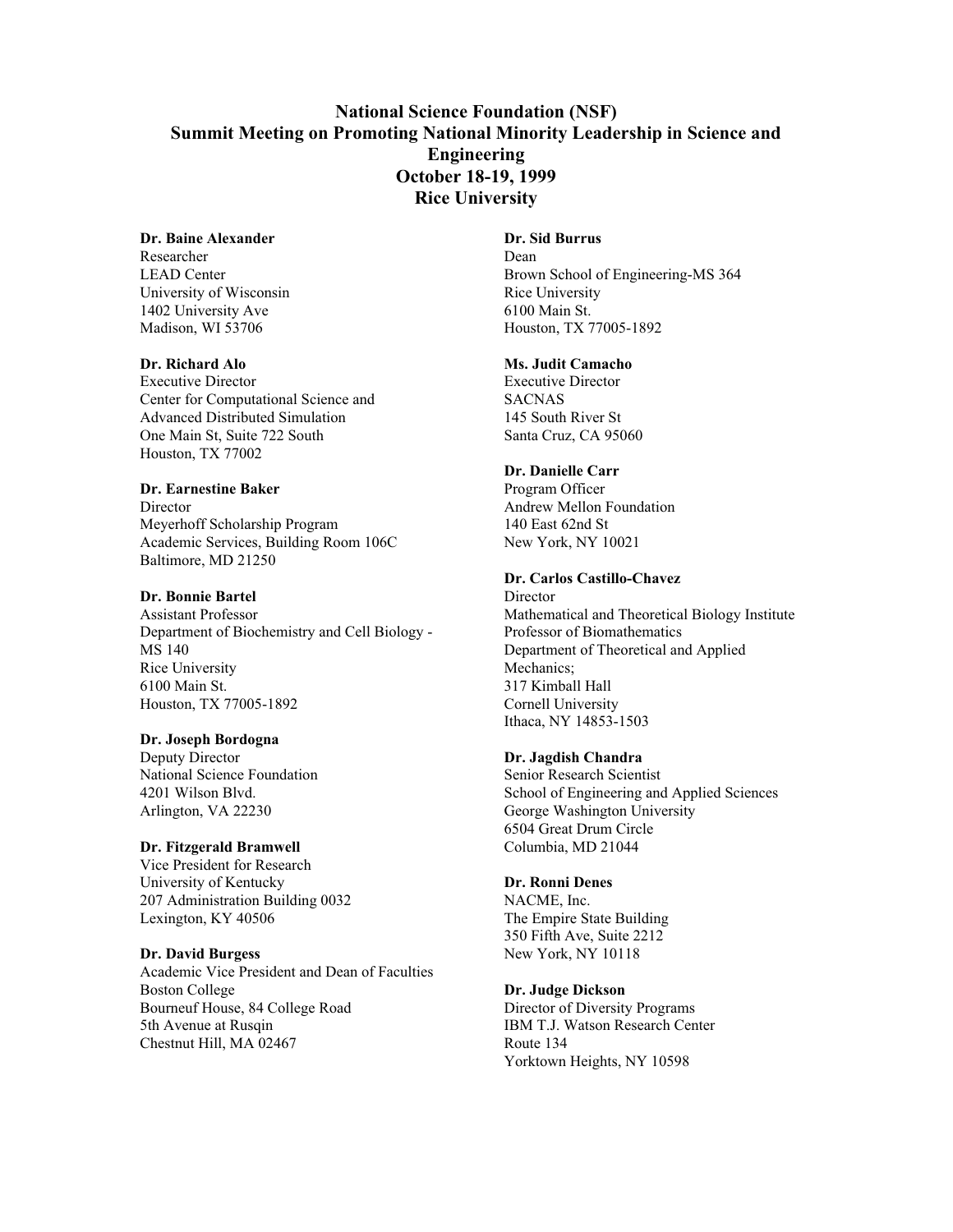# **National Science Foundation (NSF) Summit Meeting on Promoting National Minority Leadership in Science and Engineering October 18-19, 1999 Rice University**

### **Dr. Baine Alexander**

Researcher LEAD Center University of Wisconsin 1402 University Ave Madison, WI 53706

### **Dr. Richard Alo**

Executive Director Center for Computational Science and Advanced Distributed Simulation One Main St, Suite 722 South Houston, TX 77002

### **Dr. Earnestine Baker**

**Director** Meyerhoff Scholarship Program Academic Services, Building Room 106C Baltimore, MD 21250

### **Dr. Bonnie Bartel**

Assistant Professor Department of Biochemistry and Cell Biology - MS 140 Rice University 6100 Main St. Houston, TX 77005-1892

### **Dr. Joseph Bordogna**

Deputy Director National Science Foundation 4201 Wilson Blvd. Arlington, VA 22230

### **Dr. Fitzgerald Bramwell**

Vice President for Research University of Kentucky 207 Administration Building 0032 Lexington, KY 40506

### **Dr. David Burgess**

Academic Vice President and Dean of Faculties Boston College Bourneuf House, 84 College Road 5th Avenue at Rusqin Chestnut Hill, MA 02467

# **Dr. Sid Burrus**

Dean Brown School of Engineering-MS 364 Rice University 6100 Main St. Houston, TX 77005-1892

### **Ms. Judit Camacho**

Executive Director SACNAS 145 South River St Santa Cruz, CA 95060

### **Dr. Danielle Carr**

Program Officer Andrew Mellon Foundation 140 East 62nd St New York, NY 10021

### **Dr. Carlos Castillo-Chavez**

**Director** Mathematical and Theoretical Biology Institute Professor of Biomathematics Department of Theoretical and Applied Mechanics; 317 Kimball Hall Cornell University Ithaca, NY 14853-1503

### **Dr. Jagdish Chandra**

Senior Research Scientist School of Engineering and Applied Sciences George Washington University 6504 Great Drum Circle Columbia, MD 21044

### **Dr. Ronni Denes**

NACME, Inc. The Empire State Building 350 Fifth Ave, Suite 2212 New York, NY 10118

### **Dr. Judge Dickson**

Director of Diversity Programs IBM T.J. Watson Research Center Route 134 Yorktown Heights, NY 10598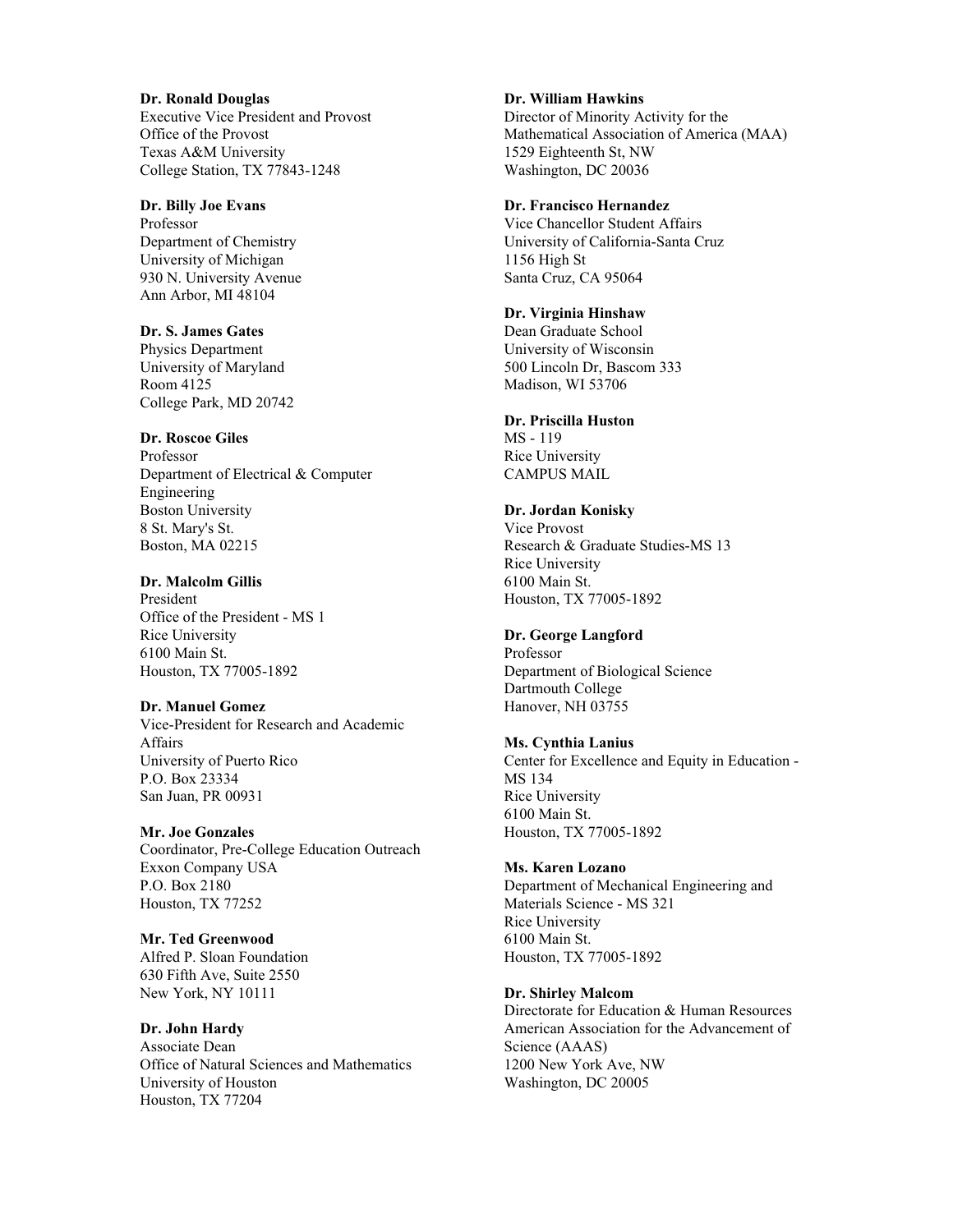**Dr. Ronald Douglas** Executive Vice President and Provost Office of the Provost Texas A&M University College Station, TX 77843-1248

**Dr. Billy Joe Evans** Professor Department of Chemistry University of Michigan 930 N. University Avenue Ann Arbor, MI 48104

**Dr. S. James Gates** Physics Department University of Maryland Room 4125 College Park, MD 20742

# **Dr. Roscoe Giles**

Professor Department of Electrical & Computer Engineering Boston University 8 St. Mary's St. Boston, MA 02215

### **Dr. Malcolm Gillis**

President Office of the President - MS 1 Rice University 6100 Main St. Houston, TX 77005-1892

### **Dr. Manuel Gomez**

Vice-President for Research and Academic Affairs University of Puerto Rico P.O. Box 23334 San Juan, PR 00931

### **Mr. Joe Gonzales**

Coordinator, Pre-College Education Outreach Exxon Company USA P.O. Box 2180 Houston, TX 77252

**Mr. Ted Greenwood** Alfred P. Sloan Foundation 630 Fifth Ave, Suite 2550

New York, NY 10111

**Dr. John Hardy**

Associate Dean Office of Natural Sciences and Mathematics University of Houston Houston, TX 77204

**Dr. William Hawkins**

Director of Minority Activity for the Mathematical Association of America (MAA) 1529 Eighteenth St, NW Washington, DC 20036

### **Dr. Francisco Hernandez**

Vice Chancellor Student Affairs University of California-Santa Cruz 1156 High St Santa Cruz, CA 95064

### **Dr. Virginia Hinshaw**

Dean Graduate School University of Wisconsin 500 Lincoln Dr, Bascom 333 Madison, WI 53706

### **Dr. Priscilla Huston**

MS - 119 Rice University CAMPUS MAIL

### **Dr. Jordan Konisky**

Vice Provost Research & Graduate Studies-MS 13 Rice University 6100 Main St. Houston, TX 77005-1892

### **Dr. George Langford**

Professor Department of Biological Science Dartmouth College Hanover, NH 03755

### **Ms. Cynthia Lanius**

Center for Excellence and Equity in Education - MS 134 Rice University 6100 Main St. Houston, TX 77005-1892

### **Ms. Karen Lozano**

Department of Mechanical Engineering and Materials Science - MS 321 Rice University 6100 Main St. Houston, TX 77005-1892

### **Dr. Shirley Malcom**

Directorate for Education & Human Resources American Association for the Advancement of Science (AAAS) 1200 New York Ave, NW Washington, DC 20005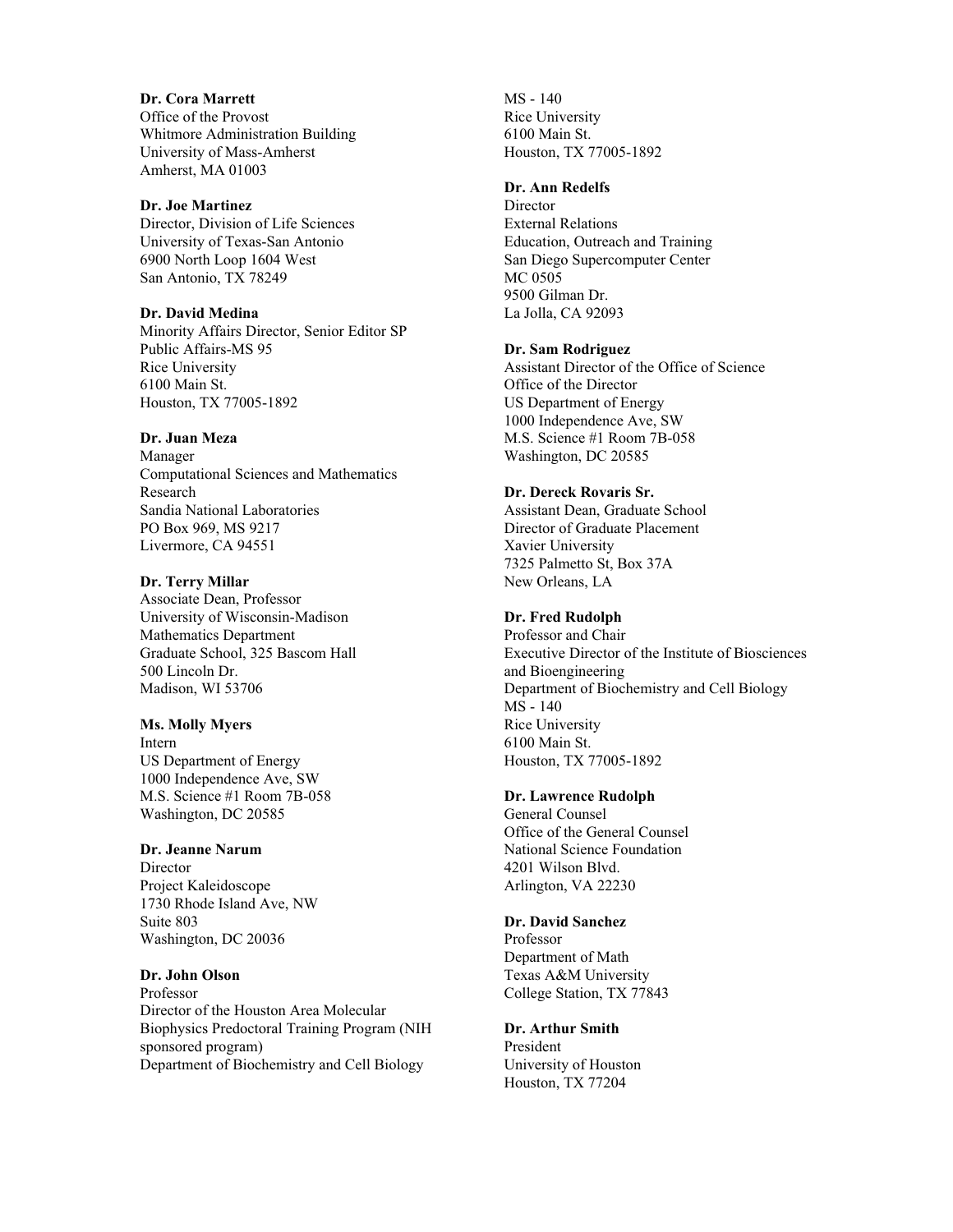**Dr. Cora Marrett** Office of the Provost Whitmore Administration Building University of Mass-Amherst Amherst, MA 01003

# **Dr. Joe Martinez**

Director, Division of Life Sciences University of Texas-San Antonio 6900 North Loop 1604 West San Antonio, TX 78249

### **Dr. David Medina**

Minority Affairs Director, Senior Editor SP Public Affairs-MS 95 Rice University 6100 Main St. Houston, TX 77005-1892

### **Dr. Juan Meza**

Manager Computational Sciences and Mathematics Research Sandia National Laboratories PO Box 969, MS 9217 Livermore, CA 94551

### **Dr. Terry Millar**

Associate Dean, Professor University of Wisconsin-Madison Mathematics Department Graduate School, 325 Bascom Hall 500 Lincoln Dr. Madison, WI 53706

### **Ms. Molly Myers**

Intern US Department of Energy 1000 Independence Ave, SW M.S. Science #1 Room 7B-058 Washington, DC 20585

### **Dr. Jeanne Narum**

**Director** Project Kaleidoscope 1730 Rhode Island Ave, NW Suite 803 Washington, DC 20036

### **Dr. John Olson**

Professor Director of the Houston Area Molecular Biophysics Predoctoral Training Program (NIH sponsored program) Department of Biochemistry and Cell Biology

MS - 140 Rice University 6100 Main St. Houston, TX 77005-1892

### **Dr. Ann Redelfs**

Director External Relations Education, Outreach and Training San Diego Supercomputer Center MC 0505 9500 Gilman Dr. La Jolla, CA 92093

### **Dr. Sam Rodriguez**

Assistant Director of the Office of Science Office of the Director US Department of Energy 1000 Independence Ave, SW M.S. Science #1 Room 7B-058 Washington, DC 20585

### **Dr. Dereck Rovaris Sr.**

Assistant Dean, Graduate School Director of Graduate Placement Xavier University 7325 Palmetto St, Box 37A New Orleans, LA

# **Dr. Fred Rudolph**

Professor and Chair Executive Director of the Institute of Biosciences and Bioengineering Department of Biochemistry and Cell Biology MS - 140 Rice University 6100 Main St. Houston, TX 77005-1892

### **Dr. Lawrence Rudolph**

General Counsel Office of the General Counsel National Science Foundation 4201 Wilson Blvd. Arlington, VA 22230

### **Dr. David Sanchez**

Professor Department of Math Texas A&M University College Station, TX 77843

# **Dr. Arthur Smith**

President University of Houston Houston, TX 77204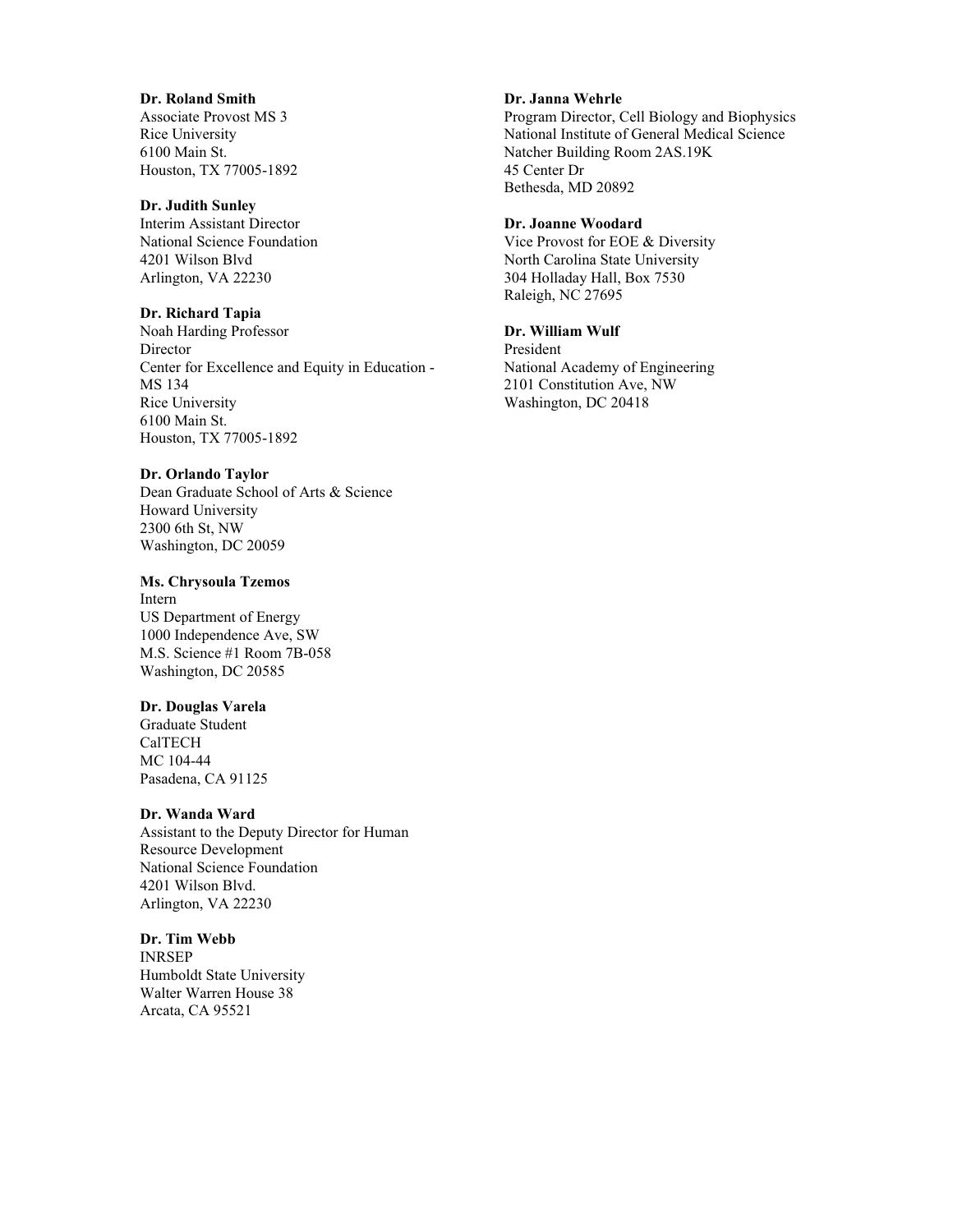### **Dr. Roland Smith**

Associate Provost MS 3 Rice University 6100 Main St. Houston, TX 77005-1892

### **Dr. Judith Sunley**

Interim Assistant Director National Science Foundation 4201 Wilson Blvd Arlington, VA 22230

### **Dr. Richard Tapia**

Noah Harding Professor **Director** Center for Excellence and Equity in Education - MS 134 Rice University 6100 Main St. Houston, TX 77005-1892

### **Dr. Orlando Taylor**

Dean Graduate School of Arts & Science Howard University 2300 6th St, NW Washington, DC 20059

### **Ms. Chrysoula Tzemos**

Intern US Department of Energy 1000 Independence Ave, SW M.S. Science #1 Room 7B-058 Washington, DC 20585

### **Dr. Douglas Varela**

Graduate Student CalTECH MC 104-44 Pasadena, CA 91125

### **Dr. Wanda Ward**

Assistant to the Deputy Director for Human Resource Development National Science Foundation 4201 Wilson Blvd. Arlington, VA 22230

**Dr. Tim Webb** INRSEP Humboldt State University Walter Warren House 38 Arcata, CA 95521

### **Dr. Janna Wehrle**

Program Director, Cell Biology and Biophysics National Institute of General Medical Science Natcher Building Room 2AS.19K 45 Center Dr Bethesda, MD 20892

### **Dr. Joanne Woodard**

Vice Provost for EOE & Diversity North Carolina State University 304 Holladay Hall, Box 7530 Raleigh, NC 27695

### **Dr. William Wulf**

President National Academy of Engineering 2101 Constitution Ave, NW Washington, DC 20418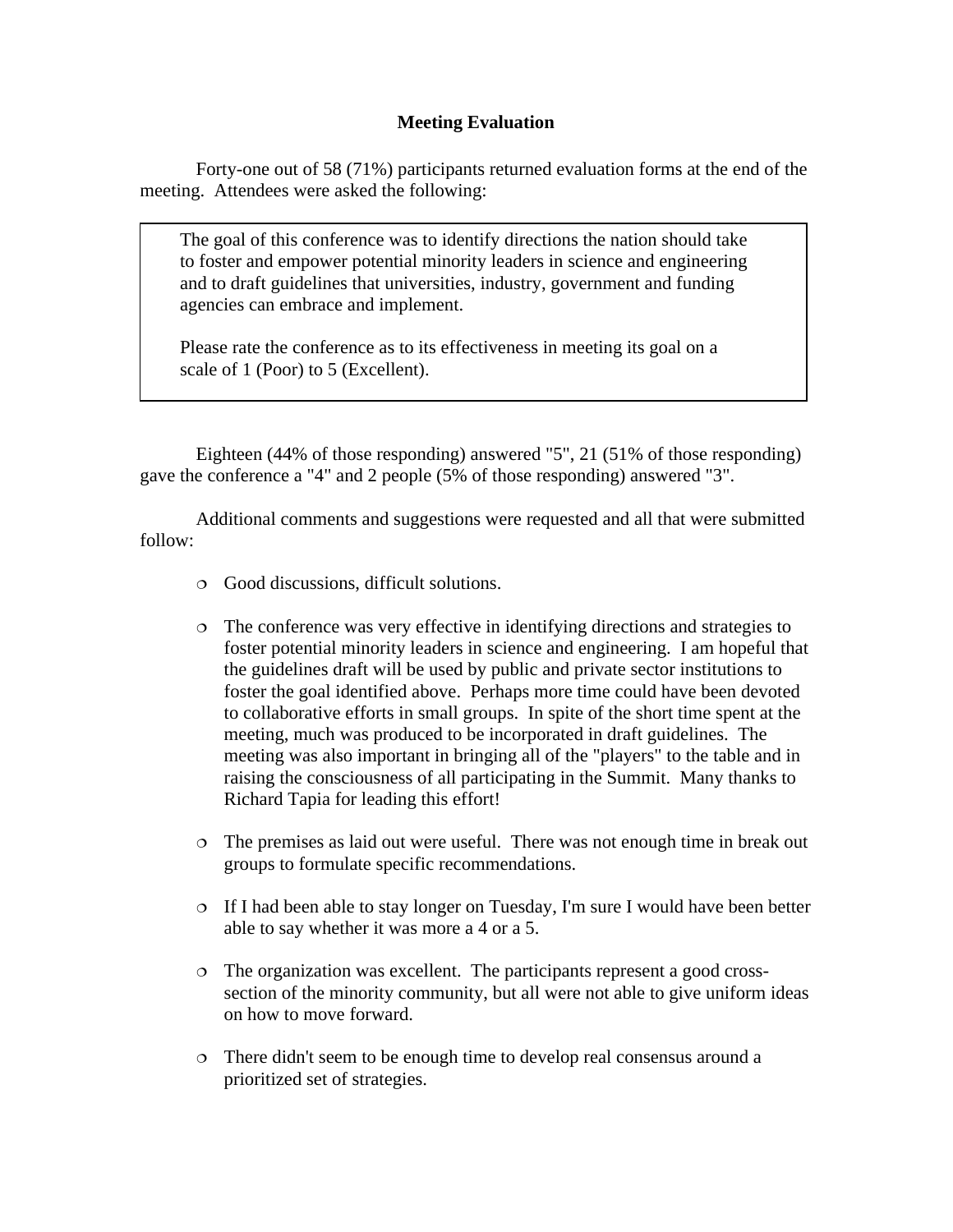# **Meeting Evaluation**

Forty-one out of 58 (71%) participants returned evaluation forms at the end of the meeting. Attendees were asked the following:

The goal of this conference was to identify directions the nation should take to foster and empower potential minority leaders in science and engineering and to draft guidelines that universities, industry, government and funding agencies can embrace and implement.

Please rate the conference as to its effectiveness in meeting its goal on a scale of 1 (Poor) to 5 (Excellent).

Eighteen (44% of those responding) answered "5", 21 (51% of those responding) gave the conference a "4" and 2 people (5% of those responding) answered "3".

Additional comments and suggestions were requested and all that were submitted follow:

- Good discussions, difficult solutions.
- The conference was very effective in identifying directions and strategies to foster potential minority leaders in science and engineering. I am hopeful that the guidelines draft will be used by public and private sector institutions to foster the goal identified above. Perhaps more time could have been devoted to collaborative efforts in small groups. In spite of the short time spent at the meeting, much was produced to be incorporated in draft guidelines. The meeting was also important in bringing all of the "players" to the table and in raising the consciousness of all participating in the Summit. Many thanks to Richard Tapia for leading this effort!
- The premises as laid out were useful. There was not enough time in break out groups to formulate specific recommendations.
- If I had been able to stay longer on Tuesday, I'm sure I would have been better able to say whether it was more a 4 or a 5.
- The organization was excellent. The participants represent a good crosssection of the minority community, but all were not able to give uniform ideas on how to move forward.
- There didn't seem to be enough time to develop real consensus around a prioritized set of strategies.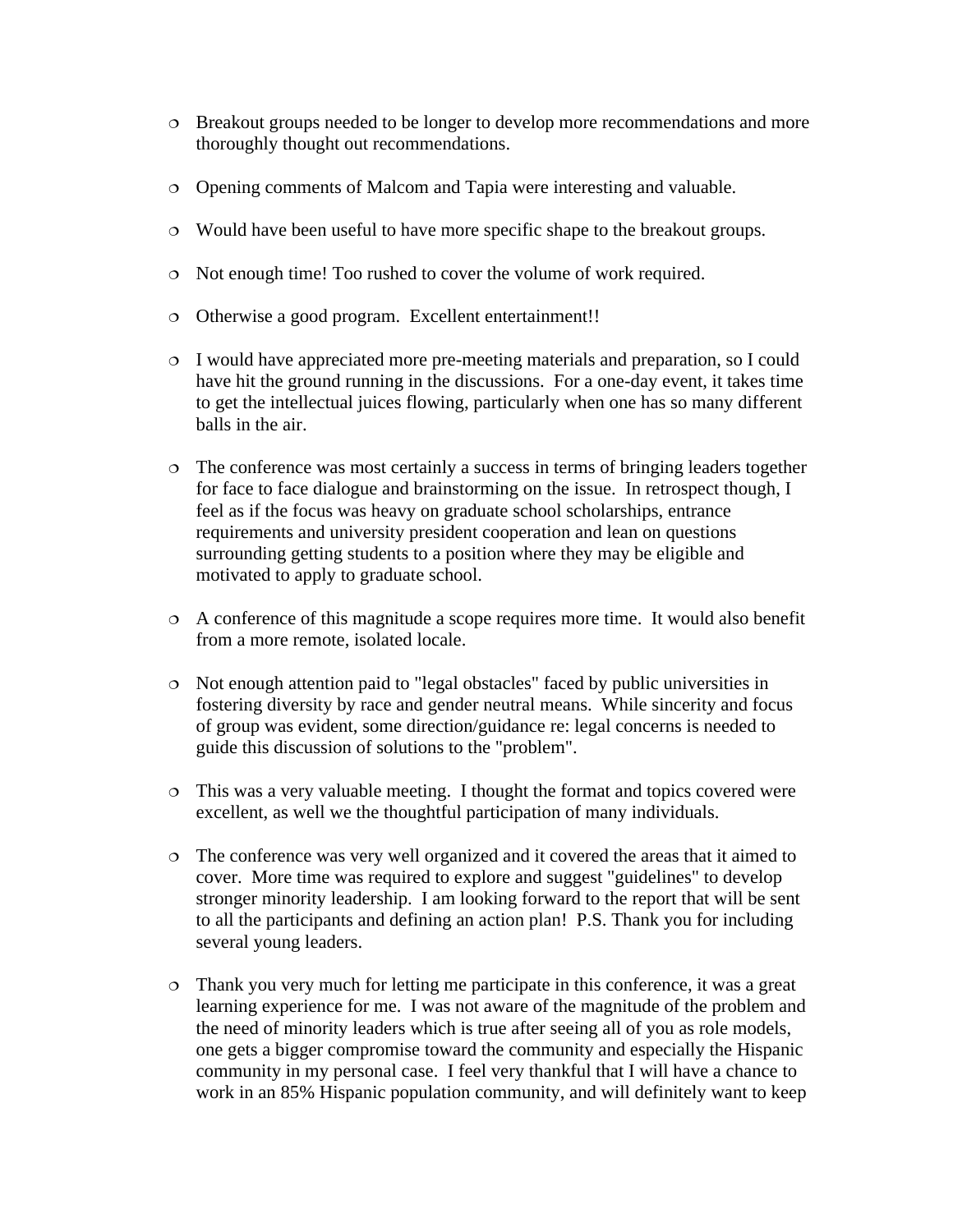- Breakout groups needed to be longer to develop more recommendations and more thoroughly thought out recommendations.
- Opening comments of Malcom and Tapia were interesting and valuable.
- Would have been useful to have more specific shape to the breakout groups.
- Not enough time! Too rushed to cover the volume of work required.
- Otherwise a good program. Excellent entertainment!!
- I would have appreciated more pre-meeting materials and preparation, so I could have hit the ground running in the discussions. For a one-day event, it takes time to get the intellectual juices flowing, particularly when one has so many different balls in the air.
- The conference was most certainly a success in terms of bringing leaders together for face to face dialogue and brainstorming on the issue. In retrospect though, I feel as if the focus was heavy on graduate school scholarships, entrance requirements and university president cooperation and lean on questions surrounding getting students to a position where they may be eligible and motivated to apply to graduate school.
- A conference of this magnitude a scope requires more time. It would also benefit from a more remote, isolated locale.
- Not enough attention paid to "legal obstacles" faced by public universities in fostering diversity by race and gender neutral means. While sincerity and focus of group was evident, some direction/guidance re: legal concerns is needed to guide this discussion of solutions to the "problem".
- This was a very valuable meeting. I thought the format and topics covered were excellent, as well we the thoughtful participation of many individuals.
- The conference was very well organized and it covered the areas that it aimed to cover. More time was required to explore and suggest "guidelines" to develop stronger minority leadership. I am looking forward to the report that will be sent to all the participants and defining an action plan! P.S. Thank you for including several young leaders.
- Thank you very much for letting me participate in this conference, it was a great learning experience for me. I was not aware of the magnitude of the problem and the need of minority leaders which is true after seeing all of you as role models, one gets a bigger compromise toward the community and especially the Hispanic community in my personal case. I feel very thankful that I will have a chance to work in an 85% Hispanic population community, and will definitely want to keep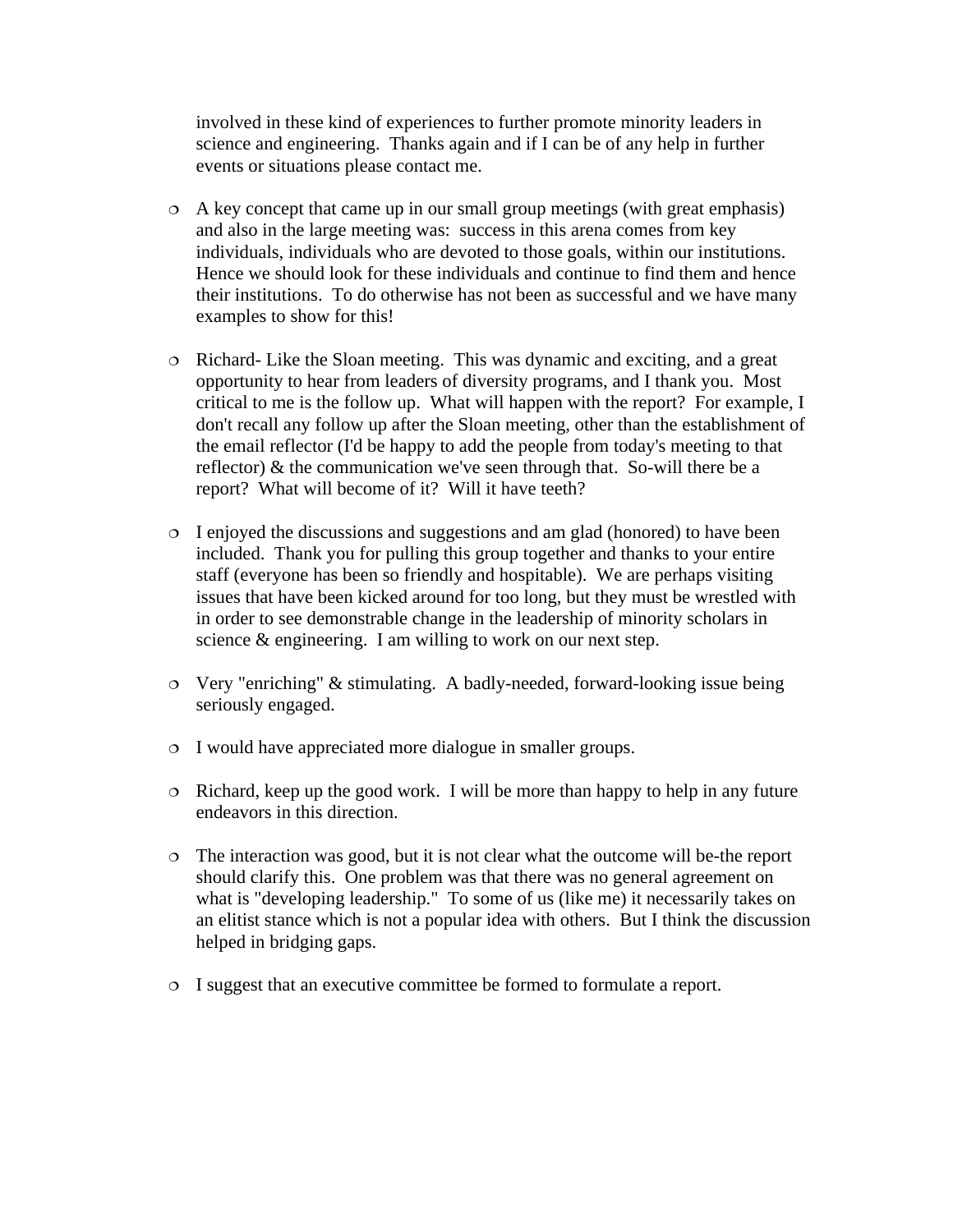involved in these kind of experiences to further promote minority leaders in science and engineering. Thanks again and if I can be of any help in further events or situations please contact me.

- A key concept that came up in our small group meetings (with great emphasis) and also in the large meeting was: success in this arena comes from key individuals, individuals who are devoted to those goals, within our institutions. Hence we should look for these individuals and continue to find them and hence their institutions. To do otherwise has not been as successful and we have many examples to show for this!
- Richard- Like the Sloan meeting. This was dynamic and exciting, and a great opportunity to hear from leaders of diversity programs, and I thank you. Most critical to me is the follow up. What will happen with the report? For example, I don't recall any follow up after the Sloan meeting, other than the establishment of the email reflector (I'd be happy to add the people from today's meeting to that reflector) & the communication we've seen through that. So-will there be a report? What will become of it? Will it have teeth?
- $\circ$  I enjoyed the discussions and suggestions and am glad (honored) to have been included. Thank you for pulling this group together and thanks to your entire staff (everyone has been so friendly and hospitable). We are perhaps visiting issues that have been kicked around for too long, but they must be wrestled with in order to see demonstrable change in the leadership of minority scholars in science & engineering. I am willing to work on our next step.
- Very "enriching" & stimulating. A badly-needed, forward-looking issue being seriously engaged.
- I would have appreciated more dialogue in smaller groups.
- $\circ$  Richard, keep up the good work. I will be more than happy to help in any future endeavors in this direction.
- The interaction was good, but it is not clear what the outcome will be-the report should clarify this. One problem was that there was no general agreement on what is "developing leadership." To some of us (like me) it necessarily takes on an elitist stance which is not a popular idea with others. But I think the discussion helped in bridging gaps.
- I suggest that an executive committee be formed to formulate a report.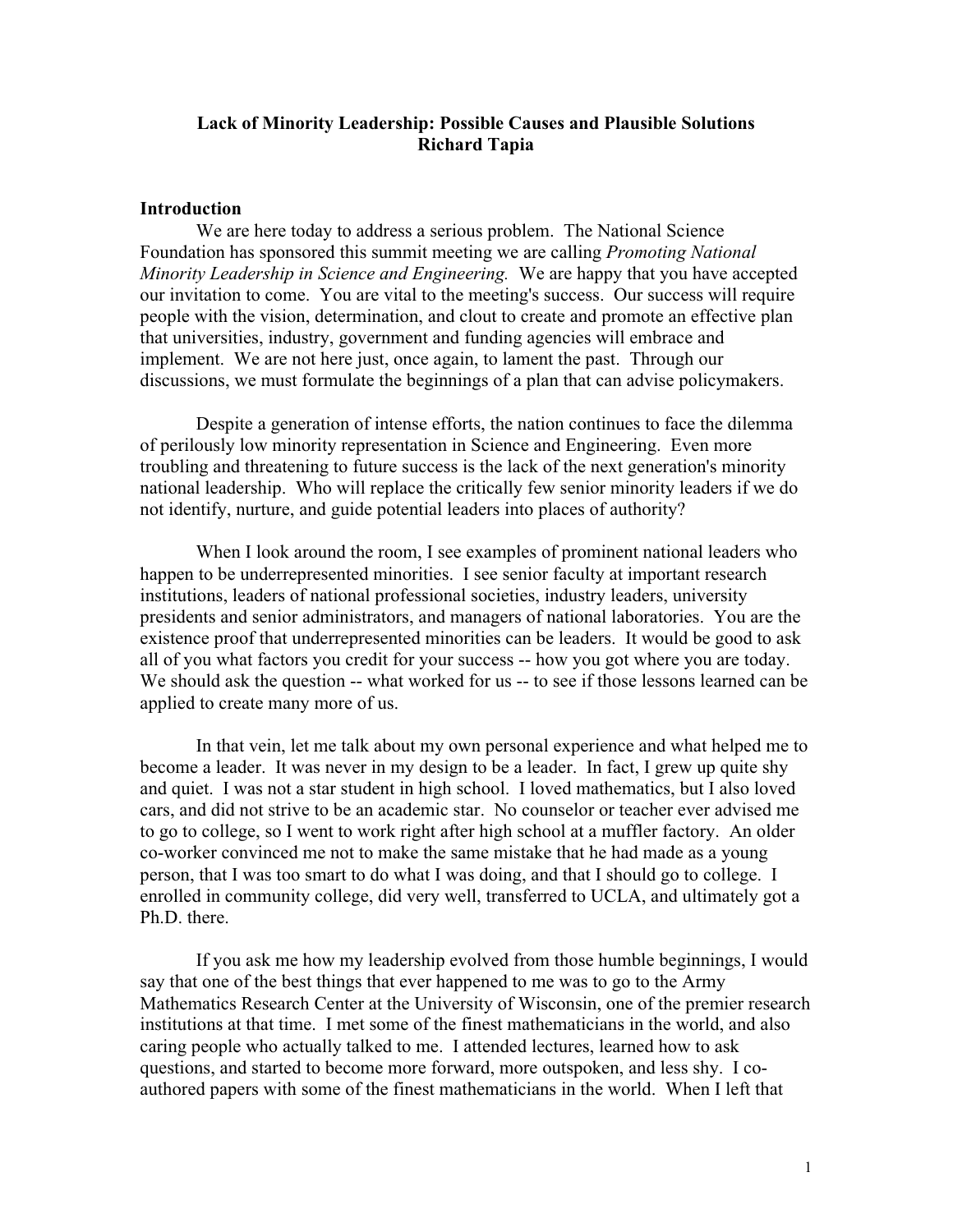# **Lack of Minority Leadership: Possible Causes and Plausible Solutions Richard Tapia**

### **Introduction**

We are here today to address a serious problem. The National Science Foundation has sponsored this summit meeting we are calling *Promoting National Minority Leadership in Science and Engineering.* We are happy that you have accepted our invitation to come. You are vital to the meeting's success. Our success will require people with the vision, determination, and clout to create and promote an effective plan that universities, industry, government and funding agencies will embrace and implement. We are not here just, once again, to lament the past. Through our discussions, we must formulate the beginnings of a plan that can advise policymakers.

Despite a generation of intense efforts, the nation continues to face the dilemma of perilously low minority representation in Science and Engineering. Even more troubling and threatening to future success is the lack of the next generation's minority national leadership. Who will replace the critically few senior minority leaders if we do not identify, nurture, and guide potential leaders into places of authority?

When I look around the room, I see examples of prominent national leaders who happen to be underrepresented minorities. I see senior faculty at important research institutions, leaders of national professional societies, industry leaders, university presidents and senior administrators, and managers of national laboratories. You are the existence proof that underrepresented minorities can be leaders. It would be good to ask all of you what factors you credit for your success -- how you got where you are today. We should ask the question -- what worked for us -- to see if those lessons learned can be applied to create many more of us.

In that vein, let me talk about my own personal experience and what helped me to become a leader. It was never in my design to be a leader. In fact, I grew up quite shy and quiet. I was not a star student in high school. I loved mathematics, but I also loved cars, and did not strive to be an academic star. No counselor or teacher ever advised me to go to college, so I went to work right after high school at a muffler factory. An older co-worker convinced me not to make the same mistake that he had made as a young person, that I was too smart to do what I was doing, and that I should go to college. I enrolled in community college, did very well, transferred to UCLA, and ultimately got a Ph.D. there.

If you ask me how my leadership evolved from those humble beginnings, I would say that one of the best things that ever happened to me was to go to the Army Mathematics Research Center at the University of Wisconsin, one of the premier research institutions at that time. I met some of the finest mathematicians in the world, and also caring people who actually talked to me. I attended lectures, learned how to ask questions, and started to become more forward, more outspoken, and less shy. I coauthored papers with some of the finest mathematicians in the world. When I left that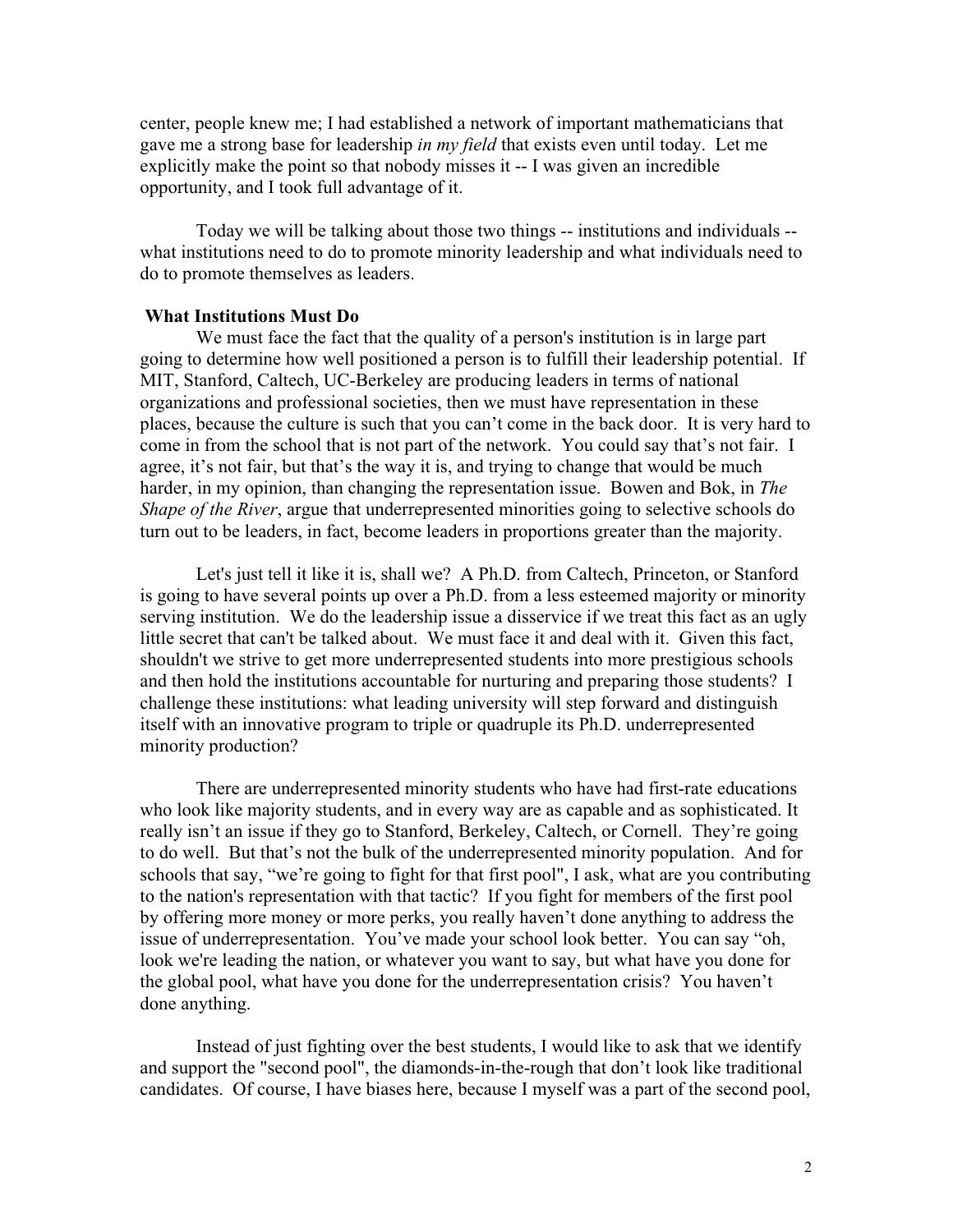center, people knew me; I had established a network of important mathematicians that gave me a strong base for leadership *in my field* that exists even until today. Let me explicitly make the point so that nobody misses it -- I was given an incredible opportunity, and I took full advantage of it.

Today we will be talking about those two things -- institutions and individuals - what institutions need to do to promote minority leadership and what individuals need to do to promote themselves as leaders.

# **What Institutions Must Do**

We must face the fact that the quality of a person's institution is in large part going to determine how well positioned a person is to fulfill their leadership potential. If MIT, Stanford, Caltech, UC-Berkeley are producing leaders in terms of national organizations and professional societies, then we must have representation in these places, because the culture is such that you can't come in the back door. It is very hard to come in from the school that is not part of the network. You could say that's not fair. I agree, it's not fair, but that's the way it is, and trying to change that would be much harder, in my opinion, than changing the representation issue. Bowen and Bok, in *The Shape of the River*, argue that underrepresented minorities going to selective schools do turn out to be leaders, in fact, become leaders in proportions greater than the majority.

Let's just tell it like it is, shall we? A Ph.D. from Caltech, Princeton, or Stanford is going to have several points up over a Ph.D. from a less esteemed majority or minority serving institution. We do the leadership issue a disservice if we treat this fact as an ugly little secret that can't be talked about. We must face it and deal with it. Given this fact, shouldn't we strive to get more underrepresented students into more prestigious schools and then hold the institutions accountable for nurturing and preparing those students? I challenge these institutions: what leading university will step forward and distinguish itself with an innovative program to triple or quadruple its Ph.D. underrepresented minority production?

There are underrepresented minority students who have had first-rate educations who look like majority students, and in every way are as capable and as sophisticated. It really isn't an issue if they go to Stanford, Berkeley, Caltech, or Cornell. They're going to do well. But that's not the bulk of the underrepresented minority population. And for schools that say, "we're going to fight for that first pool", I ask, what are you contributing to the nation's representation with that tactic? If you fight for members of the first pool by offering more money or more perks, you really haven't done anything to address the issue of underrepresentation. You've made your school look better. You can say "oh, look we're leading the nation, or whatever you want to say, but what have you done for the global pool, what have you done for the underrepresentation crisis? You haven't done anything.

Instead of just fighting over the best students, I would like to ask that we identify and support the "second pool", the diamonds-in-the-rough that don't look like traditional candidates. Of course, I have biases here, because I myself was a part of the second pool,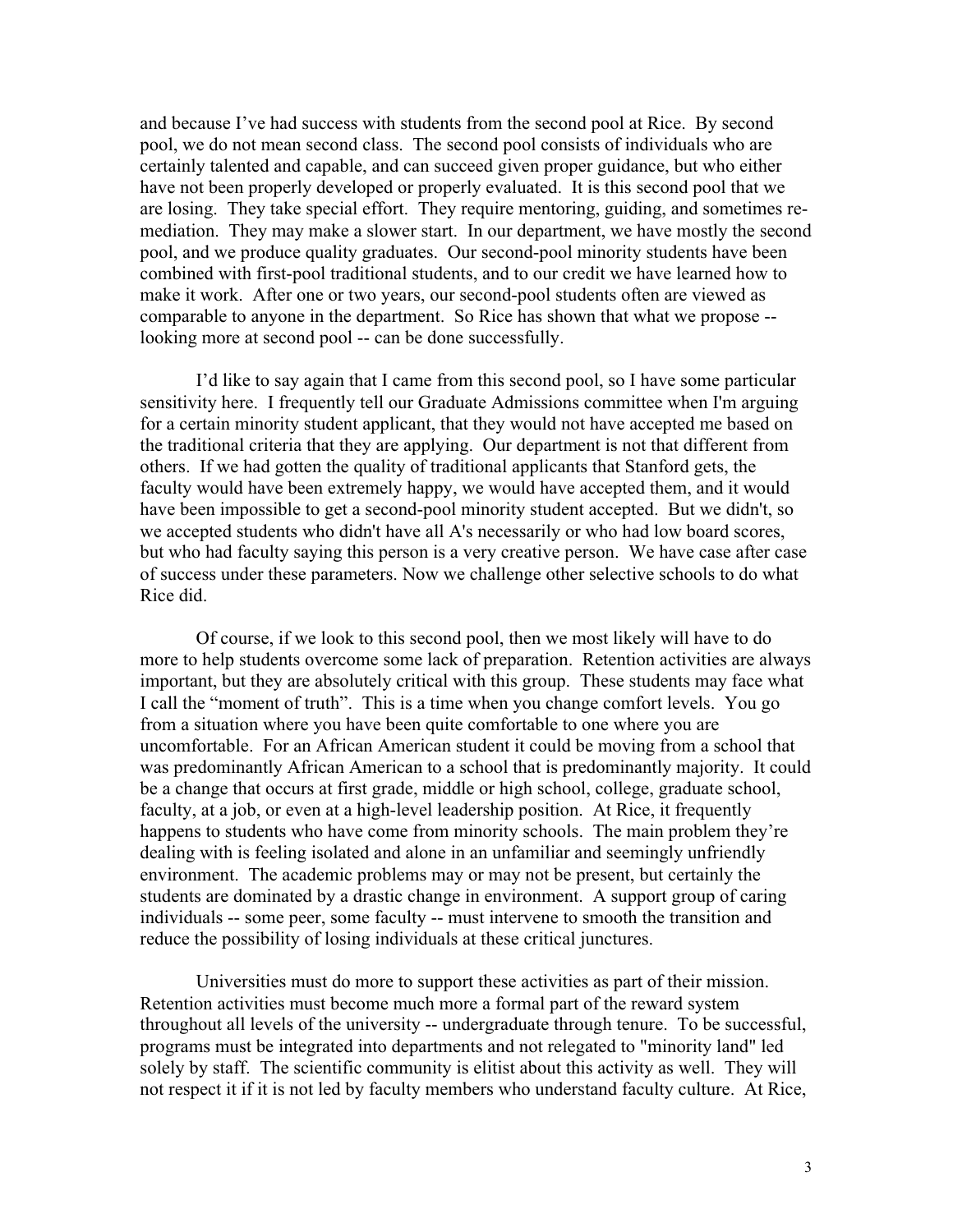and because I've had success with students from the second pool at Rice. By second pool, we do not mean second class. The second pool consists of individuals who are certainly talented and capable, and can succeed given proper guidance, but who either have not been properly developed or properly evaluated. It is this second pool that we are losing. They take special effort. They require mentoring, guiding, and sometimes remediation. They may make a slower start. In our department, we have mostly the second pool, and we produce quality graduates. Our second-pool minority students have been combined with first-pool traditional students, and to our credit we have learned how to make it work. After one or two years, our second-pool students often are viewed as comparable to anyone in the department. So Rice has shown that what we propose - looking more at second pool -- can be done successfully.

I'd like to say again that I came from this second pool, so I have some particular sensitivity here. I frequently tell our Graduate Admissions committee when I'm arguing for a certain minority student applicant, that they would not have accepted me based on the traditional criteria that they are applying. Our department is not that different from others. If we had gotten the quality of traditional applicants that Stanford gets, the faculty would have been extremely happy, we would have accepted them, and it would have been impossible to get a second-pool minority student accepted. But we didn't, so we accepted students who didn't have all A's necessarily or who had low board scores, but who had faculty saying this person is a very creative person. We have case after case of success under these parameters. Now we challenge other selective schools to do what Rice did.

Of course, if we look to this second pool, then we most likely will have to do more to help students overcome some lack of preparation. Retention activities are always important, but they are absolutely critical with this group. These students may face what I call the "moment of truth". This is a time when you change comfort levels. You go from a situation where you have been quite comfortable to one where you are uncomfortable. For an African American student it could be moving from a school that was predominantly African American to a school that is predominantly majority. It could be a change that occurs at first grade, middle or high school, college, graduate school, faculty, at a job, or even at a high-level leadership position. At Rice, it frequently happens to students who have come from minority schools. The main problem they're dealing with is feeling isolated and alone in an unfamiliar and seemingly unfriendly environment. The academic problems may or may not be present, but certainly the students are dominated by a drastic change in environment. A support group of caring individuals -- some peer, some faculty -- must intervene to smooth the transition and reduce the possibility of losing individuals at these critical junctures.

Universities must do more to support these activities as part of their mission. Retention activities must become much more a formal part of the reward system throughout all levels of the university -- undergraduate through tenure. To be successful, programs must be integrated into departments and not relegated to "minority land" led solely by staff. The scientific community is elitist about this activity as well. They will not respect it if it is not led by faculty members who understand faculty culture. At Rice,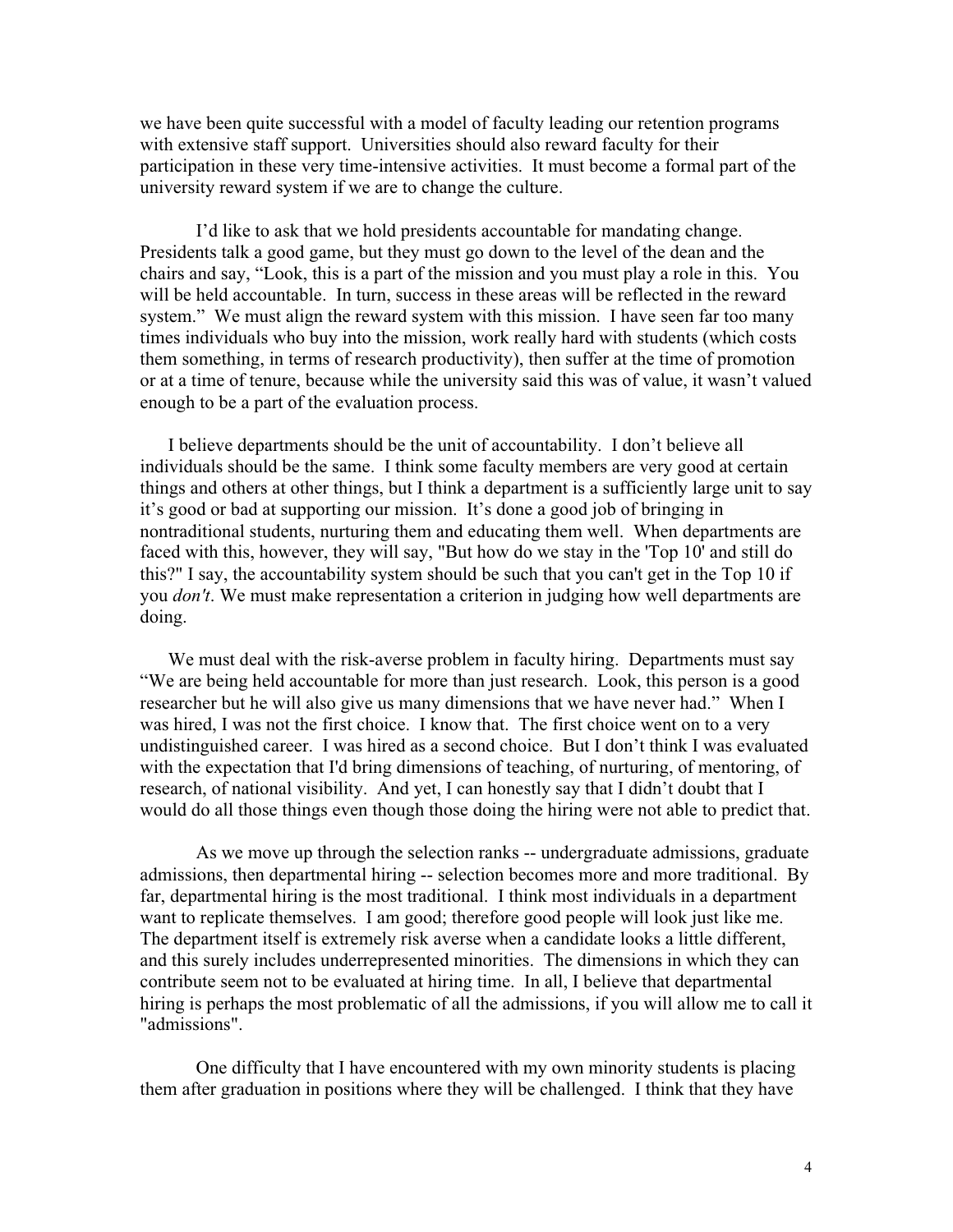we have been quite successful with a model of faculty leading our retention programs with extensive staff support. Universities should also reward faculty for their participation in these very time-intensive activities. It must become a formal part of the university reward system if we are to change the culture.

I'd like to ask that we hold presidents accountable for mandating change. Presidents talk a good game, but they must go down to the level of the dean and the chairs and say, "Look, this is a part of the mission and you must play a role in this. You will be held accountable. In turn, success in these areas will be reflected in the reward system." We must align the reward system with this mission. I have seen far too many times individuals who buy into the mission, work really hard with students (which costs them something, in terms of research productivity), then suffer at the time of promotion or at a time of tenure, because while the university said this was of value, it wasn't valued enough to be a part of the evaluation process.

I believe departments should be the unit of accountability. I don't believe all individuals should be the same. I think some faculty members are very good at certain things and others at other things, but I think a department is a sufficiently large unit to say it's good or bad at supporting our mission. It's done a good job of bringing in nontraditional students, nurturing them and educating them well. When departments are faced with this, however, they will say, "But how do we stay in the 'Top 10' and still do this?" I say, the accountability system should be such that you can't get in the Top 10 if you *don't*. We must make representation a criterion in judging how well departments are doing.

We must deal with the risk-averse problem in faculty hiring. Departments must say "We are being held accountable for more than just research. Look, this person is a good researcher but he will also give us many dimensions that we have never had." When I was hired, I was not the first choice. I know that. The first choice went on to a very undistinguished career. I was hired as a second choice. But I don't think I was evaluated with the expectation that I'd bring dimensions of teaching, of nurturing, of mentoring, of research, of national visibility. And yet, I can honestly say that I didn't doubt that I would do all those things even though those doing the hiring were not able to predict that.

As we move up through the selection ranks -- undergraduate admissions, graduate admissions, then departmental hiring -- selection becomes more and more traditional. By far, departmental hiring is the most traditional. I think most individuals in a department want to replicate themselves. I am good; therefore good people will look just like me. The department itself is extremely risk averse when a candidate looks a little different, and this surely includes underrepresented minorities. The dimensions in which they can contribute seem not to be evaluated at hiring time. In all, I believe that departmental hiring is perhaps the most problematic of all the admissions, if you will allow me to call it "admissions".

One difficulty that I have encountered with my own minority students is placing them after graduation in positions where they will be challenged. I think that they have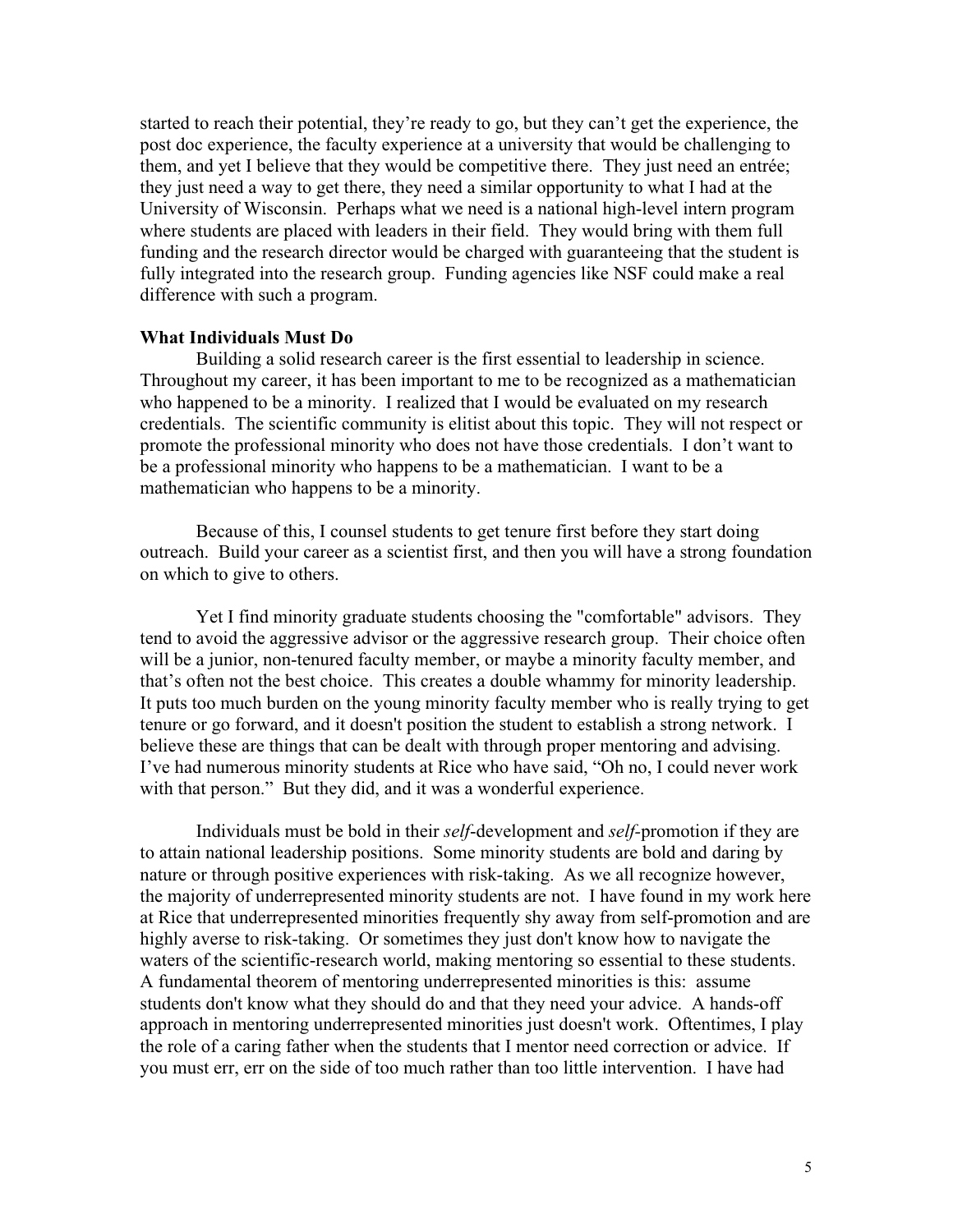started to reach their potential, they're ready to go, but they can't get the experience, the post doc experience, the faculty experience at a university that would be challenging to them, and yet I believe that they would be competitive there. They just need an entrée; they just need a way to get there, they need a similar opportunity to what I had at the University of Wisconsin. Perhaps what we need is a national high-level intern program where students are placed with leaders in their field. They would bring with them full funding and the research director would be charged with guaranteeing that the student is fully integrated into the research group. Funding agencies like NSF could make a real difference with such a program.

### **What Individuals Must Do**

Building a solid research career is the first essential to leadership in science. Throughout my career, it has been important to me to be recognized as a mathematician who happened to be a minority. I realized that I would be evaluated on my research credentials. The scientific community is elitist about this topic. They will not respect or promote the professional minority who does not have those credentials. I don't want to be a professional minority who happens to be a mathematician. I want to be a mathematician who happens to be a minority.

Because of this, I counsel students to get tenure first before they start doing outreach. Build your career as a scientist first, and then you will have a strong foundation on which to give to others.

Yet I find minority graduate students choosing the "comfortable" advisors. They tend to avoid the aggressive advisor or the aggressive research group. Their choice often will be a junior, non-tenured faculty member, or maybe a minority faculty member, and that's often not the best choice. This creates a double whammy for minority leadership. It puts too much burden on the young minority faculty member who is really trying to get tenure or go forward, and it doesn't position the student to establish a strong network. I believe these are things that can be dealt with through proper mentoring and advising. I've had numerous minority students at Rice who have said, "Oh no, I could never work with that person." But they did, and it was a wonderful experience.

Individuals must be bold in their *self*-development and *self-*promotion if they are to attain national leadership positions. Some minority students are bold and daring by nature or through positive experiences with risk-taking. As we all recognize however, the majority of underrepresented minority students are not. I have found in my work here at Rice that underrepresented minorities frequently shy away from self-promotion and are highly averse to risk-taking. Or sometimes they just don't know how to navigate the waters of the scientific-research world, making mentoring so essential to these students. A fundamental theorem of mentoring underrepresented minorities is this: assume students don't know what they should do and that they need your advice. A hands-off approach in mentoring underrepresented minorities just doesn't work. Oftentimes, I play the role of a caring father when the students that I mentor need correction or advice. If you must err, err on the side of too much rather than too little intervention. I have had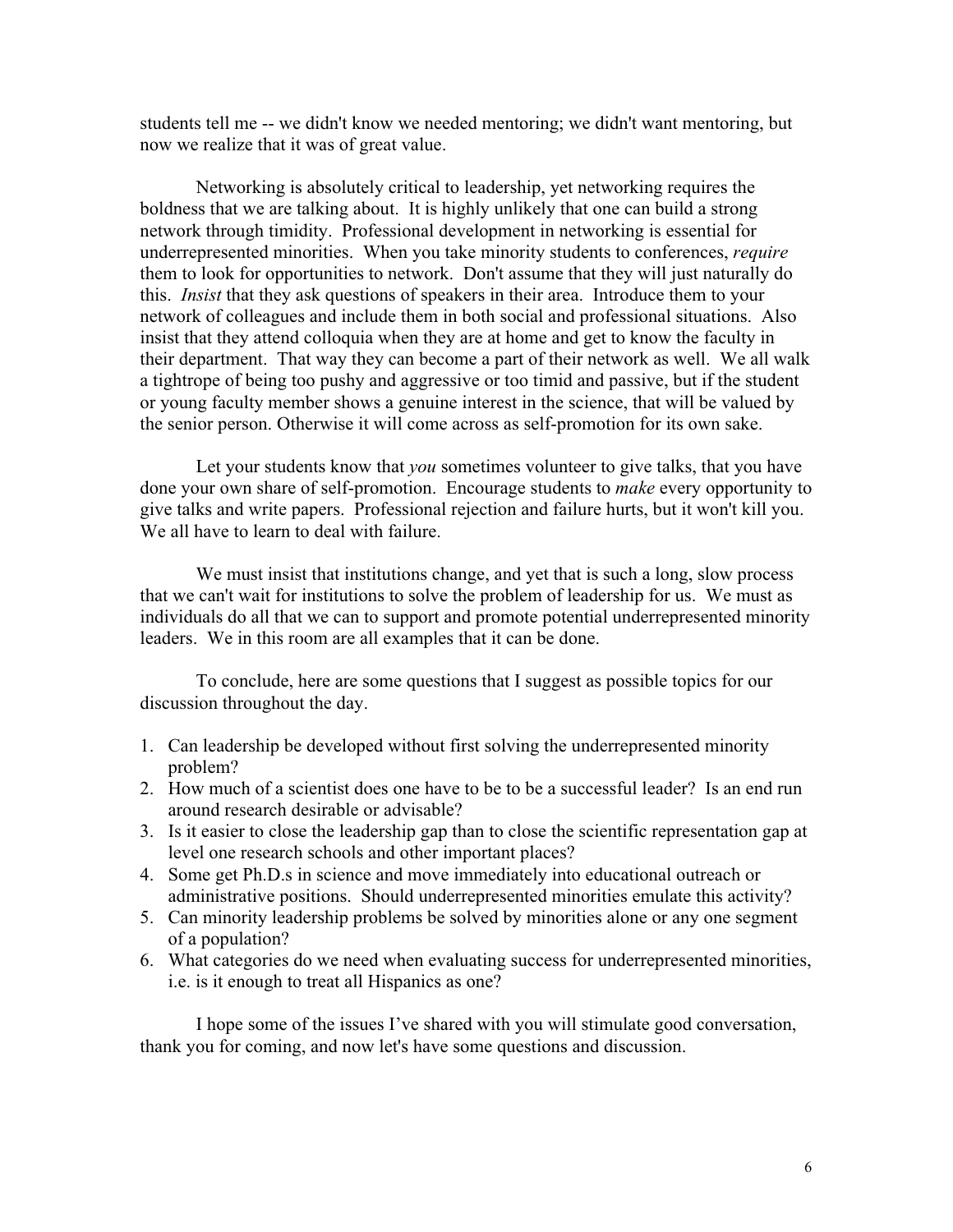students tell me -- we didn't know we needed mentoring; we didn't want mentoring, but now we realize that it was of great value.

Networking is absolutely critical to leadership, yet networking requires the boldness that we are talking about. It is highly unlikely that one can build a strong network through timidity. Professional development in networking is essential for underrepresented minorities. When you take minority students to conferences, *require* them to look for opportunities to network. Don't assume that they will just naturally do this. *Insist* that they ask questions of speakers in their area. Introduce them to your network of colleagues and include them in both social and professional situations. Also insist that they attend colloquia when they are at home and get to know the faculty in their department. That way they can become a part of their network as well. We all walk a tightrope of being too pushy and aggressive or too timid and passive, but if the student or young faculty member shows a genuine interest in the science, that will be valued by the senior person. Otherwise it will come across as self-promotion for its own sake.

Let your students know that *you* sometimes volunteer to give talks, that you have done your own share of self-promotion. Encourage students to *make* every opportunity to give talks and write papers. Professional rejection and failure hurts, but it won't kill you. We all have to learn to deal with failure.

We must insist that institutions change, and yet that is such a long, slow process that we can't wait for institutions to solve the problem of leadership for us. We must as individuals do all that we can to support and promote potential underrepresented minority leaders. We in this room are all examples that it can be done.

To conclude, here are some questions that I suggest as possible topics for our discussion throughout the day.

- 1. Can leadership be developed without first solving the underrepresented minority problem?
- 2. How much of a scientist does one have to be to be a successful leader? Is an end run around research desirable or advisable?
- 3. Is it easier to close the leadership gap than to close the scientific representation gap at level one research schools and other important places?
- 4. Some get Ph.D.s in science and move immediately into educational outreach or administrative positions. Should underrepresented minorities emulate this activity?
- 5. Can minority leadership problems be solved by minorities alone or any one segment of a population?
- 6. What categories do we need when evaluating success for underrepresented minorities, i.e. is it enough to treat all Hispanics as one?

I hope some of the issues I've shared with you will stimulate good conversation, thank you for coming, and now let's have some questions and discussion.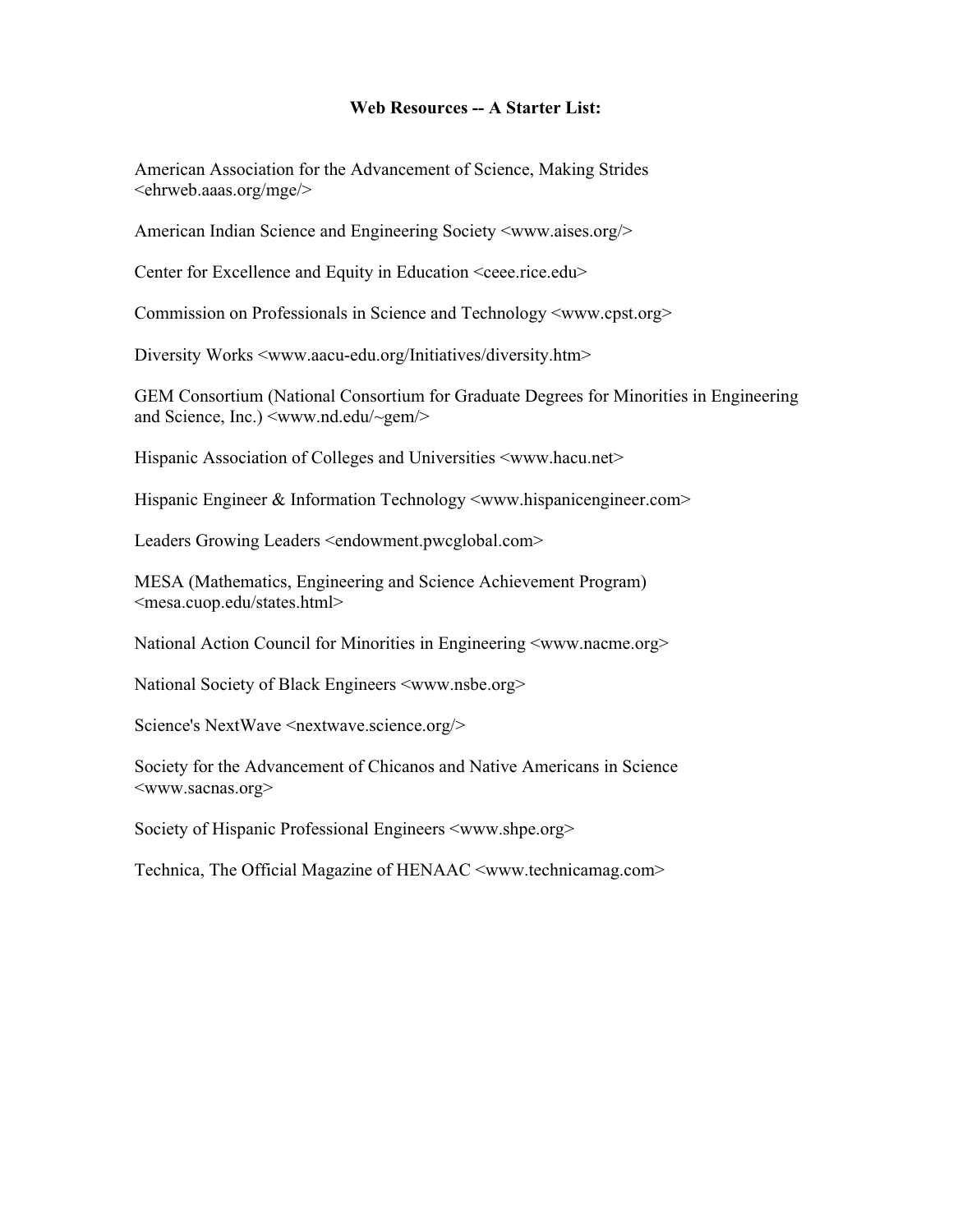# **Web Resources -- A Starter List:**

American Association for the Advancement of Science, Making Strides <ehrweb.aaas.org/mge/>

American Indian Science and Engineering Society <www.aises.org/>

Center for Excellence and Equity in Education <ceee.rice.edu>

Commission on Professionals in Science and Technology <www.cpst.org>

Diversity Works <www.aacu-edu.org/Initiatives/diversity.htm>

GEM Consortium (National Consortium for Graduate Degrees for Minorities in Engineering and Science, Inc.) <www.nd.edu/~gem/>

Hispanic Association of Colleges and Universities <www.hacu.net>

Hispanic Engineer & Information Technology <www.hispanicengineer.com>

Leaders Growing Leaders <endowment.pwcglobal.com>

MESA (Mathematics, Engineering and Science Achievement Program) <mesa.cuop.edu/states.html>

National Action Council for Minorities in Engineering <www.nacme.org>

National Society of Black Engineers <www.nsbe.org>

Science's NextWave <nextwave.science.org/>

Society for the Advancement of Chicanos and Native Americans in Science <www.sacnas.org>

Society of Hispanic Professional Engineers <www.shpe.org>

Technica, The Official Magazine of HENAAC <www.technicamag.com>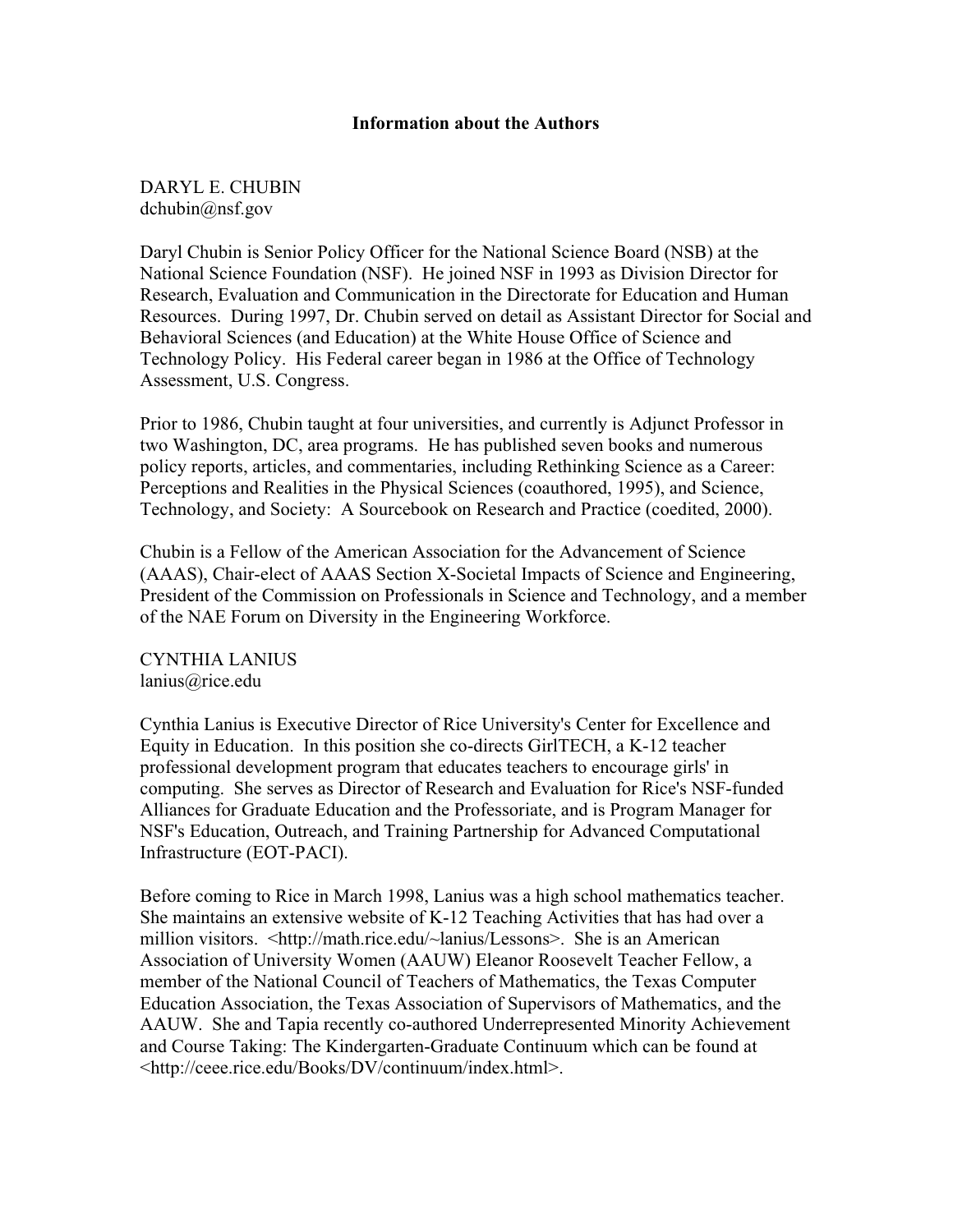# **Information about the Authors**

DARYL E. CHUBIN dchubin@nsf.gov

Daryl Chubin is Senior Policy Officer for the National Science Board (NSB) at the National Science Foundation (NSF). He joined NSF in 1993 as Division Director for Research, Evaluation and Communication in the Directorate for Education and Human Resources. During 1997, Dr. Chubin served on detail as Assistant Director for Social and Behavioral Sciences (and Education) at the White House Office of Science and Technology Policy. His Federal career began in 1986 at the Office of Technology Assessment, U.S. Congress.

Prior to 1986, Chubin taught at four universities, and currently is Adjunct Professor in two Washington, DC, area programs. He has published seven books and numerous policy reports, articles, and commentaries, including Rethinking Science as a Career: Perceptions and Realities in the Physical Sciences (coauthored, 1995), and Science, Technology, and Society: A Sourcebook on Research and Practice (coedited, 2000).

Chubin is a Fellow of the American Association for the Advancement of Science (AAAS), Chair-elect of AAAS Section X-Societal Impacts of Science and Engineering, President of the Commission on Professionals in Science and Technology, and a member of the NAE Forum on Diversity in the Engineering Workforce.

CYNTHIA LANIUS lanius@rice.edu

Cynthia Lanius is Executive Director of Rice University's Center for Excellence and Equity in Education. In this position she co-directs GirlTECH, a K-12 teacher professional development program that educates teachers to encourage girls' in computing. She serves as Director of Research and Evaluation for Rice's NSF-funded Alliances for Graduate Education and the Professoriate, and is Program Manager for NSF's Education, Outreach, and Training Partnership for Advanced Computational Infrastructure (EOT-PACI).

Before coming to Rice in March 1998, Lanius was a high school mathematics teacher. She maintains an extensive website of K-12 Teaching Activities that has had over a million visitors. <http://math.rice.edu/~lanius/Lessons>. She is an American Association of University Women (AAUW) Eleanor Roosevelt Teacher Fellow, a member of the National Council of Teachers of Mathematics, the Texas Computer Education Association, the Texas Association of Supervisors of Mathematics, and the AAUW. She and Tapia recently co-authored Underrepresented Minority Achievement and Course Taking: The Kindergarten-Graduate Continuum which can be found at <http://ceee.rice.edu/Books/DV/continuum/index.html>.